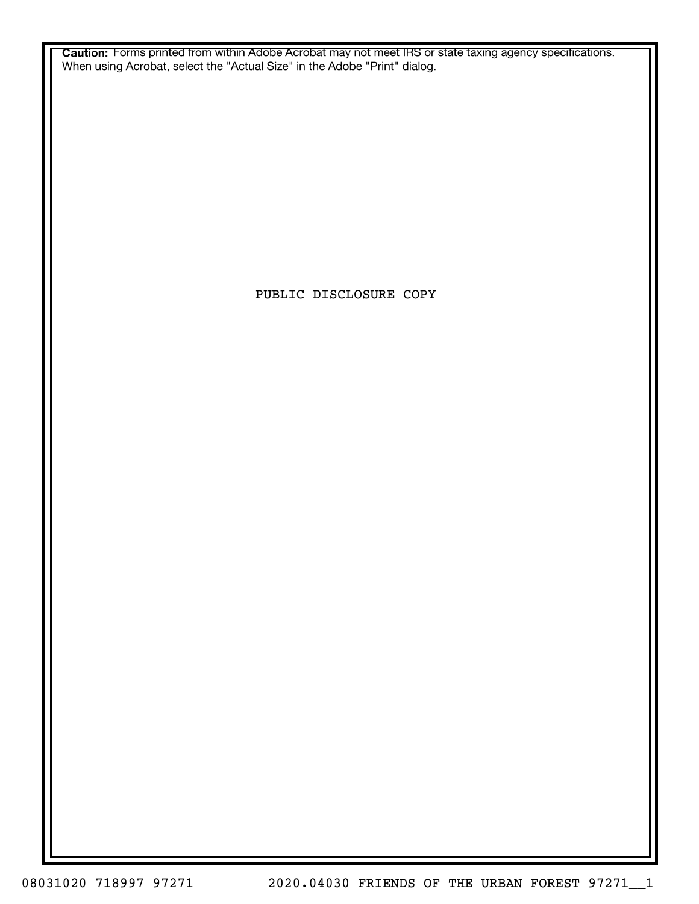**Caution:** Forms printed from within Adobe Acrobat may not meet IRS or state taxing agency specifications. When using Acrobat, select the "Actual Size" in the Adobe "Print" dialog.

PUBLIC DISCLOSURE COPY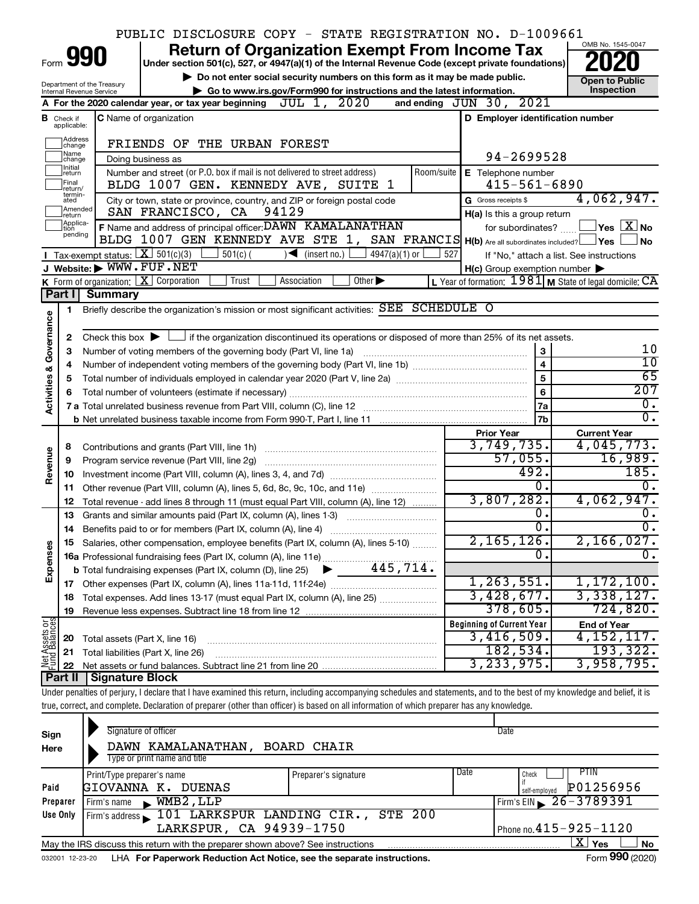|                         |                               |                                | PUBLIC DISCLOSURE COPY - STATE REGISTRATION NO. D-1009661                                                                                                                  |                                                             |                                          |
|-------------------------|-------------------------------|--------------------------------|----------------------------------------------------------------------------------------------------------------------------------------------------------------------------|-------------------------------------------------------------|------------------------------------------|
|                         |                               |                                | <b>Return of Organization Exempt From Income Tax</b>                                                                                                                       |                                                             | OMB No. 1545-0047                        |
|                         |                               | 990                            | Under section 501(c), 527, or 4947(a)(1) of the Internal Revenue Code (except private foundations)                                                                         |                                                             |                                          |
|                         |                               | Department of the Treasury     | Do not enter social security numbers on this form as it may be made public.                                                                                                |                                                             | <b>Open to Public</b>                    |
|                         |                               | Internal Revenue Service       | ► Go to www.irs.gov/Form990 for instructions and the latest information.                                                                                                   |                                                             | Inspection                               |
|                         |                               |                                | JUL 1, 2020<br>A For the 2020 calendar year, or tax year beginning                                                                                                         | and ending JUN 30, 2021                                     |                                          |
|                         | <b>B</b> Check if applicable: |                                | <b>C</b> Name of organization                                                                                                                                              | D Employer identification number                            |                                          |
|                         | Address<br>change             |                                | FRIENDS OF THE URBAN FOREST                                                                                                                                                |                                                             |                                          |
|                         | ]Name<br>]change              |                                | Doing business as                                                                                                                                                          | 94-2699528                                                  |                                          |
|                         | Initial<br>return<br>Final    |                                | Number and street (or P.O. box if mail is not delivered to street address)<br>Room/suite<br>BLDG 1007 GEN. KENNEDY AVE, SUITE<br>1                                         | E Telephone number<br>$415 - 561 - 6890$                    |                                          |
|                         | return/<br>termin-            |                                |                                                                                                                                                                            | G Gross receipts \$                                         | 4,062,947.                               |
|                         | ated<br>Amended               |                                | City or town, state or province, country, and ZIP or foreign postal code<br>94129<br>SAN FRANCISCO, CA                                                                     | H(a) Is this a group return                                 |                                          |
|                         | Ireturn<br>Applica-           |                                | F Name and address of principal officer: DAWN KAMALANATHAN                                                                                                                 | for subordinates?                                           | $\sqrt{}$ Yes $\sqrt{X}$ No              |
|                         | tion<br>pending               |                                | BLDG 1007 GEN KENNEDY AVE STE 1, SAN FRANCIS H(b) Are all subordinates included?   Yes                                                                                     |                                                             | ∣No                                      |
|                         |                               |                                | Tax-exempt status: $X \ 501(c)(3)$<br>$501(c)$ (<br>$\sqrt{\bullet}$ (insert no.) [<br>4947(a)(1) or                                                                       | 527                                                         | If "No," attach a list. See instructions |
|                         |                               | J Website: WWW.FUF.NET         |                                                                                                                                                                            | $H(c)$ Group exemption number $\blacktriangleright$         |                                          |
|                         |                               |                                | K Form of organization: $X$ Corporation<br>$\overline{Other}$<br>Trust<br>Association                                                                                      | L Year of formation: $1981$ M State of legal domicile: $CA$ |                                          |
|                         | Part I                        | <b>Summary</b>                 |                                                                                                                                                                            |                                                             |                                          |
|                         | 1                             |                                | Briefly describe the organization's mission or most significant activities: SEE SCHEDULE O                                                                                 |                                                             |                                          |
| Governance              |                               |                                |                                                                                                                                                                            |                                                             |                                          |
|                         | 2                             |                                | Check this box $\blacktriangleright$ $\Box$ if the organization discontinued its operations or disposed of more than 25% of its net assets.                                |                                                             |                                          |
|                         | З                             |                                | Number of voting members of the governing body (Part VI, line 1a)                                                                                                          | 3                                                           | 10                                       |
|                         | 4                             |                                |                                                                                                                                                                            | $\overline{\mathbf{4}}$                                     | 10                                       |
|                         | 5                             |                                |                                                                                                                                                                            | 5                                                           | 65                                       |
|                         | 6                             |                                |                                                                                                                                                                            | 6                                                           | 207                                      |
| <b>Activities &amp;</b> |                               |                                |                                                                                                                                                                            | 7a                                                          | $\overline{0}$ .                         |
|                         |                               |                                | b Net unrelated business taxable income from Form 990-T, Part I, line 11 [1] [1] [1] [1] Net unrelated business taxable income from Form 990-T, Part I, line 11            | 7b                                                          | $\overline{0}$ .                         |
|                         |                               |                                |                                                                                                                                                                            | <b>Prior Year</b>                                           | <b>Current Year</b>                      |
|                         | 8                             |                                |                                                                                                                                                                            | 3,749,735.                                                  | 4,045,773.                               |
|                         | 9                             |                                | Program service revenue (Part VIII, line 2g)                                                                                                                               | 57,055.                                                     | 16,989.                                  |
| Revenue                 | 10                            |                                |                                                                                                                                                                            | 492.                                                        | 185.                                     |
|                         | 11                            |                                | Other revenue (Part VIII, column (A), lines 5, 6d, 8c, 9c, 10c, and 11e)                                                                                                   | $\overline{0}$ .                                            | $\overline{0}$ .                         |
|                         | 12                            |                                | Total revenue - add lines 8 through 11 (must equal Part VIII, column (A), line 12)                                                                                         | 3,807,282.                                                  | 4,062,947.                               |
|                         | 13                            |                                | Grants and similar amounts paid (Part IX, column (A), lines 1-3)                                                                                                           | $\overline{0}$ .                                            | $\overline{0}$ .                         |
|                         |                               |                                |                                                                                                                                                                            | σ.                                                          | $\overline{0}$ .                         |
|                         |                               |                                | Salaries, other compensation, employee benefits (Part IX, column (A), lines 5-10)                                                                                          | 2,165,126.                                                  | 2,166,027.                               |
| Expenses                |                               |                                |                                                                                                                                                                            | σ.                                                          | $\overline{0}$ .                         |
|                         |                               |                                |                                                                                                                                                                            |                                                             |                                          |
|                         |                               |                                |                                                                                                                                                                            | 1, 263, 551.                                                | 1,172,100.                               |
|                         | 18                            |                                |                                                                                                                                                                            | 3,428,677.                                                  | 3,338,127.                               |
|                         | 19                            |                                |                                                                                                                                                                            | 378,605.                                                    | 724,820.                                 |
| Net Assets or           |                               |                                |                                                                                                                                                                            | <b>Beginning of Current Year</b><br>3,416,509.              | <b>End of Year</b><br>4, 152, 117.       |
|                         | 20                            | Total assets (Part X, line 16) |                                                                                                                                                                            | 182,534.                                                    | 193,322.                                 |
|                         | 21                            |                                | Total liabilities (Part X, line 26)                                                                                                                                        | 3, 233, 975.                                                | 3,958,795.                               |
|                         | 22<br><b>Part II</b>          | Signature Block                |                                                                                                                                                                            |                                                             |                                          |
|                         |                               |                                | Under penalties of perjury, I declare that I have examined this return, including accompanying schedules and statements, and to the best of my knowledge and belief, it is |                                                             |                                          |
|                         |                               |                                | true, correct, and complete. Declaration of preparer (other than officer) is based on all information of which preparer has any knowledge.                                 |                                                             |                                          |
|                         |                               |                                |                                                                                                                                                                            |                                                             |                                          |
|                         |                               |                                | Signature of officer                                                                                                                                                       | Date                                                        |                                          |
| Sign<br>Here            |                               |                                | DAWN KAMALANATHAN, BOARD CHAIR                                                                                                                                             |                                                             |                                          |
|                         |                               |                                |                                                                                                                                                                            |                                                             |                                          |

| Here                                                                                                      | DAWN NAMALANATAAN,                                                                                           | DUARD CAAIR          |      |                                         |  |  |  |  |  |
|-----------------------------------------------------------------------------------------------------------|--------------------------------------------------------------------------------------------------------------|----------------------|------|-----------------------------------------|--|--|--|--|--|
|                                                                                                           | Type or print name and title                                                                                 |                      |      |                                         |  |  |  |  |  |
|                                                                                                           | Print/Type preparer's name                                                                                   | Preparer's signature | Date | PIIN<br>Check                           |  |  |  |  |  |
| Paid                                                                                                      | GIOVANNA K.<br>DUENAS                                                                                        |                      |      | P01256956<br>self-employed              |  |  |  |  |  |
| Preparer                                                                                                  | $WMB2$ , LLP<br>Firm's name                                                                                  |                      |      | Firm's EIN $\geq 26 - 3789391$          |  |  |  |  |  |
| Use Only                                                                                                  | Firm's address 101 LARKSPUR LANDING CIR., STE 200                                                            |                      |      |                                         |  |  |  |  |  |
|                                                                                                           | LARKSPUR, CA 94939-1750                                                                                      |                      |      | $\sqrt{P}$ Phone no. $415 - 925 - 1120$ |  |  |  |  |  |
| ΧI<br><b>No</b><br>Yes<br>May the IRS discuss this return with the preparer shown above? See instructions |                                                                                                              |                      |      |                                         |  |  |  |  |  |
|                                                                                                           | Form 990 (2020)<br>LHA For Paperwork Reduction Act Notice, see the separate instructions.<br>032001 12-23-20 |                      |      |                                         |  |  |  |  |  |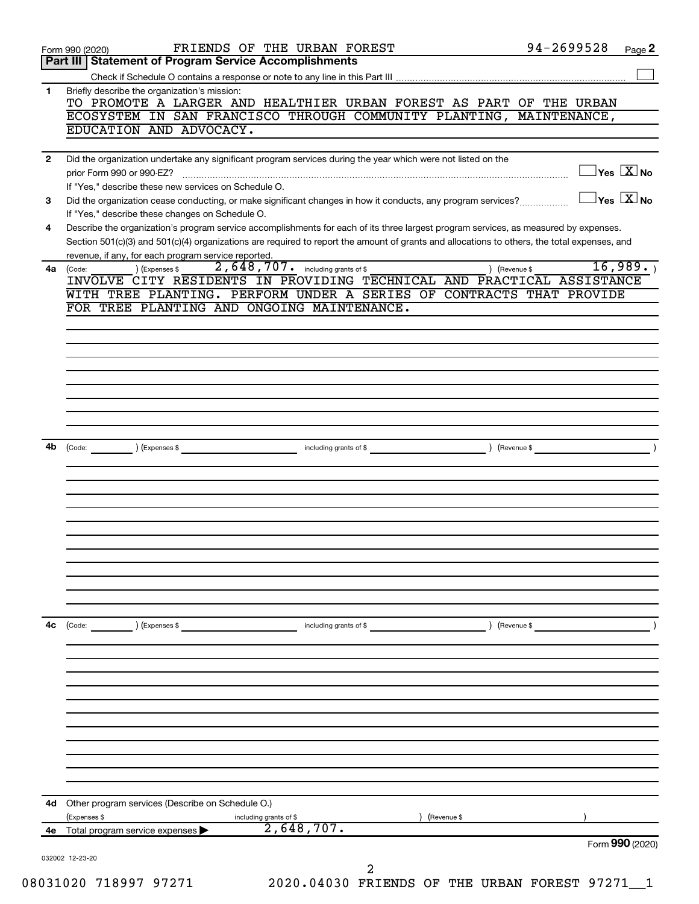|              | FRIENDS OF THE URBAN FOREST<br>Form 990 (2020)                                                                                                                                                                                                                                       | 94-2699528 | Page 2                                        |
|--------------|--------------------------------------------------------------------------------------------------------------------------------------------------------------------------------------------------------------------------------------------------------------------------------------|------------|-----------------------------------------------|
| Part III     | <b>Statement of Program Service Accomplishments</b>                                                                                                                                                                                                                                  |            |                                               |
|              |                                                                                                                                                                                                                                                                                      |            |                                               |
| 1            | Briefly describe the organization's mission:<br>TO PROMOTE A LARGER AND HEALTHIER URBAN FOREST AS PART OF THE URBAN<br>ECOSYSTEM IN SAN FRANCISCO THROUGH COMMUNITY PLANTING, MAINTENANCE,                                                                                           |            |                                               |
|              | EDUCATION AND ADVOCACY.                                                                                                                                                                                                                                                              |            |                                               |
| $\mathbf{2}$ | Did the organization undertake any significant program services during the year which were not listed on the                                                                                                                                                                         |            |                                               |
|              | prior Form 990 or 990-EZ?<br>If "Yes," describe these new services on Schedule O.                                                                                                                                                                                                    |            | $\exists$ Yes $\boxed{\text{X}}$ No           |
| 3            | Did the organization cease conducting, or make significant changes in how it conducts, any program services?<br>If "Yes," describe these changes on Schedule O.                                                                                                                      |            | $\overline{\ }$ Yes $\overline{\rm \bf X}$ No |
| 4            | Describe the organization's program service accomplishments for each of its three largest program services, as measured by expenses.<br>Section 501(c)(3) and 501(c)(4) organizations are required to report the amount of grants and allocations to others, the total expenses, and |            |                                               |
| 4a           | revenue, if any, for each program service reported.<br>2,648,707. including grants of \$<br>) (Expenses \$<br>) (Revenue \$<br>(Code:<br>INVOLVE CITY RESIDENTS IN PROVIDING TECHNICAL AND PRACTICAL ASSISTANCE                                                                      |            | 16,989.                                       |
|              | WITH TREE PLANTING. PERFORM UNDER A SERIES OF CONTRACTS THAT PROVIDE                                                                                                                                                                                                                 |            |                                               |
|              | FOR TREE PLANTING AND ONGOING MAINTENANCE.                                                                                                                                                                                                                                           |            |                                               |
|              |                                                                                                                                                                                                                                                                                      |            |                                               |
|              |                                                                                                                                                                                                                                                                                      |            |                                               |
|              |                                                                                                                                                                                                                                                                                      |            |                                               |
|              |                                                                                                                                                                                                                                                                                      |            |                                               |
|              |                                                                                                                                                                                                                                                                                      |            |                                               |
|              |                                                                                                                                                                                                                                                                                      |            |                                               |
|              |                                                                                                                                                                                                                                                                                      |            |                                               |
| 4b           |                                                                                                                                                                                                                                                                                      |            |                                               |
|              |                                                                                                                                                                                                                                                                                      |            |                                               |
|              |                                                                                                                                                                                                                                                                                      |            |                                               |
|              |                                                                                                                                                                                                                                                                                      |            |                                               |
|              |                                                                                                                                                                                                                                                                                      |            |                                               |
|              |                                                                                                                                                                                                                                                                                      |            |                                               |
|              |                                                                                                                                                                                                                                                                                      |            |                                               |
|              |                                                                                                                                                                                                                                                                                      |            |                                               |
|              |                                                                                                                                                                                                                                                                                      |            |                                               |
|              |                                                                                                                                                                                                                                                                                      |            |                                               |
|              |                                                                                                                                                                                                                                                                                      |            |                                               |
| 4c           | ) (Expenses \$<br>) (Revenue \$<br>(Code:<br>including grants of \$                                                                                                                                                                                                                  |            |                                               |
|              |                                                                                                                                                                                                                                                                                      |            |                                               |
|              |                                                                                                                                                                                                                                                                                      |            |                                               |
|              |                                                                                                                                                                                                                                                                                      |            |                                               |
|              |                                                                                                                                                                                                                                                                                      |            |                                               |
|              |                                                                                                                                                                                                                                                                                      |            |                                               |
|              |                                                                                                                                                                                                                                                                                      |            |                                               |
|              |                                                                                                                                                                                                                                                                                      |            |                                               |
|              |                                                                                                                                                                                                                                                                                      |            |                                               |
|              |                                                                                                                                                                                                                                                                                      |            |                                               |
|              |                                                                                                                                                                                                                                                                                      |            |                                               |
| 4d           | Other program services (Describe on Schedule O.)                                                                                                                                                                                                                                     |            |                                               |
|              | (Expenses \$<br>including grants of \$<br>) (Revenue \$                                                                                                                                                                                                                              |            |                                               |
|              | 2,648,707.<br>4e Total program service expenses >                                                                                                                                                                                                                                    |            | Form 990 (2020)                               |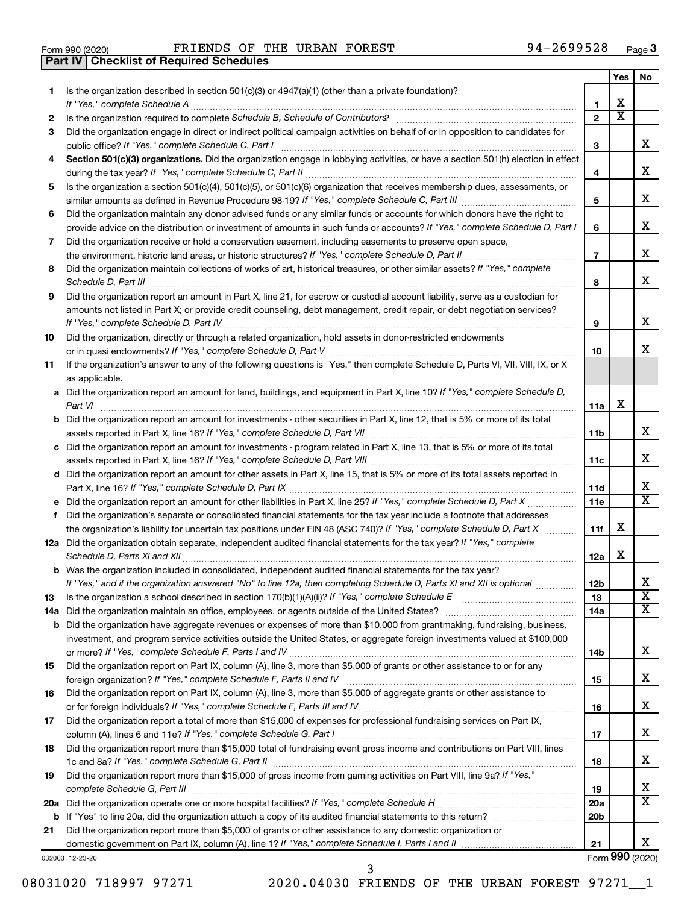|  | Form 990 (2020) |
|--|-----------------|

**Part IV Checklist of Required Schedules**

Form 990 (2020) FRIENDS OF THE URBAN FOREST  $94-2699528$  Page

|     |                                                                                                                                       |                 | Yes                     | No                      |
|-----|---------------------------------------------------------------------------------------------------------------------------------------|-----------------|-------------------------|-------------------------|
| 1   | Is the organization described in section 501(c)(3) or 4947(a)(1) (other than a private foundation)?                                   |                 |                         |                         |
|     | If "Yes," complete Schedule A                                                                                                         | 1               | x                       |                         |
| 2   |                                                                                                                                       | $\overline{2}$  | $\overline{\textbf{x}}$ |                         |
| 3   | Did the organization engage in direct or indirect political campaign activities on behalf of or in opposition to candidates for       |                 |                         |                         |
|     | public office? If "Yes," complete Schedule C, Part I                                                                                  | З               |                         | x                       |
| 4   | Section 501(c)(3) organizations. Did the organization engage in lobbying activities, or have a section 501(h) election in effect      |                 |                         |                         |
|     |                                                                                                                                       | 4               |                         | х                       |
| 5   | Is the organization a section 501(c)(4), 501(c)(5), or 501(c)(6) organization that receives membership dues, assessments, or          |                 |                         |                         |
|     |                                                                                                                                       | 5               |                         | x                       |
| 6   | Did the organization maintain any donor advised funds or any similar funds or accounts for which donors have the right to             |                 |                         |                         |
|     | provide advice on the distribution or investment of amounts in such funds or accounts? If "Yes," complete Schedule D, Part I          | 6               |                         | x                       |
| 7   | Did the organization receive or hold a conservation easement, including easements to preserve open space,                             |                 |                         |                         |
|     | the environment, historic land areas, or historic structures? If "Yes," complete Schedule D, Part II                                  | $\overline{7}$  |                         | х                       |
| 8   | Did the organization maintain collections of works of art, historical treasures, or other similar assets? If "Yes," complete          |                 |                         |                         |
|     | Schedule D, Part III <b>www.community.community.community.community.community.community.com</b>                                       | 8               |                         | x                       |
| 9   | Did the organization report an amount in Part X, line 21, for escrow or custodial account liability, serve as a custodian for         |                 |                         |                         |
|     | amounts not listed in Part X; or provide credit counseling, debt management, credit repair, or debt negotiation services?             |                 |                         |                         |
|     |                                                                                                                                       | 9               |                         | х                       |
| 10  | Did the organization, directly or through a related organization, hold assets in donor-restricted endowments                          |                 |                         |                         |
|     |                                                                                                                                       | 10              |                         | X.                      |
| 11  | If the organization's answer to any of the following questions is "Yes," then complete Schedule D, Parts VI, VII, VIII, IX, or X      |                 |                         |                         |
|     | as applicable.                                                                                                                        |                 |                         |                         |
|     | a Did the organization report an amount for land, buildings, and equipment in Part X, line 10? If "Yes," complete Schedule D,         |                 |                         |                         |
|     |                                                                                                                                       | 11a             | х                       |                         |
|     | <b>b</b> Did the organization report an amount for investments - other securities in Part X, line 12, that is 5% or more of its total |                 |                         |                         |
|     | assets reported in Part X, line 16? If "Yes," complete Schedule D, Part VII [11] [11] [12] [12] [12] [12] [12] [                      | 11b             |                         | x                       |
|     | c Did the organization report an amount for investments - program related in Part X, line 13, that is 5% or more of its total         |                 |                         |                         |
|     |                                                                                                                                       | 11c             |                         | x                       |
|     | d Did the organization report an amount for other assets in Part X, line 15, that is 5% or more of its total assets reported in       |                 |                         |                         |
|     |                                                                                                                                       | 11d             |                         | x                       |
|     |                                                                                                                                       | 11e             |                         | X                       |
| f   | Did the organization's separate or consolidated financial statements for the tax year include a footnote that addresses               |                 |                         |                         |
|     | the organization's liability for uncertain tax positions under FIN 48 (ASC 740)? If "Yes," complete Schedule D, Part X                | 11f             | x                       |                         |
|     | 12a Did the organization obtain separate, independent audited financial statements for the tax year? If "Yes," complete               |                 |                         |                         |
|     | Schedule D, Parts XI and XII                                                                                                          | 12a             | x                       |                         |
|     | <b>b</b> Was the organization included in consolidated, independent audited financial statements for the tax year?                    |                 |                         |                         |
|     | If "Yes," and if the organization answered "No" to line 12a, then completing Schedule D, Parts XI and XII is optional <i>www.</i>     | 12 <sub>b</sub> |                         | х                       |
|     |                                                                                                                                       | 13              |                         | $\overline{\mathtt{x}}$ |
| 13  |                                                                                                                                       |                 |                         | x                       |
| 14a | Did the organization have aggregate revenues or expenses of more than \$10,000 from grantmaking, fundraising, business,               | 14a             |                         |                         |
| b   | investment, and program service activities outside the United States, or aggregate foreign investments valued at \$100,000            |                 |                         |                         |
|     |                                                                                                                                       | 14b             |                         | x                       |
| 15  | Did the organization report on Part IX, column (A), line 3, more than \$5,000 of grants or other assistance to or for any             |                 |                         |                         |
|     |                                                                                                                                       | 15              |                         | X                       |
| 16  | Did the organization report on Part IX, column (A), line 3, more than \$5,000 of aggregate grants or other assistance to              |                 |                         |                         |
|     |                                                                                                                                       | 16              |                         | x                       |
| 17  | Did the organization report a total of more than \$15,000 of expenses for professional fundraising services on Part IX,               |                 |                         |                         |
|     |                                                                                                                                       | 17              |                         | x                       |
|     | Did the organization report more than \$15,000 total of fundraising event gross income and contributions on Part VIII, lines          |                 |                         |                         |
| 18  |                                                                                                                                       |                 |                         | x                       |
|     | Did the organization report more than \$15,000 of gross income from gaming activities on Part VIII, line 9a? If "Yes,"                | 18              |                         |                         |
| 19  |                                                                                                                                       |                 |                         | x                       |
|     |                                                                                                                                       | 19              |                         | x                       |
| 20a |                                                                                                                                       | 20a             |                         |                         |
| b   |                                                                                                                                       | 20 <sub>b</sub> |                         |                         |
| 21  | Did the organization report more than \$5,000 of grants or other assistance to any domestic organization or                           | 21              |                         | x                       |
|     |                                                                                                                                       |                 |                         | Form 990 (2020)         |
|     | 032003 12-23-20                                                                                                                       |                 |                         |                         |

08031020 718997 97271 2020.04030 FRIENDS OF THE URBAN FOREST 97271\_1

3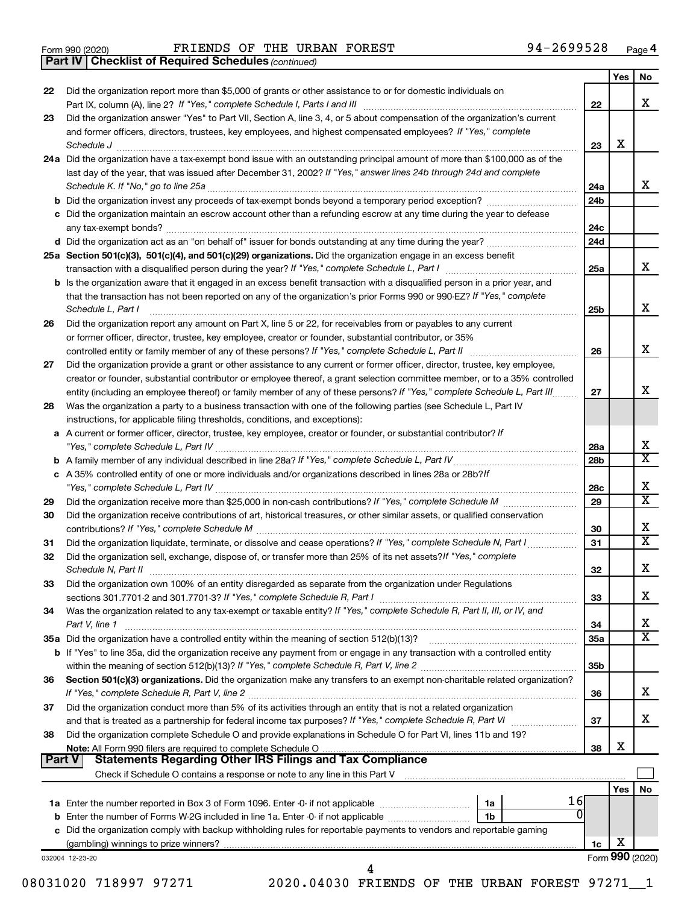|  | Form 990 (2020) |
|--|-----------------|
|  |                 |

Form 990 (2020) FRIENDS OF THE URBAN FOREST  $94-2699528$  Page

*(continued)* **Part IV Checklist of Required Schedules**

|               |                                                                                                                                                                                                                                                                                    |                 | Yes             | No                      |
|---------------|------------------------------------------------------------------------------------------------------------------------------------------------------------------------------------------------------------------------------------------------------------------------------------|-----------------|-----------------|-------------------------|
| 22            | Did the organization report more than \$5,000 of grants or other assistance to or for domestic individuals on                                                                                                                                                                      | 22              |                 | x                       |
| 23            | Did the organization answer "Yes" to Part VII, Section A, line 3, 4, or 5 about compensation of the organization's current                                                                                                                                                         |                 |                 |                         |
|               | and former officers, directors, trustees, key employees, and highest compensated employees? If "Yes," complete<br>Schedule J                                                                                                                                                       | 23              | х               |                         |
|               | 24a Did the organization have a tax-exempt bond issue with an outstanding principal amount of more than \$100,000 as of the                                                                                                                                                        |                 |                 |                         |
|               | last day of the year, that was issued after December 31, 2002? If "Yes," answer lines 24b through 24d and complete                                                                                                                                                                 |                 |                 |                         |
|               | Schedule K. If "No," go to line 25a                                                                                                                                                                                                                                                | 24a             |                 | x                       |
|               |                                                                                                                                                                                                                                                                                    | 24 <sub>b</sub> |                 |                         |
|               | c Did the organization maintain an escrow account other than a refunding escrow at any time during the year to defease                                                                                                                                                             |                 |                 |                         |
|               |                                                                                                                                                                                                                                                                                    | 24c             |                 |                         |
|               |                                                                                                                                                                                                                                                                                    | 24d             |                 |                         |
|               | 25a Section 501(c)(3), 501(c)(4), and 501(c)(29) organizations. Did the organization engage in an excess benefit                                                                                                                                                                   |                 |                 |                         |
|               |                                                                                                                                                                                                                                                                                    | 25a             |                 | x                       |
|               | <b>b</b> Is the organization aware that it engaged in an excess benefit transaction with a disqualified person in a prior year, and<br>that the transaction has not been reported on any of the organization's prior Forms 990 or 990-EZ? If "Yes," complete<br>Schedule L, Part I | 25b             |                 | х                       |
| 26            | Did the organization report any amount on Part X, line 5 or 22, for receivables from or payables to any current                                                                                                                                                                    |                 |                 |                         |
|               | or former officer, director, trustee, key employee, creator or founder, substantial contributor, or 35%                                                                                                                                                                            |                 |                 |                         |
|               |                                                                                                                                                                                                                                                                                    | 26              |                 | х                       |
| 27            | Did the organization provide a grant or other assistance to any current or former officer, director, trustee, key employee,                                                                                                                                                        |                 |                 |                         |
|               | creator or founder, substantial contributor or employee thereof, a grant selection committee member, or to a 35% controlled                                                                                                                                                        |                 |                 |                         |
|               | entity (including an employee thereof) or family member of any of these persons? If "Yes," complete Schedule L, Part III                                                                                                                                                           | 27              |                 | x                       |
| 28            | Was the organization a party to a business transaction with one of the following parties (see Schedule L, Part IV                                                                                                                                                                  |                 |                 |                         |
|               | instructions, for applicable filing thresholds, conditions, and exceptions):                                                                                                                                                                                                       |                 |                 |                         |
|               | a A current or former officer, director, trustee, key employee, creator or founder, or substantial contributor? If                                                                                                                                                                 | 28a             |                 | X                       |
|               |                                                                                                                                                                                                                                                                                    | 28 <sub>b</sub> |                 | $\overline{\texttt{x}}$ |
|               | c A 35% controlled entity of one or more individuals and/or organizations described in lines 28a or 28b?If                                                                                                                                                                         |                 |                 |                         |
|               |                                                                                                                                                                                                                                                                                    | 28c             |                 | х                       |
| 29            |                                                                                                                                                                                                                                                                                    | 29              |                 | $\overline{\text{x}}$   |
| 30            | Did the organization receive contributions of art, historical treasures, or other similar assets, or qualified conservation                                                                                                                                                        | 30              |                 | x                       |
| 31            | Did the organization liquidate, terminate, or dissolve and cease operations? If "Yes," complete Schedule N, Part I                                                                                                                                                                 | 31              |                 | $\overline{\texttt{x}}$ |
| 32            | Did the organization sell, exchange, dispose of, or transfer more than 25% of its net assets? If "Yes," complete<br>Schedule N, Part II                                                                                                                                            | 32              |                 | х                       |
| 33            | Did the organization own 100% of an entity disregarded as separate from the organization under Regulations                                                                                                                                                                         |                 |                 |                         |
|               |                                                                                                                                                                                                                                                                                    | 33              |                 | х                       |
| 34            | Was the organization related to any tax-exempt or taxable entity? If "Yes," complete Schedule R, Part II, III, or IV, and                                                                                                                                                          |                 |                 |                         |
|               | Part V, line 1                                                                                                                                                                                                                                                                     | 34              |                 | х                       |
|               |                                                                                                                                                                                                                                                                                    | 35a             |                 | $\overline{\text{X}}$   |
|               | b If "Yes" to line 35a, did the organization receive any payment from or engage in any transaction with a controlled entity                                                                                                                                                        |                 |                 |                         |
|               |                                                                                                                                                                                                                                                                                    | 35b             |                 |                         |
| 36            | Section 501(c)(3) organizations. Did the organization make any transfers to an exempt non-charitable related organization?                                                                                                                                                         |                 |                 | x                       |
|               |                                                                                                                                                                                                                                                                                    | 36              |                 |                         |
| 37            | Did the organization conduct more than 5% of its activities through an entity that is not a related organization<br>and that is treated as a partnership for federal income tax purposes? If "Yes," complete Schedule R, Part VI                                                   |                 |                 | x                       |
| 38            | Did the organization complete Schedule O and provide explanations in Schedule O for Part VI, lines 11b and 19?                                                                                                                                                                     | 37              |                 |                         |
|               |                                                                                                                                                                                                                                                                                    | 38              | х               |                         |
| <b>Part V</b> | <b>Statements Regarding Other IRS Filings and Tax Compliance</b>                                                                                                                                                                                                                   |                 |                 |                         |
|               |                                                                                                                                                                                                                                                                                    |                 |                 |                         |
|               |                                                                                                                                                                                                                                                                                    |                 | Yes             | No                      |
|               | 16<br>1a                                                                                                                                                                                                                                                                           |                 |                 |                         |
|               | $\Omega$<br>1b                                                                                                                                                                                                                                                                     |                 |                 |                         |
|               | c Did the organization comply with backup withholding rules for reportable payments to vendors and reportable gaming                                                                                                                                                               |                 |                 |                         |
|               |                                                                                                                                                                                                                                                                                    | 1c              | х               |                         |
|               | 032004 12-23-20<br>4                                                                                                                                                                                                                                                               |                 | Form 990 (2020) |                         |

08031020 718997 97271 2020.04030 FRIENDS OF THE URBAN FOREST 97271\_1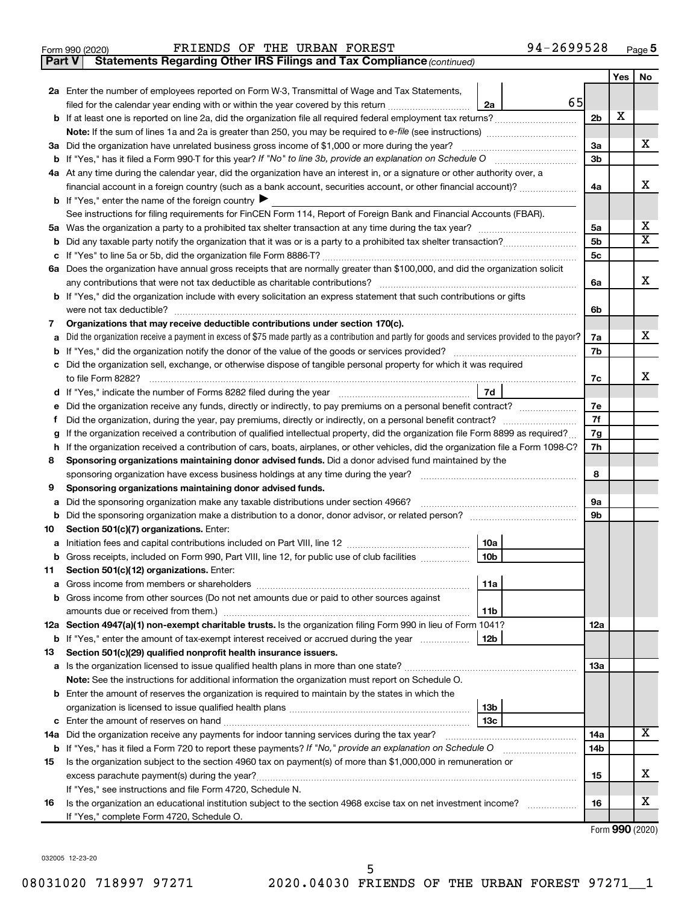|  | Form 990 (2020) |
|--|-----------------|

#### Form 990 (2020) FRIENDS OF THE URBAN FOREST  $94-2699528$  Page

**Part V** Statements Regarding Other IRS Filings and Tax Compliance (continued)

|        |                                                                                                                                                              |                | Yes | No                      |
|--------|--------------------------------------------------------------------------------------------------------------------------------------------------------------|----------------|-----|-------------------------|
|        | 2a Enter the number of employees reported on Form W-3, Transmittal of Wage and Tax Statements,                                                               |                |     |                         |
|        | 65<br>filed for the calendar year ending with or within the year covered by this return<br>2a                                                                |                |     |                         |
|        |                                                                                                                                                              | 2 <sub>b</sub> | X   |                         |
|        |                                                                                                                                                              |                |     |                         |
|        | 3a Did the organization have unrelated business gross income of \$1,000 or more during the year?                                                             | За             |     | х                       |
|        |                                                                                                                                                              | 3b             |     |                         |
|        | 4a At any time during the calendar year, did the organization have an interest in, or a signature or other authority over, a                                 |                |     |                         |
|        | financial account in a foreign country (such as a bank account, securities account, or other financial account)?                                             | 4a             |     | x                       |
|        | <b>b</b> If "Yes," enter the name of the foreign country $\blacktriangleright$                                                                               |                |     |                         |
|        | See instructions for filing requirements for FinCEN Form 114, Report of Foreign Bank and Financial Accounts (FBAR).                                          |                |     |                         |
|        |                                                                                                                                                              | 5a             |     | х                       |
| b      |                                                                                                                                                              | 5 <sub>b</sub> |     | $\overline{\mathbf{X}}$ |
| с      |                                                                                                                                                              | 5 <sub>c</sub> |     |                         |
|        | 6a Does the organization have annual gross receipts that are normally greater than \$100,000, and did the organization solicit                               |                |     |                         |
|        |                                                                                                                                                              | 6a             |     | x                       |
|        | b If "Yes," did the organization include with every solicitation an express statement that such contributions or gifts                                       |                |     |                         |
|        | were not tax deductible?                                                                                                                                     | 6b             |     |                         |
| 7      | Organizations that may receive deductible contributions under section 170(c).                                                                                |                |     |                         |
| a      | Did the organization receive a payment in excess of \$75 made partly as a contribution and partly for goods and services provided to the payor?              | 7a             |     | х                       |
| b      |                                                                                                                                                              | 7b             |     |                         |
| с      | Did the organization sell, exchange, or otherwise dispose of tangible personal property for which it was required                                            |                |     | x                       |
|        | 7d                                                                                                                                                           | 7c             |     |                         |
|        | Did the organization receive any funds, directly or indirectly, to pay premiums on a personal benefit contract?                                              | 7е             |     |                         |
| е<br>f | Did the organization, during the year, pay premiums, directly or indirectly, on a personal benefit contract?                                                 | 7f             |     |                         |
|        | If the organization received a contribution of qualified intellectual property, did the organization file Form 8899 as required?                             | 7g             |     |                         |
| h      | If the organization received a contribution of cars, boats, airplanes, or other vehicles, did the organization file a Form 1098-C?                           | 7h             |     |                         |
| 8      | Sponsoring organizations maintaining donor advised funds. Did a donor advised fund maintained by the                                                         |                |     |                         |
|        |                                                                                                                                                              | 8              |     |                         |
| 9      | Sponsoring organizations maintaining donor advised funds.                                                                                                    |                |     |                         |
| а      | Did the sponsoring organization make any taxable distributions under section 4966?                                                                           | 9а             |     |                         |
|        |                                                                                                                                                              | 9b             |     |                         |
| 10     | Section 501(c)(7) organizations. Enter:                                                                                                                      |                |     |                         |
| а      | 10a                                                                                                                                                          |                |     |                         |
|        | 10 <sub>b</sub><br>b Gross receipts, included on Form 990, Part VIII, line 12, for public use of club facilities                                             |                |     |                         |
| 11     | Section 501(c)(12) organizations. Enter:                                                                                                                     |                |     |                         |
|        | 11a                                                                                                                                                          |                |     |                         |
|        | b Gross income from other sources (Do not net amounts due or paid to other sources against                                                                   |                |     |                         |
|        | 11b                                                                                                                                                          |                |     |                         |
|        | 12a Section 4947(a)(1) non-exempt charitable trusts. Is the organization filing Form 990 in lieu of Form 1041?                                               | 12a            |     |                         |
|        | 12b<br><b>b</b> If "Yes," enter the amount of tax-exempt interest received or accrued during the year                                                        |                |     |                         |
| 13     | Section 501(c)(29) qualified nonprofit health insurance issuers.                                                                                             |                |     |                         |
|        | a Is the organization licensed to issue qualified health plans in more than one state?                                                                       | 1За            |     |                         |
|        | Note: See the instructions for additional information the organization must report on Schedule O.                                                            |                |     |                         |
|        | <b>b</b> Enter the amount of reserves the organization is required to maintain by the states in which the                                                    |                |     |                         |
|        | 13b                                                                                                                                                          |                |     |                         |
|        | 13 <sub>c</sub>                                                                                                                                              |                |     | x                       |
|        | 14a Did the organization receive any payments for indoor tanning services during the tax year?                                                               | 14a            |     |                         |
|        | <b>b</b> If "Yes," has it filed a Form 720 to report these payments? If "No," provide an explanation on Schedule O                                           | 14b            |     |                         |
| 15     | Is the organization subject to the section 4960 tax on payment(s) of more than \$1,000,000 in remuneration or                                                |                |     | х                       |
|        | excess parachute payment(s) during the year?                                                                                                                 | 15             |     |                         |
|        | If "Yes," see instructions and file Form 4720, Schedule N.                                                                                                   |                |     | x                       |
| 16     | Is the organization an educational institution subject to the section 4968 excise tax on net investment income?<br>If "Yes," complete Form 4720, Schedule O. | 16             |     |                         |
|        |                                                                                                                                                              |                |     |                         |

Form (2020) **990**

032005 12-23-20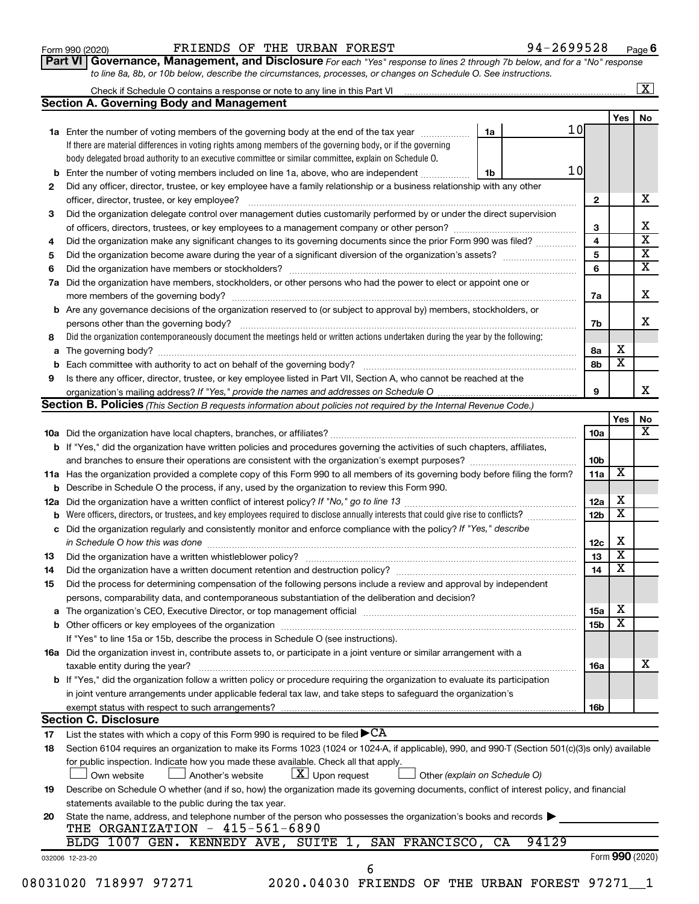| Form 990 (2020) |  |
|-----------------|--|
|-----------------|--|

#### Form 990 (2020) FRIENDS OF THE URBAN FOREST  $94-2699528$  Page

**Part VI** Governance, Management, and Disclosure For each "Yes" response to lines 2 through 7b below, and for a "No" response *to line 8a, 8b, or 10b below, describe the circumstances, processes, or changes on Schedule O. See instructions.*

| Check if Schedule O contains a response or note to any line in this Part VI [1] [1] [1] [1] [1] [1] [1] [1] [1                                                                                                                 |                               |                                                        |                         | $\mathbf{X}$                                                      |
|--------------------------------------------------------------------------------------------------------------------------------------------------------------------------------------------------------------------------------|-------------------------------|--------------------------------------------------------|-------------------------|-------------------------------------------------------------------|
| <b>Section A. Governing Body and Management</b>                                                                                                                                                                                |                               |                                                        |                         |                                                                   |
|                                                                                                                                                                                                                                |                               |                                                        | Yes                     | No                                                                |
| 1a Enter the number of voting members of the governing body at the end of the tax year                                                                                                                                         | 1a                            | 10                                                     |                         |                                                                   |
| If there are material differences in voting rights among members of the governing body, or if the governing                                                                                                                    |                               |                                                        |                         |                                                                   |
| body delegated broad authority to an executive committee or similar committee, explain on Schedule O.                                                                                                                          |                               |                                                        |                         |                                                                   |
| Enter the number of voting members included on line 1a, above, who are independent                                                                                                                                             | 1b                            | 10                                                     |                         |                                                                   |
| Did any officer, director, trustee, or key employee have a family relationship or a business relationship with any other                                                                                                       |                               |                                                        |                         |                                                                   |
| officer, director, trustee, or key employee?                                                                                                                                                                                   |                               | $\mathbf{2}$                                           |                         | x                                                                 |
| Did the organization delegate control over management duties customarily performed by or under the direct supervision                                                                                                          |                               |                                                        |                         |                                                                   |
|                                                                                                                                                                                                                                |                               | 3                                                      |                         | х                                                                 |
| Did the organization make any significant changes to its governing documents since the prior Form 990 was filed?                                                                                                               |                               | 4                                                      |                         |                                                                   |
|                                                                                                                                                                                                                                |                               | 5                                                      |                         | $\overline{\textbf{X}}$                                           |
|                                                                                                                                                                                                                                |                               | 6                                                      |                         |                                                                   |
|                                                                                                                                                                                                                                |                               |                                                        |                         | $\overline{\textbf{x}}$                                           |
| Did the organization have members, stockholders, or other persons who had the power to elect or appoint one or                                                                                                                 |                               |                                                        |                         |                                                                   |
|                                                                                                                                                                                                                                |                               | 7a                                                     |                         | x                                                                 |
| Are any governance decisions of the organization reserved to (or subject to approval by) members, stockholders, or                                                                                                             |                               |                                                        |                         |                                                                   |
|                                                                                                                                                                                                                                |                               | 7b                                                     |                         | x                                                                 |
| Did the organization contemporaneously document the meetings held or written actions undertaken during the year by the following:                                                                                              |                               |                                                        |                         |                                                                   |
|                                                                                                                                                                                                                                |                               | 8а                                                     | х                       |                                                                   |
|                                                                                                                                                                                                                                |                               | 8b                                                     | $\overline{\textbf{x}}$ |                                                                   |
| Is there any officer, director, trustee, or key employee listed in Part VII, Section A, who cannot be reached at the                                                                                                           |                               |                                                        |                         |                                                                   |
|                                                                                                                                                                                                                                |                               | 9                                                      |                         |                                                                   |
| <b>Section B. Policies</b> (This Section B requests information about policies not required by the Internal Revenue Code.)                                                                                                     |                               |                                                        |                         |                                                                   |
|                                                                                                                                                                                                                                |                               |                                                        | Yes                     | No                                                                |
|                                                                                                                                                                                                                                |                               | 10a                                                    |                         |                                                                   |
| <b>b</b> If "Yes," did the organization have written policies and procedures governing the activities of such chapters, affiliates,                                                                                            |                               |                                                        |                         |                                                                   |
|                                                                                                                                                                                                                                |                               | 10 <sub>b</sub>                                        |                         |                                                                   |
|                                                                                                                                                                                                                                |                               |                                                        | х                       |                                                                   |
| 11a Has the organization provided a complete copy of this Form 990 to all members of its governing body before filing the form?                                                                                                |                               | 11a                                                    |                         |                                                                   |
| <b>b</b> Describe in Schedule O the process, if any, used by the organization to review this Form 990.                                                                                                                         |                               |                                                        |                         |                                                                   |
|                                                                                                                                                                                                                                |                               | 12a                                                    | х                       |                                                                   |
| Were officers, directors, or trustees, and key employees required to disclose annually interests that could give rise to conflicts?                                                                                            |                               | 12 <sub>b</sub>                                        | х                       |                                                                   |
| Did the organization regularly and consistently monitor and enforce compliance with the policy? If "Yes," describe                                                                                                             |                               |                                                        |                         |                                                                   |
|                                                                                                                                                                                                                                |                               | 12c                                                    | X                       |                                                                   |
|                                                                                                                                                                                                                                |                               | 13                                                     | $\overline{\textbf{x}}$ |                                                                   |
| Did the organization have a written document retention and destruction policy? [11] manufaction model of the organization have a written document retention and destruction policy?                                            |                               | 14                                                     | $\overline{\mathbf{X}}$ |                                                                   |
| Did the process for determining compensation of the following persons include a review and approval by independent                                                                                                             |                               |                                                        |                         |                                                                   |
| persons, comparability data, and contemporaneous substantiation of the deliberation and decision?                                                                                                                              |                               |                                                        |                         |                                                                   |
| The organization's CEO, Executive Director, or top management official manufactured content of the organization's CEO, Executive Director, or top management official manufactured content of the organization's CEO, Executiv |                               | <b>15a</b>                                             | х                       |                                                                   |
|                                                                                                                                                                                                                                |                               | 15 <sub>b</sub>                                        | х                       |                                                                   |
|                                                                                                                                                                                                                                |                               |                                                        |                         |                                                                   |
| If "Yes" to line 15a or 15b, describe the process in Schedule O (see instructions).                                                                                                                                            |                               |                                                        |                         |                                                                   |
| 16a Did the organization invest in, contribute assets to, or participate in a joint venture or similar arrangement with a                                                                                                      |                               |                                                        |                         |                                                                   |
| taxable entity during the year?                                                                                                                                                                                                |                               | 16a                                                    |                         |                                                                   |
| b If "Yes," did the organization follow a written policy or procedure requiring the organization to evaluate its participation                                                                                                 |                               |                                                        |                         |                                                                   |
| in joint venture arrangements under applicable federal tax law, and take steps to safeguard the organization's                                                                                                                 |                               |                                                        |                         |                                                                   |
| exempt status with respect to such arrangements?                                                                                                                                                                               |                               | 16b                                                    |                         |                                                                   |
| <b>Section C. Disclosure</b>                                                                                                                                                                                                   |                               |                                                        |                         |                                                                   |
| List the states with which a copy of this Form 990 is required to be filed $\blacktriangleright$ CA                                                                                                                            |                               |                                                        |                         |                                                                   |
| Section 6104 requires an organization to make its Forms 1023 (1024 or 1024-A, if applicable), 990, and 990-T (Section 501(c)(3)s only) available                                                                               |                               |                                                        |                         |                                                                   |
| for public inspection. Indicate how you made these available. Check all that apply.                                                                                                                                            |                               |                                                        |                         |                                                                   |
| $\lfloor x \rfloor$ Upon request<br>Another's website<br>Own website                                                                                                                                                           | Other (explain on Schedule O) |                                                        |                         |                                                                   |
| Describe on Schedule O whether (and if so, how) the organization made its governing documents, conflict of interest policy, and financial                                                                                      |                               |                                                        |                         |                                                                   |
|                                                                                                                                                                                                                                |                               |                                                        |                         |                                                                   |
| statements available to the public during the tax year.                                                                                                                                                                        |                               |                                                        |                         |                                                                   |
| State the name, address, and telephone number of the person who possesses the organization's books and records<br>THE ORGANIZATION - 415-561-6890                                                                              |                               |                                                        |                         |                                                                   |
|                                                                                                                                                                                                                                |                               |                                                        |                         |                                                                   |
|                                                                                                                                                                                                                                |                               |                                                        |                         |                                                                   |
|                                                                                                                                                                                                                                |                               |                                                        |                         |                                                                   |
|                                                                                                                                                                                                                                | 6<br>08031020 718997 97271    | BLDG 1007 GEN. KENNEDY AVE, SUITE 1, SAN FRANCISCO, CA | 94129                   | Form 990 (2020)<br>2020.04030 FRIENDS OF THE URBAN FOREST 97271 1 |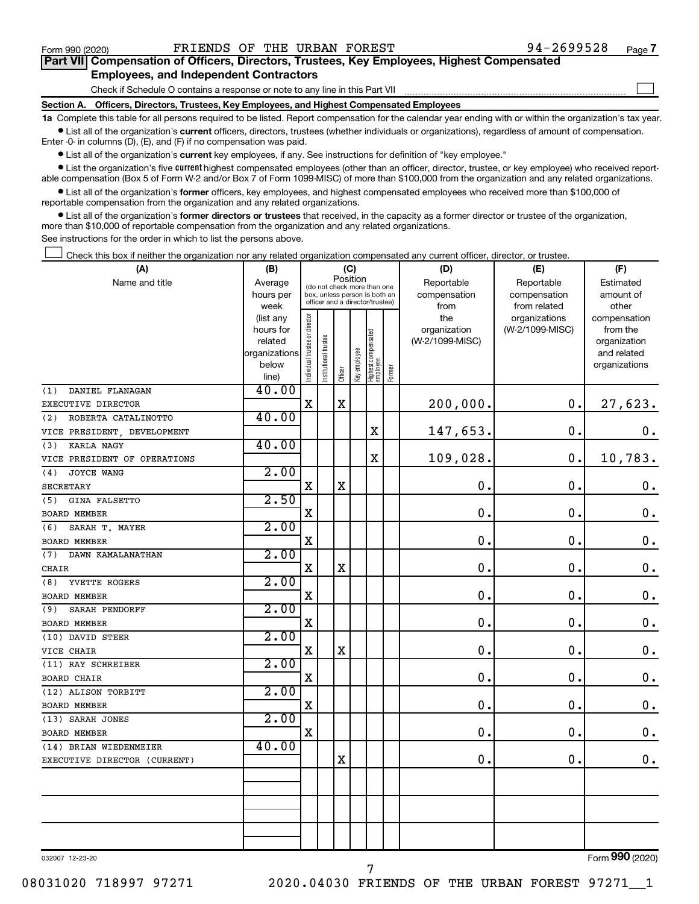$\Box$ 

| Part VII Compensation of Officers, Directors, Trustees, Key Employees, Highest Compensated |  |  |
|--------------------------------------------------------------------------------------------|--|--|
| <b>Employees, and Independent Contractors</b>                                              |  |  |

Check if Schedule O contains a response or note to any line in this Part VII

**Section A. Officers, Directors, Trustees, Key Employees, and Highest Compensated Employees**

**1a**  Complete this table for all persons required to be listed. Report compensation for the calendar year ending with or within the organization's tax year.  $\bullet$  List all of the organization's current officers, directors, trustees (whether individuals or organizations), regardless of amount of compensation.

Enter -0- in columns (D), (E), and (F) if no compensation was paid.

**•** List all of the organization's current key employees, if any. See instructions for definition of "key employee."

• List the organization's five *current* highest compensated employees (other than an officer, director, trustee, or key employee) who received reportable compensation (Box 5 of Form W-2 and/or Box 7 of Form 1099-MISC) of more than \$100,000 from the organization and any related organizations.

 $\bullet$  List all of the organization's former officers, key employees, and highest compensated employees who received more than \$100,000 of reportable compensation from the organization and any related organizations.

**•** List all of the organization's former directors or trustees that received, in the capacity as a former director or trustee of the organization, more than \$10,000 of reportable compensation from the organization and any related organizations.

See instructions for the order in which to list the persons above.

Check this box if neither the organization nor any related organization compensated any current officer, director, or trustee.  $\Box$ 

| (A)                          | (B)                  | (C)                            |                                                              |             |              |                                   |        | (D)                        | (E)                        | (F)                    |
|------------------------------|----------------------|--------------------------------|--------------------------------------------------------------|-------------|--------------|-----------------------------------|--------|----------------------------|----------------------------|------------------------|
| Name and title               | Average<br>hours per |                                | (do not check more than one<br>box, unless person is both an |             | Position     |                                   |        | Reportable<br>compensation | Reportable<br>compensation | Estimated<br>amount of |
|                              | week                 |                                | officer and a director/trustee)                              |             |              |                                   |        | from                       | from related               | other                  |
|                              | (list any            |                                |                                                              |             |              |                                   |        | the                        | organizations              | compensation           |
|                              | hours for            |                                |                                                              |             |              |                                   |        | organization               | (W-2/1099-MISC)            | from the               |
|                              | related              |                                |                                                              |             |              |                                   |        | (W-2/1099-MISC)            |                            | organization           |
|                              | organizations        |                                |                                                              |             |              |                                   |        |                            |                            | and related            |
|                              | below                | Individual trustee or director | Institutional trustee                                        | Officer     | Key employee | Highest compensated<br>  employee | Former |                            |                            | organizations          |
| DANIEL FLANAGAN<br>(1)       | line)<br>40.00       |                                |                                                              |             |              |                                   |        |                            |                            |                        |
| EXECUTIVE DIRECTOR           |                      | $\mathbf x$                    |                                                              | $\mathbf x$ |              |                                   |        | 200,000.                   | $\mathbf 0$ .              | 27,623.                |
| ROBERTA CATALINOTTO<br>(2)   | 40.00                |                                |                                                              |             |              |                                   |        |                            |                            |                        |
| VICE PRESIDENT, DEVELOPMENT  |                      |                                |                                                              |             |              | X                                 |        | 147,653.                   | $\mathbf 0$ .              | 0.                     |
| <b>KARLA NAGY</b><br>(3)     | 40.00                |                                |                                                              |             |              |                                   |        |                            |                            |                        |
| VICE PRESIDENT OF OPERATIONS |                      |                                |                                                              |             |              | $\rm X$                           |        | 109,028.                   | $\mathbf 0$ .              | 10,783.                |
| (4)<br>JOYCE WANG            | 2.00                 |                                |                                                              |             |              |                                   |        |                            |                            |                        |
| <b>SECRETARY</b>             |                      | $\mathbf X$                    |                                                              | X           |              |                                   |        | 0.                         | $\mathbf 0$ .              | $\boldsymbol{0}$ .     |
| GINA FALSETTO<br>(5)         | 2.50                 |                                |                                                              |             |              |                                   |        |                            |                            |                        |
| <b>BOARD MEMBER</b>          |                      | $\mathbf X$                    |                                                              |             |              |                                   |        | 0.                         | $\mathbf 0$ .              | $\boldsymbol{0}$ .     |
| SARAH T. MAYER<br>(6)        | 2.00                 |                                |                                                              |             |              |                                   |        |                            |                            |                        |
| <b>BOARD MEMBER</b>          |                      | X                              |                                                              |             |              |                                   |        | 0.                         | $\mathbf 0$ .              | $\mathbf 0$ .          |
| (7)<br>DAWN KAMALANATHAN     | 2.00                 |                                |                                                              |             |              |                                   |        |                            |                            |                        |
| <b>CHAIR</b>                 |                      | $\mathbf X$                    |                                                              | $\mathbf X$ |              |                                   |        | $\mathbf 0$ .              | $\mathbf 0$ .              | $\boldsymbol{0}$ .     |
| (8)<br>YVETTE ROGERS         | 2.00                 |                                |                                                              |             |              |                                   |        |                            |                            |                        |
| <b>BOARD MEMBER</b>          |                      | X                              |                                                              |             |              |                                   |        | $\mathbf 0$ .              | 0.                         | $\mathbf 0$ .          |
| (9)<br>SARAH PENDORFF        | 2.00                 |                                |                                                              |             |              |                                   |        |                            |                            |                        |
| <b>BOARD MEMBER</b>          |                      | $\mathbf X$                    |                                                              |             |              |                                   |        | $\mathbf 0$ .              | $\mathbf 0$                | $\boldsymbol{0}$ .     |
| (10) DAVID STEER             | 2.00                 |                                |                                                              |             |              |                                   |        |                            |                            |                        |
| VICE CHAIR                   |                      | X                              |                                                              | X           |              |                                   |        | 0.                         | 0.                         | $\mathbf 0$ .          |
| (11) RAY SCHREIBER           | 2.00                 |                                |                                                              |             |              |                                   |        |                            |                            |                        |
| <b>BOARD CHAIR</b>           |                      | $\mathbf X$                    |                                                              |             |              |                                   |        | $\mathbf 0$ .              | $\mathbf 0$ .              | $\mathbf 0$ .          |
| (12) ALISON TORBITT          | 2.00                 |                                |                                                              |             |              |                                   |        |                            |                            |                        |
| BOARD MEMBER                 |                      | X                              |                                                              |             |              |                                   |        | $\mathbf 0$ .              | $\mathbf 0$ .              | $\mathbf 0$ .          |
| (13) SARAH JONES             | 2.00                 |                                |                                                              |             |              |                                   |        |                            |                            |                        |
| BOARD MEMBER                 |                      | $\mathbf X$                    |                                                              |             |              |                                   |        | 0.                         | $\mathbf 0$                | $\boldsymbol{0}$ .     |
| (14) BRIAN WIEDENMEIER       | 40.00                |                                |                                                              |             |              |                                   |        |                            |                            |                        |
| EXECUTIVE DIRECTOR (CURRENT) |                      |                                |                                                              | X           |              |                                   |        | $\mathbf 0$ .              | $\mathbf 0$ .              | $0$ .                  |
|                              |                      |                                |                                                              |             |              |                                   |        |                            |                            |                        |
|                              |                      |                                |                                                              |             |              |                                   |        |                            |                            |                        |
|                              |                      |                                |                                                              |             |              |                                   |        |                            |                            |                        |
|                              |                      |                                |                                                              |             |              |                                   |        |                            |                            |                        |
|                              |                      |                                |                                                              |             |              |                                   |        |                            |                            |                        |

7

032007 12-23-20

Form (2020) **990**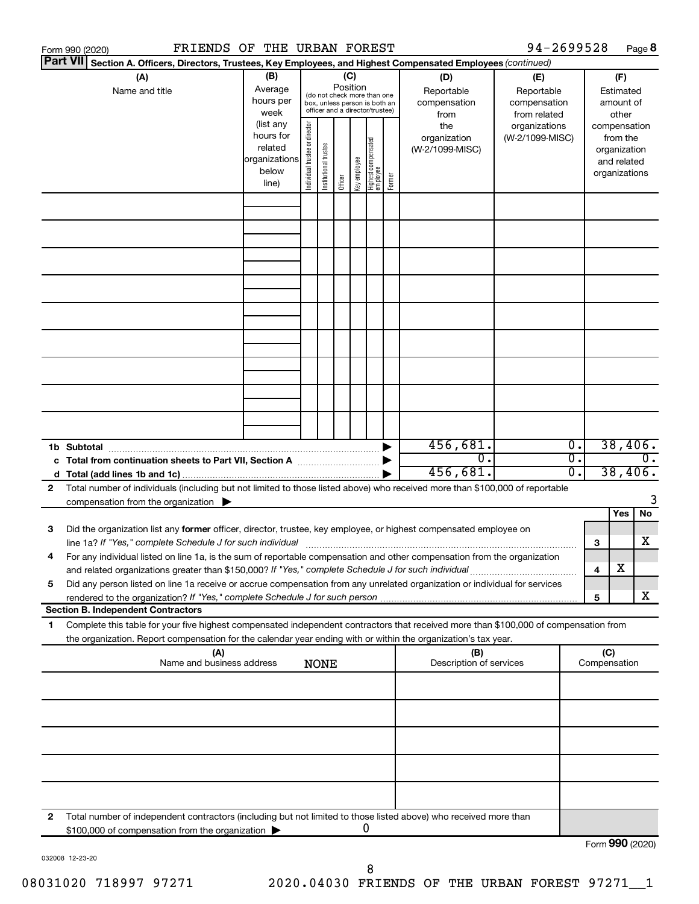|                 | Form 990 (2020)                                                                                                                                                     | FRIENDS OF THE URBAN FOREST      |                        |                               |                       |          |              |                                  |        |                                                                                                        | 94-2699528      |    |                     |                             | Page 8           |
|-----------------|---------------------------------------------------------------------------------------------------------------------------------------------------------------------|----------------------------------|------------------------|-------------------------------|-----------------------|----------|--------------|----------------------------------|--------|--------------------------------------------------------------------------------------------------------|-----------------|----|---------------------|-----------------------------|------------------|
| <b>Part VII</b> |                                                                                                                                                                     |                                  |                        |                               |                       |          |              |                                  |        | Section A. Officers, Directors, Trustees, Key Employees, and Highest Compensated Employees (continued) |                 |    |                     |                             |                  |
|                 | (A)                                                                                                                                                                 |                                  | (B)                    |                               |                       |          | (C)          |                                  |        | (D)                                                                                                    | (E)             |    |                     | (F)                         |                  |
|                 | Name and title                                                                                                                                                      |                                  | Average                |                               |                       | Position |              | (do not check more than one      |        | Reportable                                                                                             | Reportable      |    |                     | Estimated                   |                  |
|                 |                                                                                                                                                                     |                                  | hours per              |                               |                       |          |              | box, unless person is both an    |        | compensation                                                                                           | compensation    |    |                     | amount of                   |                  |
|                 |                                                                                                                                                                     |                                  | week                   |                               |                       |          |              | officer and a director/trustee)  |        | from                                                                                                   | from related    |    |                     | other                       |                  |
|                 |                                                                                                                                                                     |                                  | (list any<br>hours for |                               |                       |          |              |                                  |        | the                                                                                                    | organizations   |    |                     | compensation                |                  |
|                 |                                                                                                                                                                     |                                  | related                |                               |                       |          |              |                                  |        | organization                                                                                           | (W-2/1099-MISC) |    |                     | from the                    |                  |
|                 |                                                                                                                                                                     |                                  | organizations          |                               |                       |          |              |                                  |        | (W-2/1099-MISC)                                                                                        |                 |    |                     | organization<br>and related |                  |
|                 |                                                                                                                                                                     |                                  | below                  |                               |                       |          |              |                                  |        |                                                                                                        |                 |    |                     | organizations               |                  |
|                 |                                                                                                                                                                     |                                  | line)                  | ndividual trustee or director | Institutional trustee | Officer  | Key employee | Highest compensated<br> employee | Former |                                                                                                        |                 |    |                     |                             |                  |
|                 |                                                                                                                                                                     |                                  |                        |                               |                       |          |              |                                  |        |                                                                                                        |                 |    |                     |                             |                  |
|                 |                                                                                                                                                                     |                                  |                        |                               |                       |          |              |                                  |        |                                                                                                        |                 |    |                     |                             |                  |
|                 |                                                                                                                                                                     |                                  |                        |                               |                       |          |              |                                  |        |                                                                                                        |                 |    |                     |                             |                  |
|                 |                                                                                                                                                                     |                                  |                        |                               |                       |          |              |                                  |        |                                                                                                        |                 |    |                     |                             |                  |
|                 |                                                                                                                                                                     |                                  |                        |                               |                       |          |              |                                  |        |                                                                                                        |                 |    |                     |                             |                  |
|                 |                                                                                                                                                                     |                                  |                        |                               |                       |          |              |                                  |        |                                                                                                        |                 |    |                     |                             |                  |
|                 |                                                                                                                                                                     |                                  |                        |                               |                       |          |              |                                  |        |                                                                                                        |                 |    |                     |                             |                  |
|                 |                                                                                                                                                                     |                                  |                        |                               |                       |          |              |                                  |        |                                                                                                        |                 |    |                     |                             |                  |
|                 |                                                                                                                                                                     |                                  |                        |                               |                       |          |              |                                  |        |                                                                                                        |                 |    |                     |                             |                  |
|                 |                                                                                                                                                                     |                                  |                        |                               |                       |          |              |                                  |        |                                                                                                        |                 |    |                     |                             |                  |
|                 |                                                                                                                                                                     |                                  |                        |                               |                       |          |              |                                  |        |                                                                                                        |                 |    |                     |                             |                  |
|                 |                                                                                                                                                                     |                                  |                        |                               |                       |          |              |                                  |        |                                                                                                        |                 |    |                     |                             |                  |
|                 |                                                                                                                                                                     |                                  |                        |                               |                       |          |              |                                  |        |                                                                                                        |                 |    |                     |                             |                  |
|                 |                                                                                                                                                                     |                                  |                        |                               |                       |          |              |                                  |        |                                                                                                        |                 |    |                     |                             |                  |
|                 |                                                                                                                                                                     |                                  |                        |                               |                       |          |              |                                  |        |                                                                                                        |                 |    |                     |                             |                  |
|                 | 1b Subtotal                                                                                                                                                         |                                  |                        |                               |                       |          |              |                                  |        | 456,681.                                                                                               |                 | Ο. |                     | 38,406.                     |                  |
|                 |                                                                                                                                                                     |                                  |                        |                               |                       |          |              |                                  |        | о.                                                                                                     |                 | σ. |                     |                             | $\overline{0}$ . |
|                 |                                                                                                                                                                     |                                  |                        |                               |                       |          |              |                                  |        | 456,681.                                                                                               |                 | σ. |                     | 38,406.                     |                  |
| 2               | Total number of individuals (including but not limited to those listed above) who received more than \$100,000 of reportable                                        |                                  |                        |                               |                       |          |              |                                  |        |                                                                                                        |                 |    |                     |                             | 3                |
|                 | compensation from the organization $\blacktriangleright$                                                                                                            |                                  |                        |                               |                       |          |              |                                  |        |                                                                                                        |                 |    |                     | Yes                         | No               |
| 3               | Did the organization list any former officer, director, trustee, key employee, or highest compensated employee on                                                   |                                  |                        |                               |                       |          |              |                                  |        |                                                                                                        |                 |    |                     |                             |                  |
|                 |                                                                                                                                                                     |                                  |                        |                               |                       |          |              |                                  |        |                                                                                                        |                 |    | 3                   |                             | X                |
|                 | For any individual listed on line 1a, is the sum of reportable compensation and other compensation from the organization                                            |                                  |                        |                               |                       |          |              |                                  |        |                                                                                                        |                 |    |                     |                             |                  |
|                 | and related organizations greater than \$150,000? If "Yes," complete Schedule J for such individual                                                                 |                                  |                        |                               |                       |          |              |                                  |        |                                                                                                        |                 |    | 4                   | X                           |                  |
| 5               | Did any person listed on line 1a receive or accrue compensation from any unrelated organization or individual for services                                          |                                  |                        |                               |                       |          |              |                                  |        |                                                                                                        |                 |    |                     |                             |                  |
|                 | rendered to the organization? If "Yes," complete Schedule J for such person.                                                                                        |                                  |                        |                               |                       |          |              |                                  |        |                                                                                                        |                 |    | 5                   |                             | x                |
|                 | <b>Section B. Independent Contractors</b>                                                                                                                           |                                  |                        |                               |                       |          |              |                                  |        |                                                                                                        |                 |    |                     |                             |                  |
| 1.              | Complete this table for your five highest compensated independent contractors that received more than \$100,000 of compensation from                                |                                  |                        |                               |                       |          |              |                                  |        |                                                                                                        |                 |    |                     |                             |                  |
|                 | the organization. Report compensation for the calendar year ending with or within the organization's tax year.                                                      |                                  |                        |                               |                       |          |              |                                  |        |                                                                                                        |                 |    |                     |                             |                  |
|                 |                                                                                                                                                                     | (A)<br>Name and business address |                        |                               | <b>NONE</b>           |          |              |                                  |        | (B)<br>Description of services                                                                         |                 |    | (C)<br>Compensation |                             |                  |
|                 |                                                                                                                                                                     |                                  |                        |                               |                       |          |              |                                  |        |                                                                                                        |                 |    |                     |                             |                  |
|                 |                                                                                                                                                                     |                                  |                        |                               |                       |          |              |                                  |        |                                                                                                        |                 |    |                     |                             |                  |
|                 |                                                                                                                                                                     |                                  |                        |                               |                       |          |              |                                  |        |                                                                                                        |                 |    |                     |                             |                  |
|                 |                                                                                                                                                                     |                                  |                        |                               |                       |          |              |                                  |        |                                                                                                        |                 |    |                     |                             |                  |
|                 |                                                                                                                                                                     |                                  |                        |                               |                       |          |              |                                  |        |                                                                                                        |                 |    |                     |                             |                  |
|                 |                                                                                                                                                                     |                                  |                        |                               |                       |          |              |                                  |        |                                                                                                        |                 |    |                     |                             |                  |
|                 |                                                                                                                                                                     |                                  |                        |                               |                       |          |              |                                  |        |                                                                                                        |                 |    |                     |                             |                  |
|                 |                                                                                                                                                                     |                                  |                        |                               |                       |          |              |                                  |        |                                                                                                        |                 |    |                     |                             |                  |
| 2               | Total number of independent contractors (including but not limited to those listed above) who received more than<br>\$100,000 of compensation from the organization |                                  |                        |                               |                       |          |              | 0                                |        |                                                                                                        |                 |    |                     |                             |                  |
|                 |                                                                                                                                                                     |                                  |                        |                               |                       |          |              |                                  |        |                                                                                                        |                 |    | Form 990 (2020)     |                             |                  |

032008 12-23-20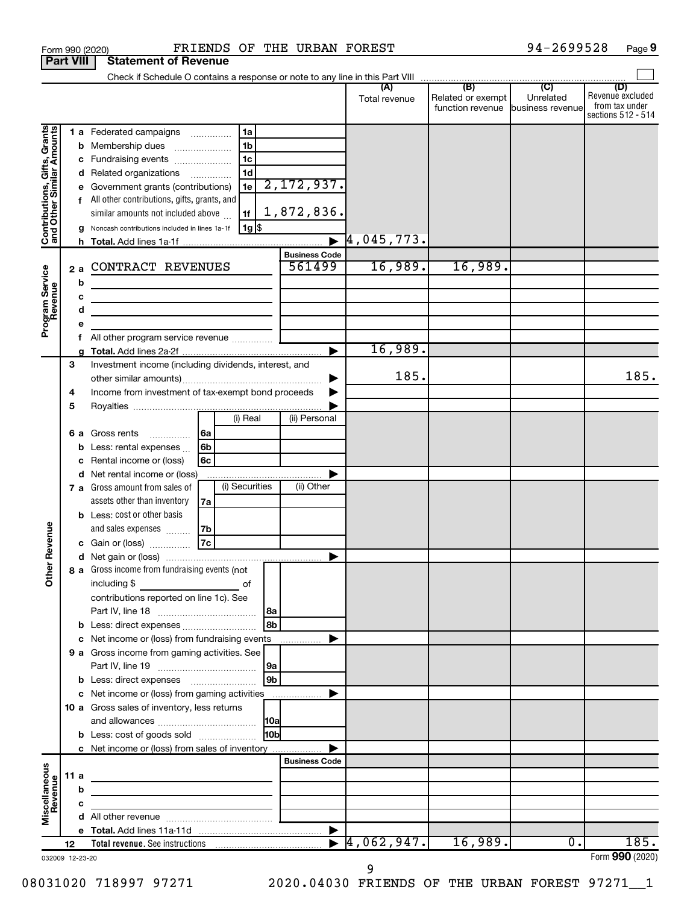|                                                                                         |                                                                          |                        | FRIENDS OF THE URBAN FOREST<br>Form 990 (2020)                                                                                                                                                                                                                                                                                                                                                                                                  |                                                            |                       |                                       | 94-2699528                    | Page 9                                                          |
|-----------------------------------------------------------------------------------------|--------------------------------------------------------------------------|------------------------|-------------------------------------------------------------------------------------------------------------------------------------------------------------------------------------------------------------------------------------------------------------------------------------------------------------------------------------------------------------------------------------------------------------------------------------------------|------------------------------------------------------------|-----------------------|---------------------------------------|-------------------------------|-----------------------------------------------------------------|
|                                                                                         | <b>Part VIII</b>                                                         |                        | <b>Statement of Revenue</b>                                                                                                                                                                                                                                                                                                                                                                                                                     |                                                            |                       |                                       |                               |                                                                 |
|                                                                                         |                                                                          |                        |                                                                                                                                                                                                                                                                                                                                                                                                                                                 |                                                            |                       |                                       |                               |                                                                 |
|                                                                                         |                                                                          |                        |                                                                                                                                                                                                                                                                                                                                                                                                                                                 |                                                            | Total revenue         | Related or exempt<br>function revenue | Unrelated<br>business revenue | (D)<br>Revenue excluded<br>from tax under<br>sections 512 - 514 |
| Contributions, Gifts, Grants<br>and Other Similar Amounts<br>Program Service<br>Revenue |                                                                          | b<br>с<br>g<br>2a<br>b | 1a<br>1 a Federated campaigns<br>1 <sub>b</sub><br>Membership dues<br>1 <sub>c</sub><br>Fundraising events<br>1 <sub>d</sub><br>d Related organizations<br>.<br>1e<br>Government grants (contributions)<br>All other contributions, gifts, grants, and<br>similar amounts not included above<br>1f<br>  1g  \$<br>Noncash contributions included in lines 1a-1f<br>CONTRACT REVENUES<br><u> 1989 - Johann Barbara, martin amerikan basar da</u> | 2,172,937.<br>1,872,836.<br><b>Business Code</b><br>561499 | 4,045,773.<br>16,989. | 16,989.                               |                               |                                                                 |
|                                                                                         |                                                                          |                        | the contract of the contract of the contract of                                                                                                                                                                                                                                                                                                                                                                                                 |                                                            |                       |                                       |                               |                                                                 |
|                                                                                         |                                                                          | d                      | the control of the control of the control of the control of the control of                                                                                                                                                                                                                                                                                                                                                                      |                                                            |                       |                                       |                               |                                                                 |
|                                                                                         |                                                                          |                        |                                                                                                                                                                                                                                                                                                                                                                                                                                                 |                                                            |                       |                                       |                               |                                                                 |
|                                                                                         |                                                                          | f.                     |                                                                                                                                                                                                                                                                                                                                                                                                                                                 |                                                            | 16,989.               |                                       |                               |                                                                 |
|                                                                                         | 3                                                                        |                        | Investment income (including dividends, interest, and                                                                                                                                                                                                                                                                                                                                                                                           |                                                            | 185.                  |                                       |                               | 185.                                                            |
|                                                                                         | Income from investment of tax-exempt bond proceeds<br>4<br>5<br>(i) Real |                        |                                                                                                                                                                                                                                                                                                                                                                                                                                                 | (ii) Personal                                              |                       |                                       |                               |                                                                 |
|                                                                                         |                                                                          | 6а<br>b                | Gross rents<br> 6a<br>$\overline{\phantom{a}}$<br>6b<br>Less: rental expenses<br>6c<br>Rental income or (loss)<br>d Net rental income or (loss)                                                                                                                                                                                                                                                                                                 |                                                            |                       |                                       |                               |                                                                 |
| evenue                                                                                  |                                                                          |                        | (i) Securities<br>7 a Gross amount from sales of<br>assets other than inventory<br>7a<br><b>b</b> Less: cost or other basis<br>and sales expenses<br>7b                                                                                                                                                                                                                                                                                         | (ii) Other                                                 |                       |                                       |                               |                                                                 |
|                                                                                         |                                                                          |                        | 7c<br>c Gain or (loss)                                                                                                                                                                                                                                                                                                                                                                                                                          |                                                            |                       |                                       |                               |                                                                 |
| Œ<br><b>Other</b>                                                                       |                                                                          |                        | 8 a Gross income from fundraising events (not<br>including $$$<br>of<br>contributions reported on line 1c). See                                                                                                                                                                                                                                                                                                                                 |                                                            |                       |                                       |                               |                                                                 |
|                                                                                         |                                                                          |                        | 8b                                                                                                                                                                                                                                                                                                                                                                                                                                              |                                                            |                       |                                       |                               |                                                                 |
|                                                                                         |                                                                          |                        | c Net income or (loss) from fundraising events                                                                                                                                                                                                                                                                                                                                                                                                  |                                                            |                       |                                       |                               |                                                                 |
|                                                                                         |                                                                          |                        | 9 a Gross income from gaming activities. See<br>19a                                                                                                                                                                                                                                                                                                                                                                                             |                                                            |                       |                                       |                               |                                                                 |
|                                                                                         |                                                                          |                        | 9 <sub>b</sub>                                                                                                                                                                                                                                                                                                                                                                                                                                  |                                                            |                       |                                       |                               |                                                                 |
|                                                                                         |                                                                          |                        | c Net income or (loss) from gaming activities                                                                                                                                                                                                                                                                                                                                                                                                   |                                                            |                       |                                       |                               |                                                                 |
|                                                                                         |                                                                          |                        | 10 a Gross sales of inventory, less returns                                                                                                                                                                                                                                                                                                                                                                                                     |                                                            |                       |                                       |                               |                                                                 |
|                                                                                         |                                                                          |                        | 10 <sub>b</sub><br><b>b</b> Less: cost of goods sold                                                                                                                                                                                                                                                                                                                                                                                            |                                                            |                       |                                       |                               |                                                                 |
|                                                                                         |                                                                          |                        | c Net income or (loss) from sales of inventory                                                                                                                                                                                                                                                                                                                                                                                                  | <b>Business Code</b>                                       |                       |                                       |                               |                                                                 |
| Miscellaneous                                                                           | 11a                                                                      |                        | <u> 1989 - Johann John Stein, mars an deus Amerikaansk kommunister (</u>                                                                                                                                                                                                                                                                                                                                                                        |                                                            |                       |                                       |                               |                                                                 |
| Revenue                                                                                 |                                                                          | b                      |                                                                                                                                                                                                                                                                                                                                                                                                                                                 |                                                            |                       |                                       |                               |                                                                 |
|                                                                                         |                                                                          |                        | <u> 1989 - Johann Barbara, martin a</u>                                                                                                                                                                                                                                                                                                                                                                                                         |                                                            |                       |                                       |                               |                                                                 |
|                                                                                         |                                                                          |                        |                                                                                                                                                                                                                                                                                                                                                                                                                                                 |                                                            |                       |                                       |                               |                                                                 |
|                                                                                         |                                                                          |                        |                                                                                                                                                                                                                                                                                                                                                                                                                                                 |                                                            |                       |                                       |                               |                                                                 |
|                                                                                         | 12                                                                       |                        |                                                                                                                                                                                                                                                                                                                                                                                                                                                 |                                                            | 4,062,947.            | 16,989.                               | 0.                            | 185.                                                            |
| 032009 12-23-20                                                                         |                                                                          |                        |                                                                                                                                                                                                                                                                                                                                                                                                                                                 |                                                            |                       |                                       |                               | Form 990 (2020)                                                 |

**9**

<sup>032009 12-23-20</sup>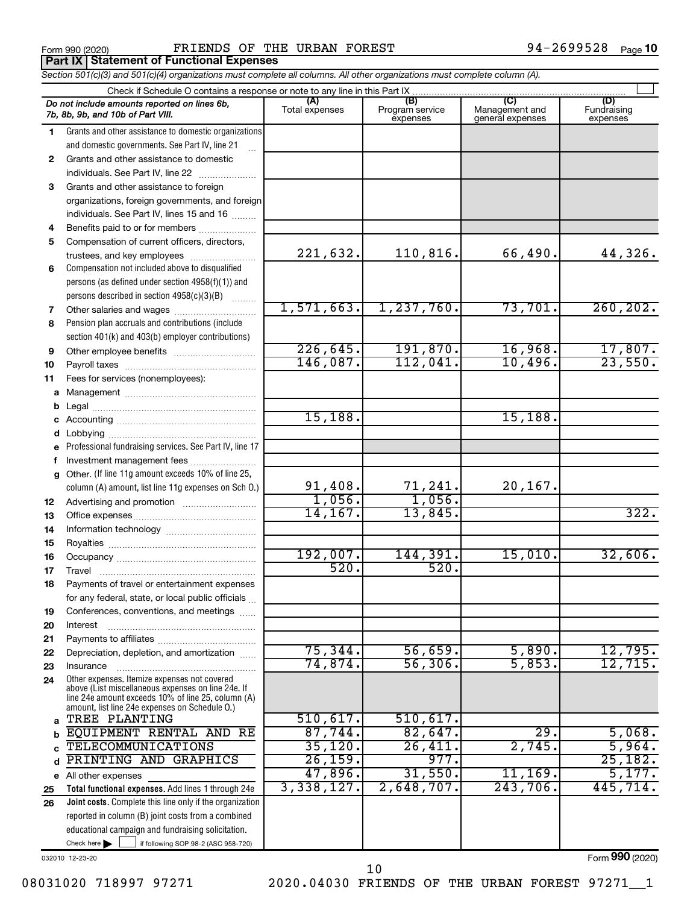**Part IX | Statement of Functional Expenses** 

Form 990 (2020) FRIENDS OF THE URBAN FOREST FOREST Form 990 (2020) Page

|                                                                             | Section 501(c)(3) and 501(c)(4) organizations must complete all columns. All other organizations must complete column (A).                                 |                       |                                    |                                           |                                |  |  |  |  |  |  |
|-----------------------------------------------------------------------------|------------------------------------------------------------------------------------------------------------------------------------------------------------|-----------------------|------------------------------------|-------------------------------------------|--------------------------------|--|--|--|--|--|--|
| Check if Schedule O contains a response or note to any line in this Part IX |                                                                                                                                                            |                       |                                    |                                           |                                |  |  |  |  |  |  |
|                                                                             | Do not include amounts reported on lines 6b,<br>7b, 8b, 9b, and 10b of Part VIII.                                                                          | (A)<br>Total expenses | (B)<br>Program service<br>expenses | (C)<br>Management and<br>general expenses | (D)<br>Fundraising<br>expenses |  |  |  |  |  |  |
| 1.                                                                          | Grants and other assistance to domestic organizations                                                                                                      |                       |                                    |                                           |                                |  |  |  |  |  |  |
|                                                                             | and domestic governments. See Part IV, line 21                                                                                                             |                       |                                    |                                           |                                |  |  |  |  |  |  |
| 2                                                                           | Grants and other assistance to domestic                                                                                                                    |                       |                                    |                                           |                                |  |  |  |  |  |  |
|                                                                             | individuals. See Part IV, line 22                                                                                                                          |                       |                                    |                                           |                                |  |  |  |  |  |  |
| 3                                                                           | Grants and other assistance to foreign                                                                                                                     |                       |                                    |                                           |                                |  |  |  |  |  |  |
|                                                                             | organizations, foreign governments, and foreign                                                                                                            |                       |                                    |                                           |                                |  |  |  |  |  |  |
|                                                                             | individuals. See Part IV, lines 15 and 16                                                                                                                  |                       |                                    |                                           |                                |  |  |  |  |  |  |
| 4                                                                           | Benefits paid to or for members                                                                                                                            |                       |                                    |                                           |                                |  |  |  |  |  |  |
| 5                                                                           | Compensation of current officers, directors,                                                                                                               |                       |                                    |                                           |                                |  |  |  |  |  |  |
|                                                                             | trustees, and key employees                                                                                                                                | 221,632.              | 110,816.                           | 66,490.                                   | 44,326.                        |  |  |  |  |  |  |
| 6                                                                           | Compensation not included above to disqualified                                                                                                            |                       |                                    |                                           |                                |  |  |  |  |  |  |
|                                                                             | persons (as defined under section 4958(f)(1)) and                                                                                                          |                       |                                    |                                           |                                |  |  |  |  |  |  |
|                                                                             | persons described in section 4958(c)(3)(B)                                                                                                                 |                       |                                    |                                           |                                |  |  |  |  |  |  |
| 7                                                                           | Other salaries and wages                                                                                                                                   | 1,571,663.            | 1, 237, 760.                       | 73,701.                                   | 260, 202.                      |  |  |  |  |  |  |
| 8                                                                           | Pension plan accruals and contributions (include                                                                                                           |                       |                                    |                                           |                                |  |  |  |  |  |  |
|                                                                             | section 401(k) and 403(b) employer contributions)                                                                                                          |                       |                                    |                                           |                                |  |  |  |  |  |  |
| 9                                                                           | Other employee benefits                                                                                                                                    | 226, 645.             | 191,870.                           | 16,968.                                   | 17,807.                        |  |  |  |  |  |  |
| 10                                                                          |                                                                                                                                                            | 146,087.              | 112,041.                           | 10,496.                                   | 23,550.                        |  |  |  |  |  |  |
| 11                                                                          | Fees for services (nonemployees):                                                                                                                          |                       |                                    |                                           |                                |  |  |  |  |  |  |
|                                                                             |                                                                                                                                                            |                       |                                    |                                           |                                |  |  |  |  |  |  |
| b                                                                           |                                                                                                                                                            |                       |                                    |                                           |                                |  |  |  |  |  |  |
|                                                                             |                                                                                                                                                            | 15,188.               |                                    | 15, 188.                                  |                                |  |  |  |  |  |  |
|                                                                             |                                                                                                                                                            |                       |                                    |                                           |                                |  |  |  |  |  |  |
|                                                                             | e Professional fundraising services. See Part IV, line 17                                                                                                  |                       |                                    |                                           |                                |  |  |  |  |  |  |
|                                                                             | Investment management fees                                                                                                                                 |                       |                                    |                                           |                                |  |  |  |  |  |  |
|                                                                             | g Other. (If line 11g amount exceeds 10% of line 25,                                                                                                       |                       |                                    |                                           |                                |  |  |  |  |  |  |
|                                                                             | column (A) amount, list line 11g expenses on Sch O.)                                                                                                       | 91,408.               | $\frac{71,241}{1,056}$             | 20,167.                                   |                                |  |  |  |  |  |  |
| 12                                                                          |                                                                                                                                                            | 1,056.                |                                    |                                           |                                |  |  |  |  |  |  |
| 13                                                                          |                                                                                                                                                            | 14, 167.              | 13,845.                            |                                           | 322.                           |  |  |  |  |  |  |
| 14                                                                          |                                                                                                                                                            |                       |                                    |                                           |                                |  |  |  |  |  |  |
| 15                                                                          |                                                                                                                                                            |                       |                                    | 15,010.                                   | 32,606.                        |  |  |  |  |  |  |
| 16                                                                          |                                                                                                                                                            | 192,007.<br>520.      | 144,391.<br>520.                   |                                           |                                |  |  |  |  |  |  |
| 17                                                                          |                                                                                                                                                            |                       |                                    |                                           |                                |  |  |  |  |  |  |
| 18                                                                          | Payments of travel or entertainment expenses                                                                                                               |                       |                                    |                                           |                                |  |  |  |  |  |  |
|                                                                             | for any federal, state, or local public officials                                                                                                          |                       |                                    |                                           |                                |  |  |  |  |  |  |
| 19                                                                          | Conferences, conventions, and meetings                                                                                                                     |                       |                                    |                                           |                                |  |  |  |  |  |  |
| 20                                                                          | Interest                                                                                                                                                   |                       |                                    |                                           |                                |  |  |  |  |  |  |
| 21<br>22                                                                    | Depreciation, depletion, and amortization                                                                                                                  | 75, 344.              | 56,659.                            | 5,890.                                    | 12,795.                        |  |  |  |  |  |  |
| 23                                                                          | Insurance                                                                                                                                                  | 74,874.               | 56,306.                            | 5,853.                                    | 12,715.                        |  |  |  |  |  |  |
| 24                                                                          | Other expenses. Itemize expenses not covered                                                                                                               |                       |                                    |                                           |                                |  |  |  |  |  |  |
|                                                                             | above (List miscellaneous expenses on line 24e. If<br>line 24e amount exceeds 10% of line 25, column (A)<br>amount, list line 24e expenses on Schedule O.) |                       |                                    |                                           |                                |  |  |  |  |  |  |
| a                                                                           | TREE PLANTING                                                                                                                                              | 510, 617.             | 510,617.                           |                                           |                                |  |  |  |  |  |  |
| b                                                                           | EQUIPMENT RENTAL AND RE                                                                                                                                    | 87,744.               | 82,647.                            | 29.                                       | 5,068.                         |  |  |  |  |  |  |
|                                                                             | <b>TELECOMMUNICATIONS</b>                                                                                                                                  | 35,120.               | 26,411.                            | 2,745.                                    | 5,964.                         |  |  |  |  |  |  |
| d                                                                           | PRINTING AND GRAPHICS                                                                                                                                      | 26, 159.              | 977.                               |                                           | 25,182.                        |  |  |  |  |  |  |
|                                                                             | e All other expenses                                                                                                                                       | 47,896.               | 31,550.                            | 11, 169.                                  | 5,177.                         |  |  |  |  |  |  |
| 25                                                                          | Total functional expenses. Add lines 1 through 24e                                                                                                         | 3,338,127.            | $2,648,707$ .                      | 243,706.                                  | 445,714.                       |  |  |  |  |  |  |
| 26                                                                          | Joint costs. Complete this line only if the organization                                                                                                   |                       |                                    |                                           |                                |  |  |  |  |  |  |
|                                                                             | reported in column (B) joint costs from a combined                                                                                                         |                       |                                    |                                           |                                |  |  |  |  |  |  |
|                                                                             | educational campaign and fundraising solicitation.                                                                                                         |                       |                                    |                                           |                                |  |  |  |  |  |  |
|                                                                             | Check here $\blacktriangleright$<br>if following SOP 98-2 (ASC 958-720)                                                                                    |                       |                                    |                                           |                                |  |  |  |  |  |  |

032010 12-23-20

Form (2020) **990**

08031020 718997 97271 2020.04030 FRIENDS OF THE URBAN FOREST 97271\_1 10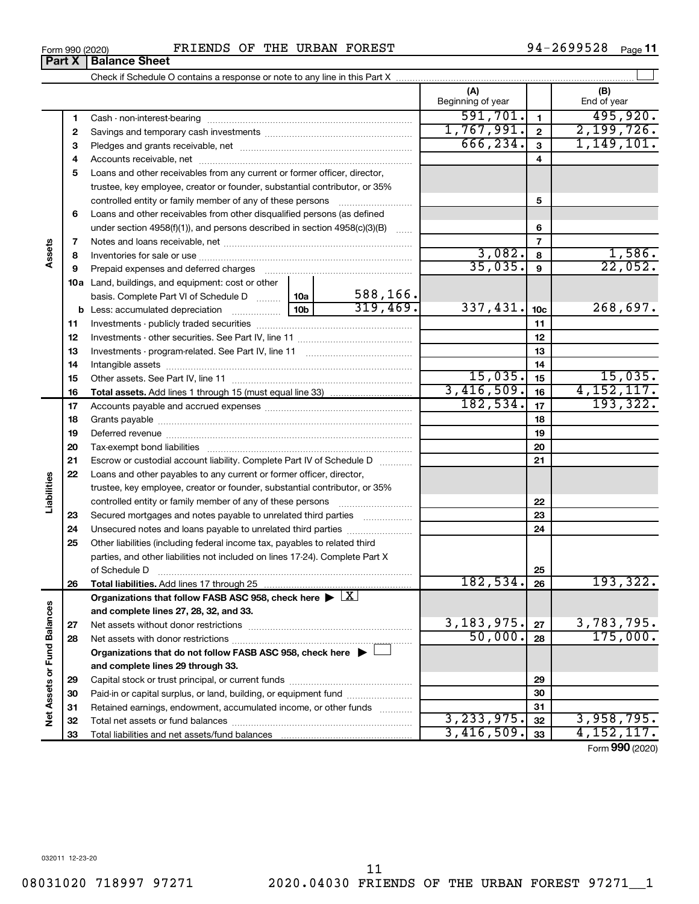$\overline{666, 234.}$   $\overline{3}$   $\overline{1, 149, 101.}$ **3 3** Pledges and grants receivable, net ~~~~~~~~~~~~~~~~~~~~~ **4 4** Accounts receivable, net ~~~~~~~~~~~~~~~~~~~~~~~~~~ **5** Loans and other receivables from any current or former officer, director, trustee, key employee, creator or founder, substantial contributor, or 35% controlled entity or family member of any of these persons ~~~~~~~~~ **5 6** Loans and other receivables from other disqualified persons (as defined under section 4958(f)(1)), and persons described in section  $4958(c)(3)(B)$  ...... **6 7 7** Notes and loans receivable, net ~~~~~~~~~~~~~~~~~~~~~~~ **Assets**  $3,082.$  8  $1,586.$ **8 8** Inventories for sale or use ~~~~~~~~~~~~~~~~~~~~~~~~~~ 35,035. 22,052. **9 9** Prepaid expenses and deferred charges ~~~~~~~~~~~~~~~~~~ **10 a** Land, buildings, and equipment: cost or other 588,166. basis. Complete Part VI of Schedule D  $\frac{1}{10}$  10a  $319,469.$   $337,431.$   $10c$   $268,697.$ **10c b** Less: accumulated depreciation  $\ldots$  [10b **11 11** Investments - publicly traded securities ~~~~~~~~~~~~~~~~~~~ **12 12** Investments - other securities. See Part IV, line 11 ~~~~~~~~~~~~~~ **13 13** Investments - program-related. See Part IV, line 11 ~~~~~~~~~~~~~ **14 14** Intangible assets ~~~~~~~~~~~~~~~~~~~~~~~~~~~~~~ Other assets. See Part IV, line 11 ~~~~~~~~~~~~~~~~~~~~~~ 15,035. 15,035. **15 15** <u>3,416,509. 16 4,152,117.</u><br>182,534. <sub>17</sub> 193,322. **16 16 Total assets.**  Add lines 1 through 15 (must equal line 33) 182,534. **17 17** Accounts payable and accrued expenses ~~~~~~~~~~~~~~~~~~ **18 18** Grants payable ~~~~~~~~~~~~~~~~~~~~~~~~~~~~~~~ **19 19** Deferred revenue ~~~~~~~~~~~~~~~~~~~~~~~~~~~~~~ **20 20** Tax-exempt bond liabilities ~~~~~~~~~~~~~~~~~~~~~~~~~ **21 21** Escrow or custodial account liability. Complete Part IV of Schedule D ........... **22** Loans and other payables to any current or former officer, director, **Liabilities** trustee, key employee, creator or founder, substantial contributor, or 35% **22** controlled entity or family member of any of these persons ~~~~~~~~~ **23** Secured mortgages and notes payable to unrelated third parties  $\ldots$ ................. **23 24** Unsecured notes and loans payable to unrelated third parties **24 25** Other liabilities (including federal income tax, payables to related third parties, and other liabilities not included on lines 17-24). Complete Part X of Schedule D ~~~~~~~~~~~~~~~~~~~~~~~~~~~~~~~ **25 26** 182,534. 193,322. **26 Total liabilities.**  Add lines 17 through 25 Organizations that follow FASB ASC 958, check here  $\blacktriangleright \boxed{\text{X}}$ Net Assets or Fund Balances **Net Assets or Fund Balances and complete lines 27, 28, 32, and 33.**  $3,183,975.$   $27$  3,783,795. **27 27** Net assets without donor restrictions ~~~~~~~~~~~~~~~~~~~~ 50,000. 175,000. **28 28** Net assets with donor restrictions ~~~~~~~~~~~~~~~~~~~~~~ **Organizations that do not follow FASB ASC 958, check here** | † **and complete lines 29 through 33. 29 29** Capital stock or trust principal, or current funds ~~~~~~~~~~~~~~~ **30 30** Paid-in or capital surplus, or land, building, or equipment fund ....................... **31 31** Retained earnings, endowment, accumulated income, or other funds ............  $3,233,975.$   $32$  3,958,795. Total net assets or fund balances ~~~~~~~~~~~~~~~~~~~~~~ **32 32** ,416,509. <sub>33</sub> 4,152,117. **33** Total liabilities and net assets/fund balances **33** Form (2020) **990**

94-2699528 <sub>Page</sub> 11

 $\perp$ 

**(A) (B)**

Beginning of year | | End of year

**1 2**

 $\overline{591,701.}$  1  $\overline{495,920.}$ 1,767,991. 2,199,726.

**Part X** | **Balance Sheet** 

**1 2**

Form 990 (2020) FRIENDS OF THE URBAN FOREST FOREST FRAGE 2699528  $_{\text{Page}}$ 

Check if Schedule O contains a response or note to any line in this Part X

Cash - non-interest-bearing ~~~~~~~~~~~~~~~~~~~~~~~~~ Savings and temporary cash investments ~~~~~~~~~~~~~~~~~~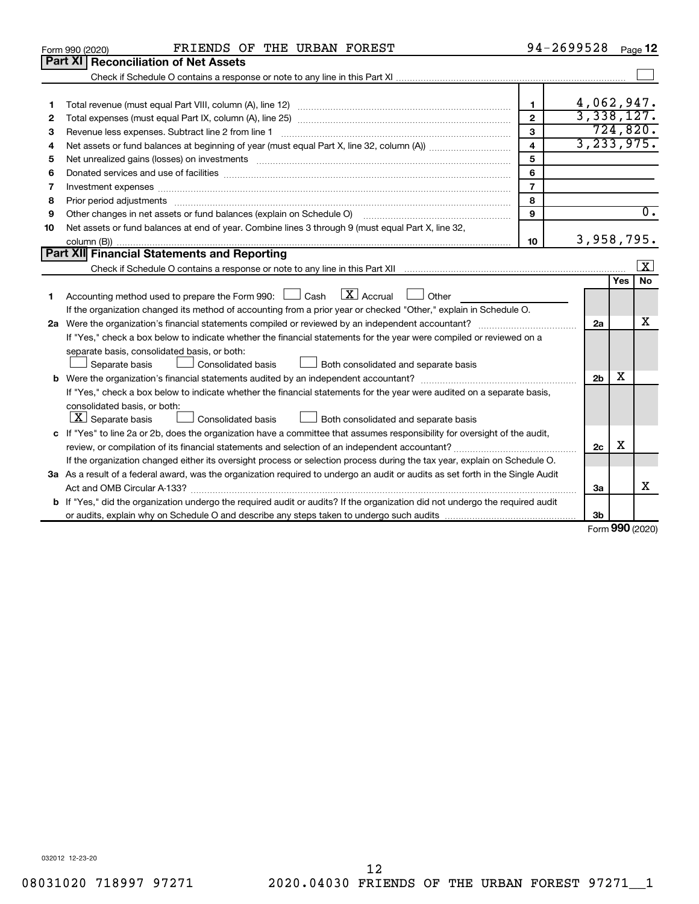| Part XI<br><b>Reconciliation of Net Assets</b><br>4,062,947.<br>$\mathbf{1}$<br>1<br>3,338,127.<br>$\overline{2}$<br>2<br>724,820.<br>3<br>3<br>3, 233, 975.<br>$\overline{\mathbf{4}}$<br>4<br>5<br>5<br>6<br>6<br>$\overline{7}$<br>Investment expenses www.communication.com/www.communication.com/www.communication.com/www.com<br>7<br>8<br>Prior period adjustments www.communication.communication.communication.com/<br>8<br>$\overline{0}$ .<br>$\mathbf{Q}$<br>Other changes in net assets or fund balances (explain on Schedule O)<br>9<br>Net assets or fund balances at end of year. Combine lines 3 through 9 (must equal Part X, line 32,<br>10<br>3,958,795.<br>10<br>Part XII Financial Statements and Reporting<br> X <br>No<br>Yes<br>$\lfloor x \rfloor$ Accrual<br>Accounting method used to prepare the Form 990: $\Box$ Cash<br>Other<br>1.<br>If the organization changed its method of accounting from a prior year or checked "Other," explain in Schedule O.<br>х<br>2a<br>If "Yes," check a box below to indicate whether the financial statements for the year were compiled or reviewed on a<br>separate basis, consolidated basis, or both:<br>Both consolidated and separate basis<br>Separate basis<br>Consolidated basis<br>x<br>2 <sub>b</sub> | FRIENDS OF THE URBAN FOREST<br>Form 990 (2020)                                                                          | 94-2699528 | Page 12 |
|-----------------------------------------------------------------------------------------------------------------------------------------------------------------------------------------------------------------------------------------------------------------------------------------------------------------------------------------------------------------------------------------------------------------------------------------------------------------------------------------------------------------------------------------------------------------------------------------------------------------------------------------------------------------------------------------------------------------------------------------------------------------------------------------------------------------------------------------------------------------------------------------------------------------------------------------------------------------------------------------------------------------------------------------------------------------------------------------------------------------------------------------------------------------------------------------------------------------------------------------------------------------------------------|-------------------------------------------------------------------------------------------------------------------------|------------|---------|
|                                                                                                                                                                                                                                                                                                                                                                                                                                                                                                                                                                                                                                                                                                                                                                                                                                                                                                                                                                                                                                                                                                                                                                                                                                                                                   |                                                                                                                         |            |         |
|                                                                                                                                                                                                                                                                                                                                                                                                                                                                                                                                                                                                                                                                                                                                                                                                                                                                                                                                                                                                                                                                                                                                                                                                                                                                                   |                                                                                                                         |            |         |
|                                                                                                                                                                                                                                                                                                                                                                                                                                                                                                                                                                                                                                                                                                                                                                                                                                                                                                                                                                                                                                                                                                                                                                                                                                                                                   |                                                                                                                         |            |         |
|                                                                                                                                                                                                                                                                                                                                                                                                                                                                                                                                                                                                                                                                                                                                                                                                                                                                                                                                                                                                                                                                                                                                                                                                                                                                                   |                                                                                                                         |            |         |
|                                                                                                                                                                                                                                                                                                                                                                                                                                                                                                                                                                                                                                                                                                                                                                                                                                                                                                                                                                                                                                                                                                                                                                                                                                                                                   |                                                                                                                         |            |         |
|                                                                                                                                                                                                                                                                                                                                                                                                                                                                                                                                                                                                                                                                                                                                                                                                                                                                                                                                                                                                                                                                                                                                                                                                                                                                                   |                                                                                                                         |            |         |
|                                                                                                                                                                                                                                                                                                                                                                                                                                                                                                                                                                                                                                                                                                                                                                                                                                                                                                                                                                                                                                                                                                                                                                                                                                                                                   |                                                                                                                         |            |         |
|                                                                                                                                                                                                                                                                                                                                                                                                                                                                                                                                                                                                                                                                                                                                                                                                                                                                                                                                                                                                                                                                                                                                                                                                                                                                                   |                                                                                                                         |            |         |
|                                                                                                                                                                                                                                                                                                                                                                                                                                                                                                                                                                                                                                                                                                                                                                                                                                                                                                                                                                                                                                                                                                                                                                                                                                                                                   |                                                                                                                         |            |         |
|                                                                                                                                                                                                                                                                                                                                                                                                                                                                                                                                                                                                                                                                                                                                                                                                                                                                                                                                                                                                                                                                                                                                                                                                                                                                                   |                                                                                                                         |            |         |
|                                                                                                                                                                                                                                                                                                                                                                                                                                                                                                                                                                                                                                                                                                                                                                                                                                                                                                                                                                                                                                                                                                                                                                                                                                                                                   |                                                                                                                         |            |         |
|                                                                                                                                                                                                                                                                                                                                                                                                                                                                                                                                                                                                                                                                                                                                                                                                                                                                                                                                                                                                                                                                                                                                                                                                                                                                                   |                                                                                                                         |            |         |
|                                                                                                                                                                                                                                                                                                                                                                                                                                                                                                                                                                                                                                                                                                                                                                                                                                                                                                                                                                                                                                                                                                                                                                                                                                                                                   |                                                                                                                         |            |         |
|                                                                                                                                                                                                                                                                                                                                                                                                                                                                                                                                                                                                                                                                                                                                                                                                                                                                                                                                                                                                                                                                                                                                                                                                                                                                                   |                                                                                                                         |            |         |
|                                                                                                                                                                                                                                                                                                                                                                                                                                                                                                                                                                                                                                                                                                                                                                                                                                                                                                                                                                                                                                                                                                                                                                                                                                                                                   |                                                                                                                         |            |         |
|                                                                                                                                                                                                                                                                                                                                                                                                                                                                                                                                                                                                                                                                                                                                                                                                                                                                                                                                                                                                                                                                                                                                                                                                                                                                                   |                                                                                                                         |            |         |
|                                                                                                                                                                                                                                                                                                                                                                                                                                                                                                                                                                                                                                                                                                                                                                                                                                                                                                                                                                                                                                                                                                                                                                                                                                                                                   |                                                                                                                         |            |         |
|                                                                                                                                                                                                                                                                                                                                                                                                                                                                                                                                                                                                                                                                                                                                                                                                                                                                                                                                                                                                                                                                                                                                                                                                                                                                                   |                                                                                                                         |            |         |
|                                                                                                                                                                                                                                                                                                                                                                                                                                                                                                                                                                                                                                                                                                                                                                                                                                                                                                                                                                                                                                                                                                                                                                                                                                                                                   |                                                                                                                         |            |         |
|                                                                                                                                                                                                                                                                                                                                                                                                                                                                                                                                                                                                                                                                                                                                                                                                                                                                                                                                                                                                                                                                                                                                                                                                                                                                                   |                                                                                                                         |            |         |
|                                                                                                                                                                                                                                                                                                                                                                                                                                                                                                                                                                                                                                                                                                                                                                                                                                                                                                                                                                                                                                                                                                                                                                                                                                                                                   |                                                                                                                         |            |         |
|                                                                                                                                                                                                                                                                                                                                                                                                                                                                                                                                                                                                                                                                                                                                                                                                                                                                                                                                                                                                                                                                                                                                                                                                                                                                                   |                                                                                                                         |            |         |
|                                                                                                                                                                                                                                                                                                                                                                                                                                                                                                                                                                                                                                                                                                                                                                                                                                                                                                                                                                                                                                                                                                                                                                                                                                                                                   |                                                                                                                         |            |         |
|                                                                                                                                                                                                                                                                                                                                                                                                                                                                                                                                                                                                                                                                                                                                                                                                                                                                                                                                                                                                                                                                                                                                                                                                                                                                                   |                                                                                                                         |            |         |
|                                                                                                                                                                                                                                                                                                                                                                                                                                                                                                                                                                                                                                                                                                                                                                                                                                                                                                                                                                                                                                                                                                                                                                                                                                                                                   | If "Yes," check a box below to indicate whether the financial statements for the year were audited on a separate basis, |            |         |
| consolidated basis, or both:                                                                                                                                                                                                                                                                                                                                                                                                                                                                                                                                                                                                                                                                                                                                                                                                                                                                                                                                                                                                                                                                                                                                                                                                                                                      |                                                                                                                         |            |         |
| $ \mathbf{X} $ Separate basis<br>Consolidated basis<br>Both consolidated and separate basis                                                                                                                                                                                                                                                                                                                                                                                                                                                                                                                                                                                                                                                                                                                                                                                                                                                                                                                                                                                                                                                                                                                                                                                       |                                                                                                                         |            |         |
| c If "Yes" to line 2a or 2b, does the organization have a committee that assumes responsibility for oversight of the audit,                                                                                                                                                                                                                                                                                                                                                                                                                                                                                                                                                                                                                                                                                                                                                                                                                                                                                                                                                                                                                                                                                                                                                       |                                                                                                                         |            |         |
| х<br>2 <sub>c</sub>                                                                                                                                                                                                                                                                                                                                                                                                                                                                                                                                                                                                                                                                                                                                                                                                                                                                                                                                                                                                                                                                                                                                                                                                                                                               |                                                                                                                         |            |         |
| If the organization changed either its oversight process or selection process during the tax year, explain on Schedule O.                                                                                                                                                                                                                                                                                                                                                                                                                                                                                                                                                                                                                                                                                                                                                                                                                                                                                                                                                                                                                                                                                                                                                         |                                                                                                                         |            |         |
| 3a As a result of a federal award, was the organization required to undergo an audit or audits as set forth in the Single Audit                                                                                                                                                                                                                                                                                                                                                                                                                                                                                                                                                                                                                                                                                                                                                                                                                                                                                                                                                                                                                                                                                                                                                   |                                                                                                                         |            |         |
| x<br>За                                                                                                                                                                                                                                                                                                                                                                                                                                                                                                                                                                                                                                                                                                                                                                                                                                                                                                                                                                                                                                                                                                                                                                                                                                                                           |                                                                                                                         |            |         |
| <b>b</b> If "Yes," did the organization undergo the required audit or audits? If the organization did not undergo the required audit                                                                                                                                                                                                                                                                                                                                                                                                                                                                                                                                                                                                                                                                                                                                                                                                                                                                                                                                                                                                                                                                                                                                              |                                                                                                                         |            |         |
| Зb<br>$000 \text{ days}$                                                                                                                                                                                                                                                                                                                                                                                                                                                                                                                                                                                                                                                                                                                                                                                                                                                                                                                                                                                                                                                                                                                                                                                                                                                          |                                                                                                                         |            |         |

Form (2020) **990**

032012 12-23-20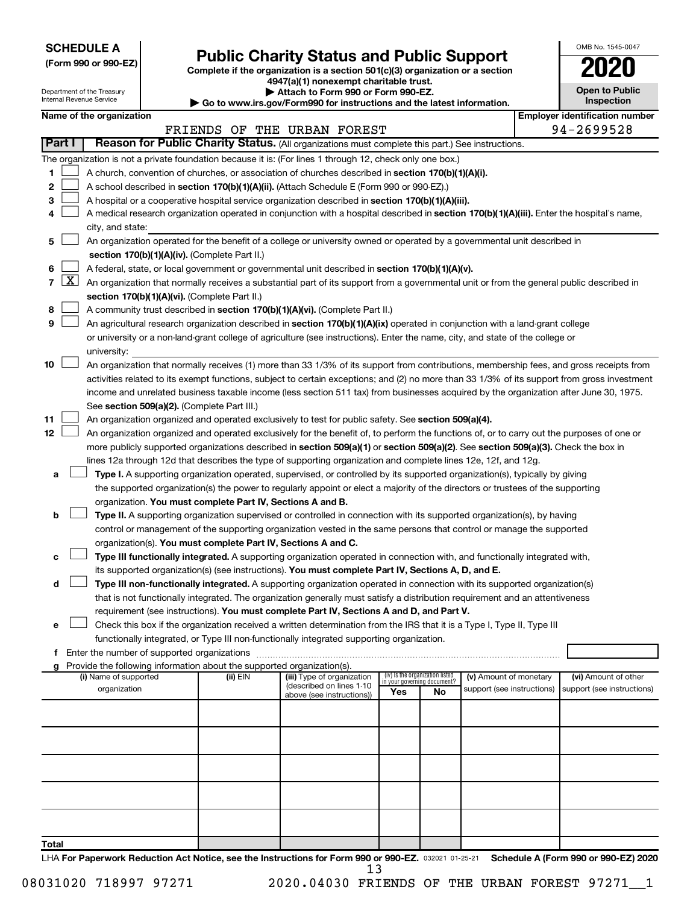**SCHEDULE A**

# Form 990 or 990-EZ) **Public Charity Status and Public Support**<br>
Complete if the organization is a section 501(c)(3) organization or a section<br> **2020**

**4947(a)(1) nonexempt charitable trust.**

|    | OMB No. 1545-0047                   |
|----|-------------------------------------|
|    | U21                                 |
|    | <b>Open to Public</b><br>Inspection |
| ١r | entification nu                     |

|                |                     | Department of the Treasury<br>Internal Revenue Service |                                                                        | Attach to Form 990 or Form 990-EZ.                                                                                                           |     |                                 |                                                      | <b>Open to Public</b><br><b>Inspection</b>         |
|----------------|---------------------|--------------------------------------------------------|------------------------------------------------------------------------|----------------------------------------------------------------------------------------------------------------------------------------------|-----|---------------------------------|------------------------------------------------------|----------------------------------------------------|
|                |                     | Name of the organization                               |                                                                        | $\blacktriangleright$ Go to www.irs.gov/Form990 for instructions and the latest information.                                                 |     |                                 |                                                      | <b>Employer identification number</b>              |
|                |                     |                                                        |                                                                        | FRIENDS OF THE URBAN FOREST                                                                                                                  |     |                                 |                                                      | 94-2699528                                         |
|                | <b>Part I</b>       |                                                        |                                                                        | Reason for Public Charity Status. (All organizations must complete this part.) See instructions.                                             |     |                                 |                                                      |                                                    |
|                |                     |                                                        |                                                                        |                                                                                                                                              |     |                                 |                                                      |                                                    |
|                |                     |                                                        |                                                                        | The organization is not a private foundation because it is: (For lines 1 through 12, check only one box.)                                    |     |                                 |                                                      |                                                    |
| 1              |                     |                                                        |                                                                        | A church, convention of churches, or association of churches described in section 170(b)(1)(A)(i).                                           |     |                                 |                                                      |                                                    |
| 2              |                     |                                                        |                                                                        | A school described in section 170(b)(1)(A)(ii). (Attach Schedule E (Form 990 or 990-EZ).)                                                    |     |                                 |                                                      |                                                    |
| 3              |                     |                                                        |                                                                        | A hospital or a cooperative hospital service organization described in section 170(b)(1)(A)(iii).                                            |     |                                 |                                                      |                                                    |
| 4              |                     |                                                        |                                                                        | A medical research organization operated in conjunction with a hospital described in section 170(b)(1)(A)(iii). Enter the hospital's name,   |     |                                 |                                                      |                                                    |
| 5              |                     | city, and state:                                       |                                                                        | An organization operated for the benefit of a college or university owned or operated by a governmental unit described in                    |     |                                 |                                                      |                                                    |
|                |                     |                                                        | section 170(b)(1)(A)(iv). (Complete Part II.)                          |                                                                                                                                              |     |                                 |                                                      |                                                    |
| 6              |                     |                                                        |                                                                        | A federal, state, or local government or governmental unit described in section 170(b)(1)(A)(v).                                             |     |                                 |                                                      |                                                    |
| $\overline{7}$ | $\lfloor x \rfloor$ |                                                        |                                                                        | An organization that normally receives a substantial part of its support from a governmental unit or from the general public described in    |     |                                 |                                                      |                                                    |
|                |                     |                                                        | section 170(b)(1)(A)(vi). (Complete Part II.)                          |                                                                                                                                              |     |                                 |                                                      |                                                    |
| 8              |                     |                                                        |                                                                        | A community trust described in section 170(b)(1)(A)(vi). (Complete Part II.)                                                                 |     |                                 |                                                      |                                                    |
| 9              |                     |                                                        |                                                                        | An agricultural research organization described in section 170(b)(1)(A)(ix) operated in conjunction with a land-grant college                |     |                                 |                                                      |                                                    |
|                |                     |                                                        |                                                                        | or university or a non-land-grant college of agriculture (see instructions). Enter the name, city, and state of the college or               |     |                                 |                                                      |                                                    |
|                |                     | university:                                            |                                                                        |                                                                                                                                              |     |                                 |                                                      |                                                    |
| 10             |                     |                                                        |                                                                        | An organization that normally receives (1) more than 33 1/3% of its support from contributions, membership fees, and gross receipts from     |     |                                 |                                                      |                                                    |
|                |                     |                                                        |                                                                        | activities related to its exempt functions, subject to certain exceptions; and (2) no more than 33 1/3% of its support from gross investment |     |                                 |                                                      |                                                    |
|                |                     |                                                        |                                                                        | income and unrelated business taxable income (less section 511 tax) from businesses acquired by the organization after June 30, 1975.        |     |                                 |                                                      |                                                    |
|                |                     |                                                        | See section 509(a)(2). (Complete Part III.)                            |                                                                                                                                              |     |                                 |                                                      |                                                    |
| 11             |                     |                                                        |                                                                        | An organization organized and operated exclusively to test for public safety. See section 509(a)(4).                                         |     |                                 |                                                      |                                                    |
| 12             |                     |                                                        |                                                                        | An organization organized and operated exclusively for the benefit of, to perform the functions of, or to carry out the purposes of one or   |     |                                 |                                                      |                                                    |
|                |                     |                                                        |                                                                        | more publicly supported organizations described in section 509(a)(1) or section 509(a)(2). See section 509(a)(3). Check the box in           |     |                                 |                                                      |                                                    |
|                |                     |                                                        |                                                                        | lines 12a through 12d that describes the type of supporting organization and complete lines 12e, 12f, and 12g.                               |     |                                 |                                                      |                                                    |
| а              |                     |                                                        |                                                                        | Type I. A supporting organization operated, supervised, or controlled by its supported organization(s), typically by giving                  |     |                                 |                                                      |                                                    |
|                |                     |                                                        |                                                                        | the supported organization(s) the power to regularly appoint or elect a majority of the directors or trustees of the supporting              |     |                                 |                                                      |                                                    |
|                |                     |                                                        | organization. You must complete Part IV, Sections A and B.             |                                                                                                                                              |     |                                 |                                                      |                                                    |
| b              |                     |                                                        |                                                                        | Type II. A supporting organization supervised or controlled in connection with its supported organization(s), by having                      |     |                                 |                                                      |                                                    |
|                |                     |                                                        |                                                                        | control or management of the supporting organization vested in the same persons that control or manage the supported                         |     |                                 |                                                      |                                                    |
|                |                     |                                                        |                                                                        | organization(s). You must complete Part IV, Sections A and C.                                                                                |     |                                 |                                                      |                                                    |
| c              |                     |                                                        |                                                                        | Type III functionally integrated. A supporting organization operated in connection with, and functionally integrated with,                   |     |                                 |                                                      |                                                    |
|                |                     |                                                        |                                                                        | its supported organization(s) (see instructions). You must complete Part IV, Sections A, D, and E.                                           |     |                                 |                                                      |                                                    |
| d              |                     |                                                        |                                                                        | Type III non-functionally integrated. A supporting organization operated in connection with its supported organization(s)                    |     |                                 |                                                      |                                                    |
|                |                     |                                                        |                                                                        | that is not functionally integrated. The organization generally must satisfy a distribution requirement and an attentiveness                 |     |                                 |                                                      |                                                    |
|                |                     |                                                        |                                                                        | requirement (see instructions). You must complete Part IV, Sections A and D, and Part V.                                                     |     |                                 |                                                      |                                                    |
| е              |                     |                                                        |                                                                        | Check this box if the organization received a written determination from the IRS that it is a Type I, Type II, Type III                      |     |                                 |                                                      |                                                    |
|                |                     |                                                        |                                                                        | functionally integrated, or Type III non-functionally integrated supporting organization.                                                    |     |                                 |                                                      |                                                    |
|                |                     | <b>f</b> Enter the number of supported organizations   |                                                                        |                                                                                                                                              |     |                                 |                                                      |                                                    |
|                |                     |                                                        | Provide the following information about the supported organization(s). |                                                                                                                                              |     | (iv) Is the organization listed |                                                      |                                                    |
|                |                     | (i) Name of supported<br>organization                  | (ii) EIN                                                               | (iii) Type of organization<br>(described on lines 1-10)                                                                                      |     | in your governing document?     | (v) Amount of monetary<br>support (see instructions) | (vi) Amount of other<br>support (see instructions) |
|                |                     |                                                        |                                                                        | above (see instructions))                                                                                                                    | Yes | No                              |                                                      |                                                    |
|                |                     |                                                        |                                                                        |                                                                                                                                              |     |                                 |                                                      |                                                    |
|                |                     |                                                        |                                                                        |                                                                                                                                              |     |                                 |                                                      |                                                    |
|                |                     |                                                        |                                                                        |                                                                                                                                              |     |                                 |                                                      |                                                    |
|                |                     |                                                        |                                                                        |                                                                                                                                              |     |                                 |                                                      |                                                    |
|                |                     |                                                        |                                                                        |                                                                                                                                              |     |                                 |                                                      |                                                    |
|                |                     |                                                        |                                                                        |                                                                                                                                              |     |                                 |                                                      |                                                    |
|                |                     |                                                        |                                                                        |                                                                                                                                              |     |                                 |                                                      |                                                    |
|                |                     |                                                        |                                                                        |                                                                                                                                              |     |                                 |                                                      |                                                    |
|                |                     |                                                        |                                                                        |                                                                                                                                              |     |                                 |                                                      |                                                    |
| Total          |                     |                                                        |                                                                        |                                                                                                                                              |     |                                 |                                                      |                                                    |
|                |                     |                                                        |                                                                        |                                                                                                                                              |     |                                 |                                                      |                                                    |

LHA For Paperwork Reduction Act Notice, see the Instructions for Form 990 or 990-EZ. 032021 01-25-21 Schedule A (Form 990 or 990-EZ) 2020 13

08031020 718997 97271 2020.04030 FRIENDS OF THE URBAN FOREST 97271\_1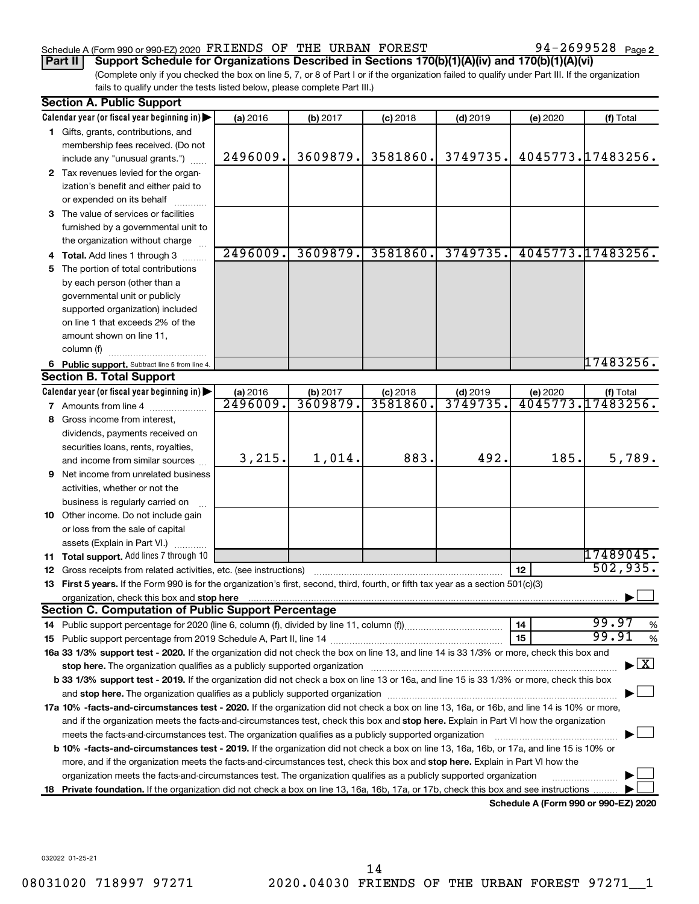#### Schedule A (Form 990 or 990-EZ) 2020  $\texttt{FRIENDS}$  OF THE URBAN  $\texttt{FOREST}$  94 - 2699528  $\texttt{Page}$

94-2699528 Page 2

(Complete only if you checked the box on line 5, 7, or 8 of Part I or if the organization failed to qualify under Part III. If the organization fails to qualify under the tests listed below, please complete Part III.) **Part II Support Schedule for Organizations Described in Sections 170(b)(1)(A)(iv) and 170(b)(1)(A)(vi)**

|    | <b>Section A. Public Support</b>                                                                                                                                                                                               |                      |                     |                        |                       |          |                                          |
|----|--------------------------------------------------------------------------------------------------------------------------------------------------------------------------------------------------------------------------------|----------------------|---------------------|------------------------|-----------------------|----------|------------------------------------------|
|    | Calendar year (or fiscal year beginning in)                                                                                                                                                                                    | (a) 2016             | (b) 2017            | $(c)$ 2018             | $(d)$ 2019            | (e) 2020 | (f) Total                                |
|    | 1 Gifts, grants, contributions, and                                                                                                                                                                                            |                      |                     |                        |                       |          |                                          |
|    | membership fees received. (Do not                                                                                                                                                                                              |                      |                     |                        |                       |          |                                          |
|    | include any "unusual grants.")                                                                                                                                                                                                 | 2496009.             | 3609879.            | 3581860.               | 3749735.              |          | 4045773.17483256.                        |
|    | 2 Tax revenues levied for the organ-                                                                                                                                                                                           |                      |                     |                        |                       |          |                                          |
|    | ization's benefit and either paid to                                                                                                                                                                                           |                      |                     |                        |                       |          |                                          |
|    | or expended on its behalf                                                                                                                                                                                                      |                      |                     |                        |                       |          |                                          |
|    | 3 The value of services or facilities                                                                                                                                                                                          |                      |                     |                        |                       |          |                                          |
|    | furnished by a governmental unit to                                                                                                                                                                                            |                      |                     |                        |                       |          |                                          |
|    | the organization without charge                                                                                                                                                                                                |                      |                     |                        |                       |          |                                          |
|    | 4 Total. Add lines 1 through 3                                                                                                                                                                                                 | 2496009.             | 3609879.            | 3581860.               | 3749735.              |          | 4045773.17483256.                        |
| 5  | The portion of total contributions                                                                                                                                                                                             |                      |                     |                        |                       |          |                                          |
|    | by each person (other than a                                                                                                                                                                                                   |                      |                     |                        |                       |          |                                          |
|    | governmental unit or publicly                                                                                                                                                                                                  |                      |                     |                        |                       |          |                                          |
|    | supported organization) included                                                                                                                                                                                               |                      |                     |                        |                       |          |                                          |
|    | on line 1 that exceeds 2% of the                                                                                                                                                                                               |                      |                     |                        |                       |          |                                          |
|    | amount shown on line 11,                                                                                                                                                                                                       |                      |                     |                        |                       |          |                                          |
|    | column (f)                                                                                                                                                                                                                     |                      |                     |                        |                       |          | 17483256.                                |
|    | 6 Public support. Subtract line 5 from line 4.<br><b>Section B. Total Support</b>                                                                                                                                              |                      |                     |                        |                       |          |                                          |
|    |                                                                                                                                                                                                                                |                      |                     |                        |                       |          |                                          |
|    | Calendar year (or fiscal year beginning in)<br><b>7</b> Amounts from line 4                                                                                                                                                    | (a) 2016<br>2496009. | (b) 2017<br>3609879 | $(c)$ 2018<br>3581860. | $(d)$ 2019<br>3749735 | (e) 2020 | (f) Total<br>4045773.17483256.           |
|    | Gross income from interest,                                                                                                                                                                                                    |                      |                     |                        |                       |          |                                          |
| 8  |                                                                                                                                                                                                                                |                      |                     |                        |                       |          |                                          |
|    | dividends, payments received on<br>securities loans, rents, royalties,                                                                                                                                                         |                      |                     |                        |                       |          |                                          |
|    | and income from similar sources                                                                                                                                                                                                | 3,215.               | 1,014.              | 883.                   | 492.                  | 185.     | 5,789.                                   |
| 9  | Net income from unrelated business                                                                                                                                                                                             |                      |                     |                        |                       |          |                                          |
|    | activities, whether or not the                                                                                                                                                                                                 |                      |                     |                        |                       |          |                                          |
|    | business is regularly carried on                                                                                                                                                                                               |                      |                     |                        |                       |          |                                          |
|    | 10 Other income. Do not include gain                                                                                                                                                                                           |                      |                     |                        |                       |          |                                          |
|    | or loss from the sale of capital                                                                                                                                                                                               |                      |                     |                        |                       |          |                                          |
|    | assets (Explain in Part VI.)                                                                                                                                                                                                   |                      |                     |                        |                       |          |                                          |
|    | 11 Total support. Add lines 7 through 10                                                                                                                                                                                       |                      |                     |                        |                       |          | 17489045.                                |
|    | <b>12</b> Gross receipts from related activities, etc. (see instructions)                                                                                                                                                      |                      |                     |                        |                       | 12       | 502,935.                                 |
|    | 13 First 5 years. If the Form 990 is for the organization's first, second, third, fourth, or fifth tax year as a section 501(c)(3)                                                                                             |                      |                     |                        |                       |          |                                          |
|    |                                                                                                                                                                                                                                |                      |                     |                        |                       |          |                                          |
|    | <b>Section C. Computation of Public Support Percentage</b>                                                                                                                                                                     |                      |                     |                        |                       |          |                                          |
|    |                                                                                                                                                                                                                                |                      |                     |                        |                       | 14       | 99.97<br>%                               |
|    |                                                                                                                                                                                                                                |                      |                     |                        |                       | 15       | 99.91<br>$\%$                            |
|    | 16a 33 1/3% support test - 2020. If the organization did not check the box on line 13, and line 14 is 33 1/3% or more, check this box and                                                                                      |                      |                     |                        |                       |          |                                          |
|    | stop here. The organization qualifies as a publicly supported organization manufaction manufacture or manufacture or the organization manufacture or the organization of the state of the state of the state of the state of t |                      |                     |                        |                       |          | $\blacktriangleright$ $\boxed{\text{X}}$ |
|    | b 33 1/3% support test - 2019. If the organization did not check a box on line 13 or 16a, and line 15 is 33 1/3% or more, check this box                                                                                       |                      |                     |                        |                       |          |                                          |
|    |                                                                                                                                                                                                                                |                      |                     |                        |                       |          |                                          |
|    | 17a 10% -facts-and-circumstances test - 2020. If the organization did not check a box on line 13, 16a, or 16b, and line 14 is 10% or more,                                                                                     |                      |                     |                        |                       |          |                                          |
|    | and if the organization meets the facts-and-circumstances test, check this box and stop here. Explain in Part VI how the organization                                                                                          |                      |                     |                        |                       |          |                                          |
|    | meets the facts-and-circumstances test. The organization qualifies as a publicly supported organization                                                                                                                        |                      |                     |                        |                       |          |                                          |
|    | <b>b 10%</b> -facts-and-circumstances test - 2019. If the organization did not check a box on line 13, 16a, 16b, or 17a, and line 15 is 10% or                                                                                 |                      |                     |                        |                       |          |                                          |
|    | more, and if the organization meets the facts-and-circumstances test, check this box and <b>stop here.</b> Explain in Part VI how the                                                                                          |                      |                     |                        |                       |          |                                          |
|    | organization meets the facts-and-circumstances test. The organization qualifies as a publicly supported organization                                                                                                           |                      |                     |                        |                       |          |                                          |
| 18 | Private foundation. If the organization did not check a box on line 13, 16a, 16b, 17a, or 17b, check this box and see instructions.                                                                                            |                      |                     |                        |                       |          |                                          |
|    |                                                                                                                                                                                                                                |                      |                     |                        |                       |          | Schedule A (Form 990 or 990-EZ) 2020     |

032022 01-25-21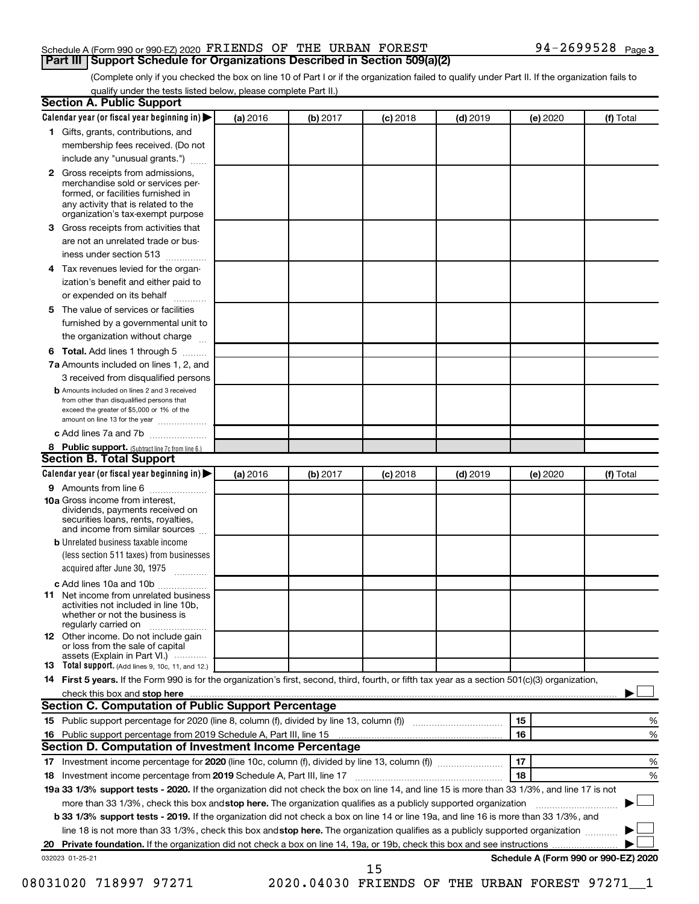#### Schedule A (Form 990 or 990-EZ) 2020  $\texttt{FRIENDS}$  OF THE URBAN  $\texttt{FOREST}$  94 - 2699528  $\texttt{Page}$ **Part III Support Schedule for Organizations Described in Section 509(a)(2)**

(Complete only if you checked the box on line 10 of Part I or if the organization failed to qualify under Part II. If the organization fails to qualify under the tests listed below, please complete Part II.)

| $\mathbf{2}$ |                                                                                                                                                                                                                                                                  | (a) 2016 | (b) 2017 | $(c)$ 2018 | $(d)$ 2019 |    | (e) 2020 | (f) Total                            |
|--------------|------------------------------------------------------------------------------------------------------------------------------------------------------------------------------------------------------------------------------------------------------------------|----------|----------|------------|------------|----|----------|--------------------------------------|
|              | 1 Gifts, grants, contributions, and                                                                                                                                                                                                                              |          |          |            |            |    |          |                                      |
|              | membership fees received. (Do not                                                                                                                                                                                                                                |          |          |            |            |    |          |                                      |
|              | include any "unusual grants.")                                                                                                                                                                                                                                   |          |          |            |            |    |          |                                      |
|              | Gross receipts from admissions,<br>merchandise sold or services per-<br>formed, or facilities furnished in<br>any activity that is related to the<br>organization's tax-exempt purpose                                                                           |          |          |            |            |    |          |                                      |
| 3            | Gross receipts from activities that                                                                                                                                                                                                                              |          |          |            |            |    |          |                                      |
|              | are not an unrelated trade or bus-                                                                                                                                                                                                                               |          |          |            |            |    |          |                                      |
|              | iness under section 513                                                                                                                                                                                                                                          |          |          |            |            |    |          |                                      |
| 4            | Tax revenues levied for the organ-                                                                                                                                                                                                                               |          |          |            |            |    |          |                                      |
|              | ization's benefit and either paid to<br>or expended on its behalf<br>.                                                                                                                                                                                           |          |          |            |            |    |          |                                      |
| 5            | The value of services or facilities                                                                                                                                                                                                                              |          |          |            |            |    |          |                                      |
|              | furnished by a governmental unit to                                                                                                                                                                                                                              |          |          |            |            |    |          |                                      |
|              | the organization without charge                                                                                                                                                                                                                                  |          |          |            |            |    |          |                                      |
| 6            | Total. Add lines 1 through 5                                                                                                                                                                                                                                     |          |          |            |            |    |          |                                      |
|              | 7a Amounts included on lines 1, 2, and                                                                                                                                                                                                                           |          |          |            |            |    |          |                                      |
|              | 3 received from disqualified persons                                                                                                                                                                                                                             |          |          |            |            |    |          |                                      |
|              | <b>b</b> Amounts included on lines 2 and 3 received<br>from other than disqualified persons that<br>exceed the greater of \$5,000 or 1% of the<br>amount on line 13 for the year                                                                                 |          |          |            |            |    |          |                                      |
|              | c Add lines 7a and 7b                                                                                                                                                                                                                                            |          |          |            |            |    |          |                                      |
|              | 8 Public support. (Subtract line 7c from line 6.)                                                                                                                                                                                                                |          |          |            |            |    |          |                                      |
|              | <b>Section B. Total Support</b>                                                                                                                                                                                                                                  |          |          |            |            |    |          |                                      |
|              | Calendar year (or fiscal year beginning in)                                                                                                                                                                                                                      | (a) 2016 | (b) 2017 | $(c)$ 2018 | $(d)$ 2019 |    | (e) 2020 | (f) Total                            |
|              | 9 Amounts from line 6                                                                                                                                                                                                                                            |          |          |            |            |    |          |                                      |
|              | <b>10a</b> Gross income from interest,<br>dividends, payments received on<br>securities loans, rents, royalties,<br>and income from similar sources                                                                                                              |          |          |            |            |    |          |                                      |
|              | <b>b</b> Unrelated business taxable income                                                                                                                                                                                                                       |          |          |            |            |    |          |                                      |
|              | (less section 511 taxes) from businesses<br>acquired after June 30, 1975                                                                                                                                                                                         |          |          |            |            |    |          |                                      |
|              | c Add lines 10a and 10b                                                                                                                                                                                                                                          |          |          |            |            |    |          |                                      |
| 11           | Net income from unrelated business<br>activities not included in line 10b.<br>whether or not the business is<br>regularly carried on                                                                                                                             |          |          |            |            |    |          |                                      |
|              | <b>12</b> Other income. Do not include gain<br>or loss from the sale of capital<br>assets (Explain in Part VI.)                                                                                                                                                  |          |          |            |            |    |          |                                      |
|              | 13 Total support. (Add lines 9, 10c, 11, and 12.)                                                                                                                                                                                                                |          |          |            |            |    |          |                                      |
|              | 14 First 5 years. If the Form 990 is for the organization's first, second, third, fourth, or fifth tax year as a section 501(c)(3) organization,                                                                                                                 |          |          |            |            |    |          |                                      |
|              |                                                                                                                                                                                                                                                                  |          |          |            |            |    |          |                                      |
|              | <b>Section C. Computation of Public Support Percentage</b>                                                                                                                                                                                                       |          |          |            |            |    |          |                                      |
|              |                                                                                                                                                                                                                                                                  |          |          |            |            | 15 |          | %                                    |
|              |                                                                                                                                                                                                                                                                  |          |          |            |            | 16 |          | %                                    |
|              | Section D. Computation of Investment Income Percentage                                                                                                                                                                                                           |          |          |            |            |    |          |                                      |
|              |                                                                                                                                                                                                                                                                  |          |          |            |            | 17 |          | %                                    |
|              |                                                                                                                                                                                                                                                                  |          |          |            |            | 18 |          | %                                    |
|              |                                                                                                                                                                                                                                                                  |          |          |            |            |    |          |                                      |
|              |                                                                                                                                                                                                                                                                  |          |          |            |            |    |          |                                      |
|              | 19a 33 1/3% support tests - 2020. If the organization did not check the box on line 14, and line 15 is more than 33 1/3%, and line 17 is not                                                                                                                     |          |          |            |            |    |          |                                      |
|              | more than 33 1/3%, check this box and stop here. The organization qualifies as a publicly supported organization<br><b>b 33 1/3% support tests - 2019.</b> If the organization did not check a box on line 14 or line 19a, and line 16 is more than 33 1/3%, and |          |          |            |            |    |          |                                      |
|              | line 18 is not more than 33 1/3%, check this box and stop here. The organization qualifies as a publicly supported organization                                                                                                                                  |          |          |            |            |    |          |                                      |
|              |                                                                                                                                                                                                                                                                  |          |          |            |            |    |          |                                      |
|              | 032023 01-25-21                                                                                                                                                                                                                                                  |          |          | 15         |            |    |          | Schedule A (Form 990 or 990-EZ) 2020 |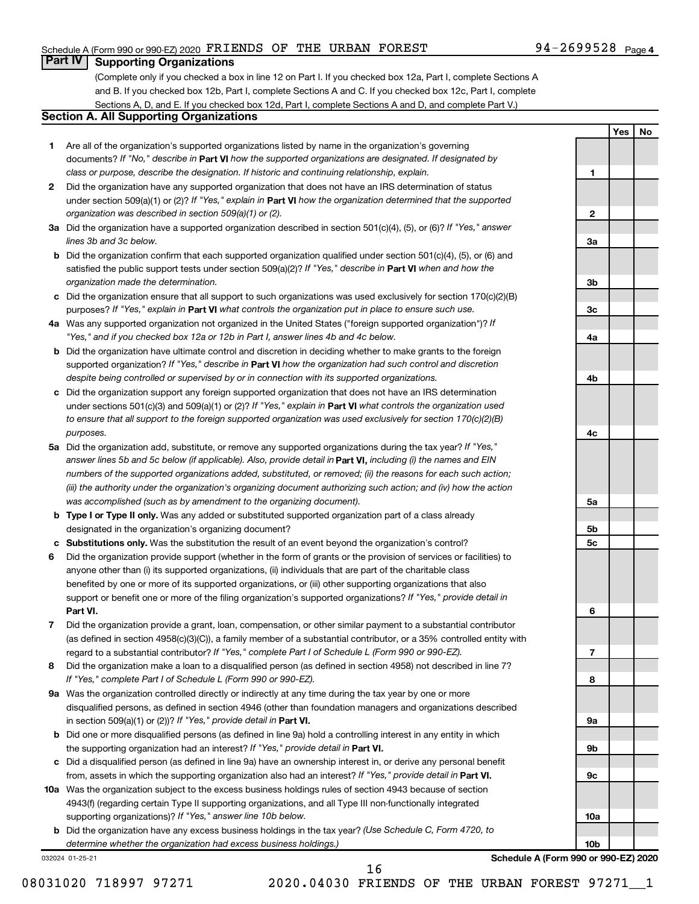#### Schedule A (Form 990 or 990-EZ) 2020  $\texttt{FRIENDS}$  OF THE URBAN  $\texttt{FOREST}$  94 - 2699528  $\texttt{Page}$

### **Part IV Supporting Organizations**

(Complete only if you checked a box in line 12 on Part I. If you checked box 12a, Part I, complete Sections A and B. If you checked box 12b, Part I, complete Sections A and C. If you checked box 12c, Part I, complete Sections A, D, and E. If you checked box 12d, Part I, complete Sections A and D, and complete Part V.)

#### **Section A. All Supporting Organizations**

- **1** Are all of the organization's supported organizations listed by name in the organization's governing documents? If "No," describe in Part VI how the supported organizations are designated. If designated by *class or purpose, describe the designation. If historic and continuing relationship, explain.*
- **2** Did the organization have any supported organization that does not have an IRS determination of status under section 509(a)(1) or (2)? If "Yes," explain in Part **VI** how the organization determined that the supported *organization was described in section 509(a)(1) or (2).*
- **3a** Did the organization have a supported organization described in section 501(c)(4), (5), or (6)? If "Yes," answer *lines 3b and 3c below.*
- **b** Did the organization confirm that each supported organization qualified under section 501(c)(4), (5), or (6) and satisfied the public support tests under section 509(a)(2)? If "Yes," describe in Part VI when and how the *organization made the determination.*
- **c** Did the organization ensure that all support to such organizations was used exclusively for section 170(c)(2)(B) purposes? If "Yes," explain in Part VI what controls the organization put in place to ensure such use.
- **4 a** *If* Was any supported organization not organized in the United States ("foreign supported organization")? *"Yes," and if you checked box 12a or 12b in Part I, answer lines 4b and 4c below.*
- **b** Did the organization have ultimate control and discretion in deciding whether to make grants to the foreign supported organization? If "Yes," describe in Part VI how the organization had such control and discretion *despite being controlled or supervised by or in connection with its supported organizations.*
- **c** Did the organization support any foreign supported organization that does not have an IRS determination under sections 501(c)(3) and 509(a)(1) or (2)? If "Yes," explain in Part VI what controls the organization used *to ensure that all support to the foreign supported organization was used exclusively for section 170(c)(2)(B) purposes.*
- **5a** Did the organization add, substitute, or remove any supported organizations during the tax year? If "Yes," answer lines 5b and 5c below (if applicable). Also, provide detail in **Part VI,** including (i) the names and EIN *numbers of the supported organizations added, substituted, or removed; (ii) the reasons for each such action; (iii) the authority under the organization's organizing document authorizing such action; and (iv) how the action was accomplished (such as by amendment to the organizing document).*
- **b Type I or Type II only.** Was any added or substituted supported organization part of a class already designated in the organization's organizing document?
- **c Substitutions only.**  Was the substitution the result of an event beyond the organization's control?
- **6** Did the organization provide support (whether in the form of grants or the provision of services or facilities) to **Part VI.** support or benefit one or more of the filing organization's supported organizations? If "Yes," provide detail in anyone other than (i) its supported organizations, (ii) individuals that are part of the charitable class benefited by one or more of its supported organizations, or (iii) other supporting organizations that also
- **7** Did the organization provide a grant, loan, compensation, or other similar payment to a substantial contributor regard to a substantial contributor? If "Yes," complete Part I of Schedule L (Form 990 or 990-EZ). (as defined in section 4958(c)(3)(C)), a family member of a substantial contributor, or a 35% controlled entity with
- **8** Did the organization make a loan to a disqualified person (as defined in section 4958) not described in line 7? *If "Yes," complete Part I of Schedule L (Form 990 or 990-EZ).*
- **9 a** Was the organization controlled directly or indirectly at any time during the tax year by one or more in section 509(a)(1) or (2))? If "Yes," provide detail in **Part VI.** disqualified persons, as defined in section 4946 (other than foundation managers and organizations described
- **b** Did one or more disqualified persons (as defined in line 9a) hold a controlling interest in any entity in which the supporting organization had an interest? If "Yes," provide detail in Part VI.
- **c** Did a disqualified person (as defined in line 9a) have an ownership interest in, or derive any personal benefit from, assets in which the supporting organization also had an interest? If "Yes," provide detail in Part VI.
- **10 a** Was the organization subject to the excess business holdings rules of section 4943 because of section supporting organizations)? If "Yes," answer line 10b below. 4943(f) (regarding certain Type II supporting organizations, and all Type III non-functionally integrated
	- **b** Did the organization have any excess business holdings in the tax year? (Use Schedule C, Form 4720, to *determine whether the organization had excess business holdings.)*

032024 01-25-21

**Yes No 1 2 3a 3b 3c 4a 4b 4c 5a 5b 5c 6 7 8 9a 9b 9c**

**Schedule A (Form 990 or 990-EZ) 2020**

**10a**

**10b**

08031020 718997 97271 2020.04030 FRIENDS OF THE URBAN FOREST 97271 1

16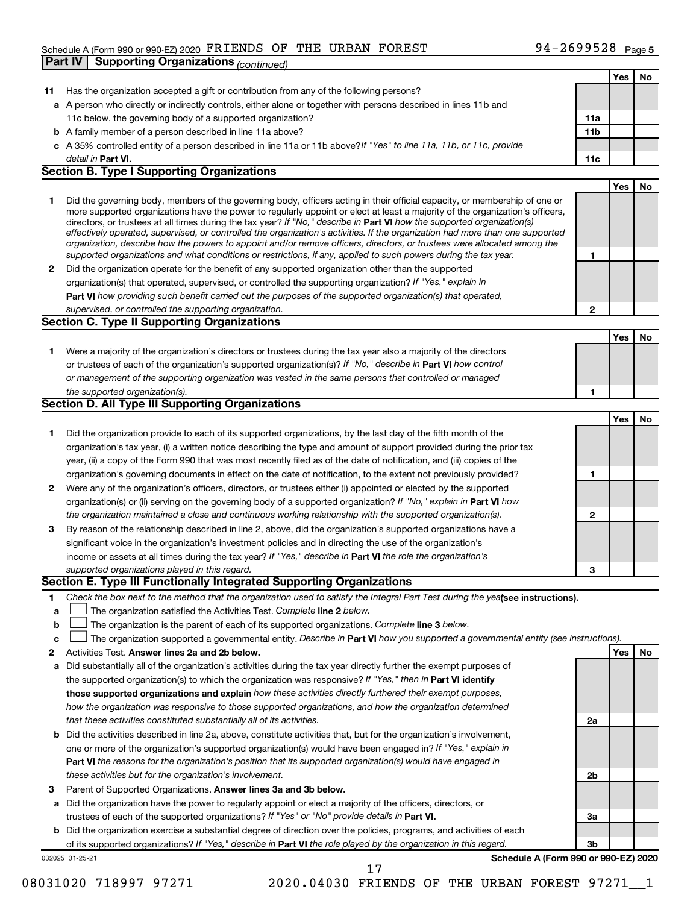#### Schedule A (Form 990 or 990-EZ) 2020  $\texttt{FRIENDS}$  OF THE URBAN  $\texttt{FOREST}$  94 - 2699528  $\texttt{Page}$

|    | <b>Supporting Organizations (continued)</b><br>Part IV                                                                                                                                                                                                    |                 |            |    |
|----|-----------------------------------------------------------------------------------------------------------------------------------------------------------------------------------------------------------------------------------------------------------|-----------------|------------|----|
|    |                                                                                                                                                                                                                                                           |                 | <b>Yes</b> | No |
| 11 | Has the organization accepted a gift or contribution from any of the following persons?                                                                                                                                                                   |                 |            |    |
|    | a A person who directly or indirectly controls, either alone or together with persons described in lines 11b and                                                                                                                                          |                 |            |    |
|    | 11c below, the governing body of a supported organization?                                                                                                                                                                                                | 11a             |            |    |
|    | <b>b</b> A family member of a person described in line 11a above?                                                                                                                                                                                         | 11 <sub>b</sub> |            |    |
|    | c A 35% controlled entity of a person described in line 11a or 11b above? If "Yes" to line 11a, 11b, or 11c, provide                                                                                                                                      |                 |            |    |
|    | detail in Part VI.                                                                                                                                                                                                                                        | 11c             |            |    |
|    | <b>Section B. Type I Supporting Organizations</b>                                                                                                                                                                                                         |                 |            |    |
|    |                                                                                                                                                                                                                                                           |                 | Yes        | No |
| 1  | Did the governing body, members of the governing body, officers acting in their official capacity, or membership of one or                                                                                                                                |                 |            |    |
|    | more supported organizations have the power to regularly appoint or elect at least a majority of the organization's officers,                                                                                                                             |                 |            |    |
|    | directors, or trustees at all times during the tax year? If "No," describe in Part VI how the supported organization(s)<br>effectively operated, supervised, or controlled the organization's activities. If the organization had more than one supported |                 |            |    |
|    | organization, describe how the powers to appoint and/or remove officers, directors, or trustees were allocated among the                                                                                                                                  |                 |            |    |
|    | supported organizations and what conditions or restrictions, if any, applied to such powers during the tax year.                                                                                                                                          | 1               |            |    |
| 2  | Did the organization operate for the benefit of any supported organization other than the supported                                                                                                                                                       |                 |            |    |
|    | organization(s) that operated, supervised, or controlled the supporting organization? If "Yes," explain in                                                                                                                                                |                 |            |    |
|    | Part VI how providing such benefit carried out the purposes of the supported organization(s) that operated,                                                                                                                                               |                 |            |    |
|    | supervised, or controlled the supporting organization.                                                                                                                                                                                                    | $\mathbf{2}$    |            |    |
|    | <b>Section C. Type II Supporting Organizations</b>                                                                                                                                                                                                        |                 |            |    |
|    |                                                                                                                                                                                                                                                           |                 | <b>Yes</b> | No |
| 1  | Were a majority of the organization's directors or trustees during the tax year also a majority of the directors                                                                                                                                          |                 |            |    |
|    | or trustees of each of the organization's supported organization(s)? If "No," describe in Part VI how control                                                                                                                                             |                 |            |    |
|    | or management of the supporting organization was vested in the same persons that controlled or managed                                                                                                                                                    |                 |            |    |
|    | the supported organization(s).                                                                                                                                                                                                                            | 1               |            |    |
|    | <b>Section D. All Type III Supporting Organizations</b>                                                                                                                                                                                                   |                 |            |    |
|    |                                                                                                                                                                                                                                                           |                 | <b>Yes</b> | No |
| 1  | Did the organization provide to each of its supported organizations, by the last day of the fifth month of the                                                                                                                                            |                 |            |    |
|    | organization's tax year, (i) a written notice describing the type and amount of support provided during the prior tax                                                                                                                                     |                 |            |    |
|    | year, (ii) a copy of the Form 990 that was most recently filed as of the date of notification, and (iii) copies of the                                                                                                                                    |                 |            |    |
|    | organization's governing documents in effect on the date of notification, to the extent not previously provided?                                                                                                                                          | 1               |            |    |
| 2  | Were any of the organization's officers, directors, or trustees either (i) appointed or elected by the supported                                                                                                                                          |                 |            |    |
|    | organization(s) or (ii) serving on the governing body of a supported organization? If "No," explain in <b>Part VI</b> how                                                                                                                                 |                 |            |    |
|    | the organization maintained a close and continuous working relationship with the supported organization(s).                                                                                                                                               | $\mathbf 2$     |            |    |
| 3  | By reason of the relationship described in line 2, above, did the organization's supported organizations have a                                                                                                                                           |                 |            |    |
|    | significant voice in the organization's investment policies and in directing the use of the organization's                                                                                                                                                |                 |            |    |
|    | income or assets at all times during the tax year? If "Yes," describe in Part VI the role the organization's                                                                                                                                              |                 |            |    |
|    | supported organizations played in this regard.                                                                                                                                                                                                            | 3               |            |    |
|    | Section E. Type III Functionally Integrated Supporting Organizations                                                                                                                                                                                      |                 |            |    |
| 1  | Check the box next to the method that the organization used to satisfy the Integral Part Test during the yealsee instructions).                                                                                                                           |                 |            |    |
| a  | The organization satisfied the Activities Test. Complete line 2 below.                                                                                                                                                                                    |                 |            |    |
| b  | The organization is the parent of each of its supported organizations. Complete line 3 below.                                                                                                                                                             |                 |            |    |
| с  | The organization supported a governmental entity. Describe in Part VI how you supported a governmental entity (see instructions).                                                                                                                         |                 |            |    |
| 2  | Activities Test. Answer lines 2a and 2b below.                                                                                                                                                                                                            |                 | Yes        | No |
| а  | Did substantially all of the organization's activities during the tax year directly further the exempt purposes of                                                                                                                                        |                 |            |    |
|    | the supported organization(s) to which the organization was responsive? If "Yes," then in Part VI identify                                                                                                                                                |                 |            |    |
|    | those supported organizations and explain how these activities directly furthered their exempt purposes,                                                                                                                                                  |                 |            |    |
|    | how the organization was responsive to those supported organizations, and how the organization determined                                                                                                                                                 |                 |            |    |
|    | that these activities constituted substantially all of its activities.                                                                                                                                                                                    | 2a              |            |    |
|    | b Did the activities described in line 2a, above, constitute activities that, but for the organization's involvement,                                                                                                                                     |                 |            |    |
|    | one or more of the organization's supported organization(s) would have been engaged in? If "Yes," explain in                                                                                                                                              |                 |            |    |
|    | <b>Part VI</b> the reasons for the organization's position that its supported organization(s) would have engaged in                                                                                                                                       |                 |            |    |
|    | these activities but for the organization's involvement.                                                                                                                                                                                                  | 2b              |            |    |
| З  | Parent of Supported Organizations. Answer lines 3a and 3b below.                                                                                                                                                                                          |                 |            |    |
| а  | Did the organization have the power to regularly appoint or elect a majority of the officers, directors, or                                                                                                                                               |                 |            |    |
|    | trustees of each of the supported organizations? If "Yes" or "No" provide details in Part VI.                                                                                                                                                             | За              |            |    |
|    | <b>b</b> Did the organization exercise a substantial degree of direction over the policies, programs, and activities of each                                                                                                                              |                 |            |    |
|    | of its supported organizations? If "Yes," describe in Part VI the role played by the organization in this regard.                                                                                                                                         | 3b              |            |    |
|    | Schedule A (Form 990 or 990-EZ) 2020<br>032025 01-25-21                                                                                                                                                                                                   |                 |            |    |
|    | 17                                                                                                                                                                                                                                                        |                 |            |    |

08031020 718997 97271 2020.04030 FRIENDS OF THE URBAN FOREST 97271\_1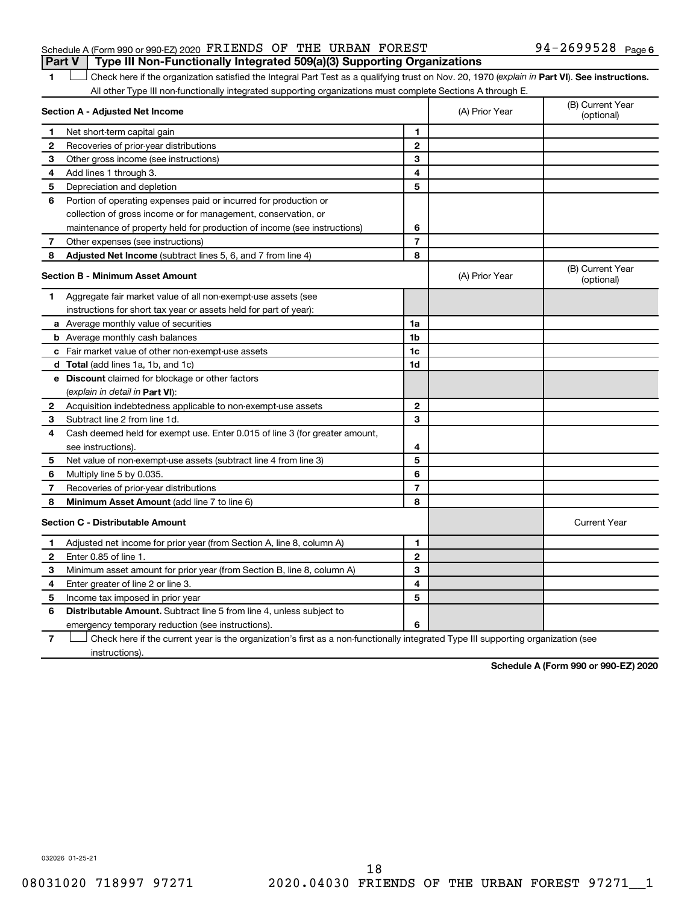#### Schedule A (Form 990 or 990-EZ) 2020  $\texttt{FRIENDS}$  OF THE URBAN  $\texttt{FOREST}$  94 - 2699528  $\texttt{Page}$ **Part V Type III Non-Functionally Integrated 509(a)(3) Supporting Organizations**

1 **Letter See instructions.** Check here if the organization satisfied the Integral Part Test as a qualifying trust on Nov. 20, 1970 (*explain in* Part **VI**). See instructions. All other Type III non-functionally integrated supporting organizations must complete Sections A through E.

|              | Section A - Adjusted Net Income                                             |                | (A) Prior Year | (B) Current Year<br>(optional) |
|--------------|-----------------------------------------------------------------------------|----------------|----------------|--------------------------------|
| 1            | Net short-term capital gain                                                 | 1              |                |                                |
| 2            | Recoveries of prior-year distributions                                      | $\mathbf{2}$   |                |                                |
| 3            | Other gross income (see instructions)                                       | 3              |                |                                |
| 4            | Add lines 1 through 3.                                                      | 4              |                |                                |
| 5            | Depreciation and depletion                                                  | 5              |                |                                |
| 6            | Portion of operating expenses paid or incurred for production or            |                |                |                                |
|              | collection of gross income or for management, conservation, or              |                |                |                                |
|              | maintenance of property held for production of income (see instructions)    | 6              |                |                                |
| 7            | Other expenses (see instructions)                                           | $\overline{7}$ |                |                                |
| 8            | Adjusted Net Income (subtract lines 5, 6, and 7 from line 4)                | 8              |                |                                |
|              | <b>Section B - Minimum Asset Amount</b>                                     |                | (A) Prior Year | (B) Current Year<br>(optional) |
| 1.           | Aggregate fair market value of all non-exempt-use assets (see               |                |                |                                |
|              | instructions for short tax year or assets held for part of year):           |                |                |                                |
|              | <b>a</b> Average monthly value of securities                                | 1a             |                |                                |
|              | <b>b</b> Average monthly cash balances                                      | 1 <sub>b</sub> |                |                                |
|              | c Fair market value of other non-exempt-use assets                          | 1c             |                |                                |
|              | d Total (add lines 1a, 1b, and 1c)                                          | 1d             |                |                                |
|              | e Discount claimed for blockage or other factors                            |                |                |                                |
|              | (explain in detail in <b>Part VI</b> ):                                     |                |                |                                |
| 2            | Acquisition indebtedness applicable to non-exempt-use assets                | $\mathbf{2}$   |                |                                |
| 3            | Subtract line 2 from line 1d.                                               | 3              |                |                                |
| 4            | Cash deemed held for exempt use. Enter 0.015 of line 3 (for greater amount, |                |                |                                |
|              | see instructions).                                                          | 4              |                |                                |
| 5            | Net value of non-exempt-use assets (subtract line 4 from line 3)            | 5              |                |                                |
| 6            | Multiply line 5 by 0.035.                                                   | 6              |                |                                |
| 7            | Recoveries of prior-year distributions                                      | $\overline{7}$ |                |                                |
| 8            | <b>Minimum Asset Amount (add line 7 to line 6)</b>                          | 8              |                |                                |
|              | <b>Section C - Distributable Amount</b>                                     |                |                | <b>Current Year</b>            |
| 1            | Adjusted net income for prior year (from Section A, line 8, column A)       | 1              |                |                                |
| $\mathbf{2}$ | Enter 0.85 of line 1.                                                       | $\mathbf{2}$   |                |                                |
| 3            | Minimum asset amount for prior year (from Section B, line 8, column A)      | 3              |                |                                |
| 4            | Enter greater of line 2 or line 3.                                          | 4              |                |                                |
| 5            | Income tax imposed in prior year                                            | 5              |                |                                |
| 6            | Distributable Amount. Subtract line 5 from line 4, unless subject to        |                |                |                                |
|              | emergency temporary reduction (see instructions).                           | 6              |                |                                |
|              |                                                                             |                |                |                                |

**7** Check here if the current year is the organization's first as a non-functionally integrated Type III supporting organization (see † instructions).

**Schedule A (Form 990 or 990-EZ) 2020**

032026 01-25-21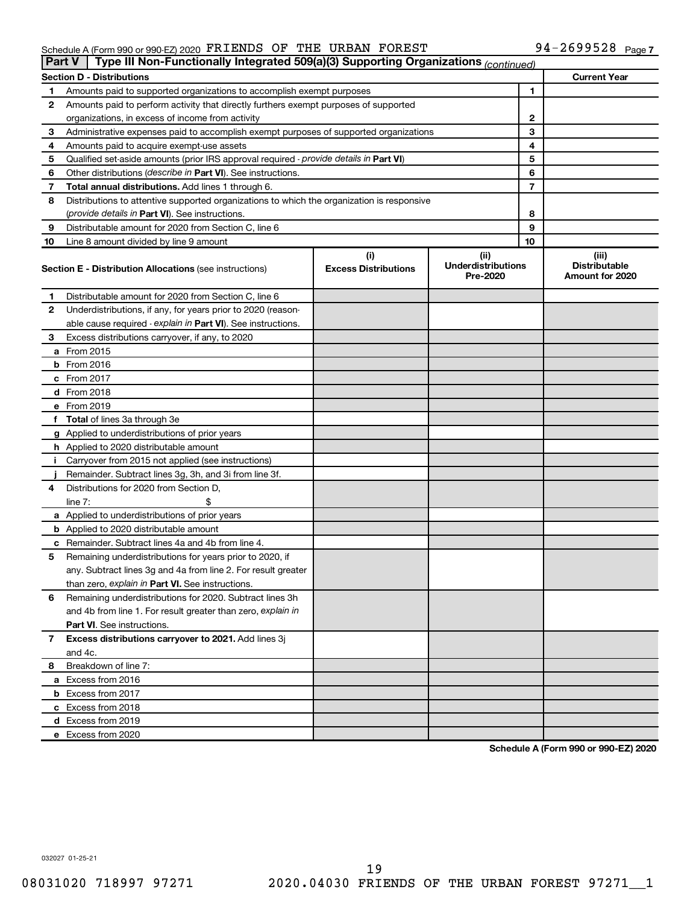#### Schedule A (Form 990 or 990-EZ) 2020 PIRILENDS OF THE URBAN FOREST NAMES (Particle of the Page of Page of the M FRIENDS OF THE URBAN FOREST 94-2699528

| <b>Part V</b> | Type III Non-Functionally Integrated 509(a)(3) Supporting Organizations (continued)        |                             |                                       |              |                                                |
|---------------|--------------------------------------------------------------------------------------------|-----------------------------|---------------------------------------|--------------|------------------------------------------------|
|               | <b>Section D - Distributions</b>                                                           |                             |                                       |              | <b>Current Year</b>                            |
| 1             | Amounts paid to supported organizations to accomplish exempt purposes                      |                             |                                       | $\mathbf{1}$ |                                                |
| 2             | Amounts paid to perform activity that directly furthers exempt purposes of supported       |                             |                                       |              |                                                |
|               | organizations, in excess of income from activity                                           |                             |                                       | $\mathbf{2}$ |                                                |
| 3             | Administrative expenses paid to accomplish exempt purposes of supported organizations      |                             |                                       | 3            |                                                |
| 4             | Amounts paid to acquire exempt-use assets                                                  |                             |                                       | 4            |                                                |
| 5             | Qualified set-aside amounts (prior IRS approval required - provide details in Part VI)     |                             |                                       | 5            |                                                |
| 6             | Other distributions ( <i>describe in Part VI</i> ). See instructions.                      |                             |                                       | 6            |                                                |
| 7             | Total annual distributions. Add lines 1 through 6.                                         |                             |                                       | 7            |                                                |
| 8             | Distributions to attentive supported organizations to which the organization is responsive |                             |                                       |              |                                                |
|               | (provide details in Part VI). See instructions.                                            |                             |                                       | 8            |                                                |
| 9             | Distributable amount for 2020 from Section C, line 6                                       |                             |                                       | 9            |                                                |
| 10            | Line 8 amount divided by line 9 amount                                                     |                             |                                       | 10           |                                                |
|               |                                                                                            | (i)                         | (ii)                                  |              | (iii)                                          |
|               | <b>Section E - Distribution Allocations (see instructions)</b>                             | <b>Excess Distributions</b> | <b>Underdistributions</b><br>Pre-2020 |              | <b>Distributable</b><br><b>Amount for 2020</b> |
| 1             | Distributable amount for 2020 from Section C, line 6                                       |                             |                                       |              |                                                |
| 2             | Underdistributions, if any, for years prior to 2020 (reason-                               |                             |                                       |              |                                                |
|               | able cause required - explain in Part VI). See instructions.                               |                             |                                       |              |                                                |
| 3             | Excess distributions carryover, if any, to 2020                                            |                             |                                       |              |                                                |
|               | a From 2015                                                                                |                             |                                       |              |                                                |
|               | <b>b</b> From 2016                                                                         |                             |                                       |              |                                                |
|               | c From 2017                                                                                |                             |                                       |              |                                                |
|               | d From 2018                                                                                |                             |                                       |              |                                                |
|               | e From 2019                                                                                |                             |                                       |              |                                                |
|               | f Total of lines 3a through 3e                                                             |                             |                                       |              |                                                |
|               | g Applied to underdistributions of prior years                                             |                             |                                       |              |                                                |
|               | h Applied to 2020 distributable amount                                                     |                             |                                       |              |                                                |
| Ť.            | Carryover from 2015 not applied (see instructions)                                         |                             |                                       |              |                                                |
|               | Remainder. Subtract lines 3g, 3h, and 3i from line 3f.                                     |                             |                                       |              |                                                |
| 4             | Distributions for 2020 from Section D,                                                     |                             |                                       |              |                                                |
|               | line $7:$                                                                                  |                             |                                       |              |                                                |
|               | a Applied to underdistributions of prior years                                             |                             |                                       |              |                                                |
|               | <b>b</b> Applied to 2020 distributable amount                                              |                             |                                       |              |                                                |
|               | c Remainder. Subtract lines 4a and 4b from line 4.                                         |                             |                                       |              |                                                |
| 5             | Remaining underdistributions for years prior to 2020, if                                   |                             |                                       |              |                                                |
|               | any. Subtract lines 3g and 4a from line 2. For result greater                              |                             |                                       |              |                                                |
|               | than zero, explain in Part VI. See instructions.                                           |                             |                                       |              |                                                |
| 6             | Remaining underdistributions for 2020. Subtract lines 3h                                   |                             |                                       |              |                                                |
|               | and 4b from line 1. For result greater than zero, explain in                               |                             |                                       |              |                                                |
|               | <b>Part VI.</b> See instructions.                                                          |                             |                                       |              |                                                |
| 7             | Excess distributions carryover to 2021. Add lines 3j                                       |                             |                                       |              |                                                |
|               | and 4c.                                                                                    |                             |                                       |              |                                                |
| 8             | Breakdown of line 7:                                                                       |                             |                                       |              |                                                |
|               | a Excess from 2016                                                                         |                             |                                       |              |                                                |
|               | <b>b</b> Excess from 2017                                                                  |                             |                                       |              |                                                |
|               | c Excess from 2018                                                                         |                             |                                       |              |                                                |
|               | d Excess from 2019                                                                         |                             |                                       |              |                                                |
|               | e Excess from 2020                                                                         |                             |                                       |              |                                                |

**Schedule A (Form 990 or 990-EZ) 2020**

032027 01-25-21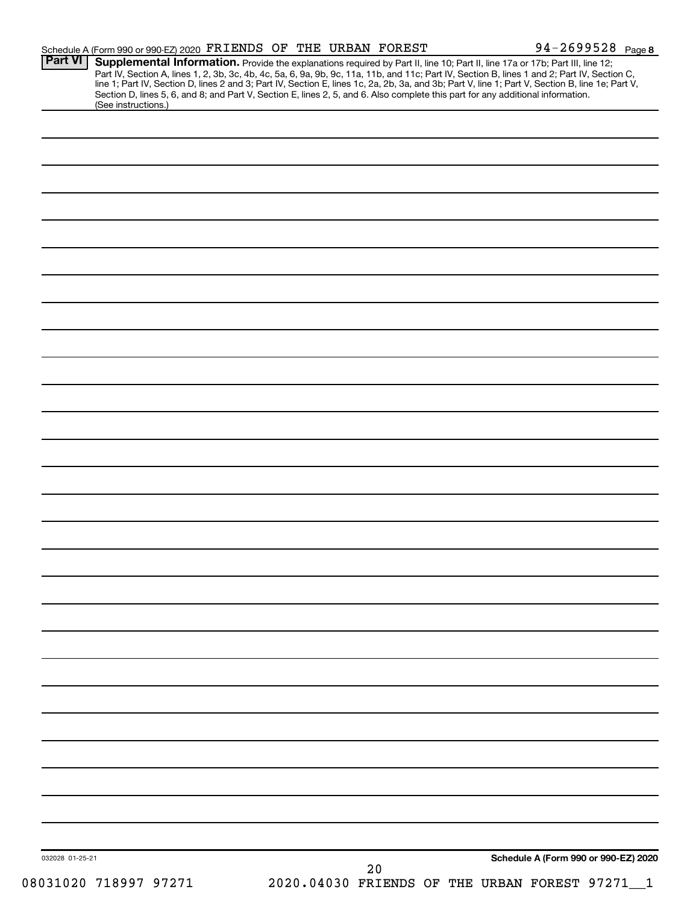| <b>Part VI</b>                                                                                                                                                                                                                                                   |  | Schedule A (Form 990 or 990-EZ) 2020 FRIENDS OF THE URBAN FOREST | 94-2699528 Page 8                                                                                                                                                                                                                                                                                |
|------------------------------------------------------------------------------------------------------------------------------------------------------------------------------------------------------------------------------------------------------------------|--|------------------------------------------------------------------|--------------------------------------------------------------------------------------------------------------------------------------------------------------------------------------------------------------------------------------------------------------------------------------------------|
| Supplemental Information. Provide the explanations required by Part II, line 10; Part II, line 17a or 17b; Part III, line 12;<br>Section D, lines 5, 6, and 8; and Part V, Section E, lines 2, 5, and 6. Also complete this part for any additional information. |  |                                                                  | Part IV, Section A, lines 1, 2, 3b, 3c, 4b, 4c, 5a, 6, 9a, 9b, 9c, 11a, 11b, and 11c; Part IV, Section B, lines 1 and 2; Part IV, Section C,<br>line 1; Part IV, Section D, lines 2 and 3; Part IV, Section E, lines 1c, 2a, 2b, 3a, and 3b; Part V, line 1; Part V, Section B, line 1e; Part V, |
| (See instructions.)                                                                                                                                                                                                                                              |  |                                                                  |                                                                                                                                                                                                                                                                                                  |
|                                                                                                                                                                                                                                                                  |  |                                                                  |                                                                                                                                                                                                                                                                                                  |
|                                                                                                                                                                                                                                                                  |  |                                                                  |                                                                                                                                                                                                                                                                                                  |
|                                                                                                                                                                                                                                                                  |  |                                                                  |                                                                                                                                                                                                                                                                                                  |
|                                                                                                                                                                                                                                                                  |  |                                                                  |                                                                                                                                                                                                                                                                                                  |
|                                                                                                                                                                                                                                                                  |  |                                                                  |                                                                                                                                                                                                                                                                                                  |
|                                                                                                                                                                                                                                                                  |  |                                                                  |                                                                                                                                                                                                                                                                                                  |
|                                                                                                                                                                                                                                                                  |  |                                                                  |                                                                                                                                                                                                                                                                                                  |
|                                                                                                                                                                                                                                                                  |  |                                                                  |                                                                                                                                                                                                                                                                                                  |
|                                                                                                                                                                                                                                                                  |  |                                                                  |                                                                                                                                                                                                                                                                                                  |
|                                                                                                                                                                                                                                                                  |  |                                                                  |                                                                                                                                                                                                                                                                                                  |
|                                                                                                                                                                                                                                                                  |  |                                                                  |                                                                                                                                                                                                                                                                                                  |
|                                                                                                                                                                                                                                                                  |  |                                                                  |                                                                                                                                                                                                                                                                                                  |
|                                                                                                                                                                                                                                                                  |  |                                                                  |                                                                                                                                                                                                                                                                                                  |
|                                                                                                                                                                                                                                                                  |  |                                                                  |                                                                                                                                                                                                                                                                                                  |
|                                                                                                                                                                                                                                                                  |  |                                                                  |                                                                                                                                                                                                                                                                                                  |
|                                                                                                                                                                                                                                                                  |  |                                                                  |                                                                                                                                                                                                                                                                                                  |
|                                                                                                                                                                                                                                                                  |  |                                                                  |                                                                                                                                                                                                                                                                                                  |
|                                                                                                                                                                                                                                                                  |  |                                                                  |                                                                                                                                                                                                                                                                                                  |
|                                                                                                                                                                                                                                                                  |  |                                                                  |                                                                                                                                                                                                                                                                                                  |
|                                                                                                                                                                                                                                                                  |  |                                                                  |                                                                                                                                                                                                                                                                                                  |
|                                                                                                                                                                                                                                                                  |  |                                                                  |                                                                                                                                                                                                                                                                                                  |
|                                                                                                                                                                                                                                                                  |  |                                                                  |                                                                                                                                                                                                                                                                                                  |
|                                                                                                                                                                                                                                                                  |  |                                                                  |                                                                                                                                                                                                                                                                                                  |
|                                                                                                                                                                                                                                                                  |  |                                                                  |                                                                                                                                                                                                                                                                                                  |
|                                                                                                                                                                                                                                                                  |  |                                                                  |                                                                                                                                                                                                                                                                                                  |
|                                                                                                                                                                                                                                                                  |  |                                                                  |                                                                                                                                                                                                                                                                                                  |
|                                                                                                                                                                                                                                                                  |  |                                                                  |                                                                                                                                                                                                                                                                                                  |
|                                                                                                                                                                                                                                                                  |  |                                                                  |                                                                                                                                                                                                                                                                                                  |
|                                                                                                                                                                                                                                                                  |  |                                                                  |                                                                                                                                                                                                                                                                                                  |
|                                                                                                                                                                                                                                                                  |  |                                                                  |                                                                                                                                                                                                                                                                                                  |
|                                                                                                                                                                                                                                                                  |  |                                                                  |                                                                                                                                                                                                                                                                                                  |
|                                                                                                                                                                                                                                                                  |  |                                                                  |                                                                                                                                                                                                                                                                                                  |
|                                                                                                                                                                                                                                                                  |  |                                                                  |                                                                                                                                                                                                                                                                                                  |
|                                                                                                                                                                                                                                                                  |  |                                                                  |                                                                                                                                                                                                                                                                                                  |
|                                                                                                                                                                                                                                                                  |  |                                                                  |                                                                                                                                                                                                                                                                                                  |
|                                                                                                                                                                                                                                                                  |  |                                                                  |                                                                                                                                                                                                                                                                                                  |
|                                                                                                                                                                                                                                                                  |  |                                                                  |                                                                                                                                                                                                                                                                                                  |
|                                                                                                                                                                                                                                                                  |  |                                                                  |                                                                                                                                                                                                                                                                                                  |
|                                                                                                                                                                                                                                                                  |  |                                                                  |                                                                                                                                                                                                                                                                                                  |
| 032028 01-25-21                                                                                                                                                                                                                                                  |  |                                                                  | Schedule A (Form 990 or 990-EZ) 2020                                                                                                                                                                                                                                                             |
|                                                                                                                                                                                                                                                                  |  | 20                                                               |                                                                                                                                                                                                                                                                                                  |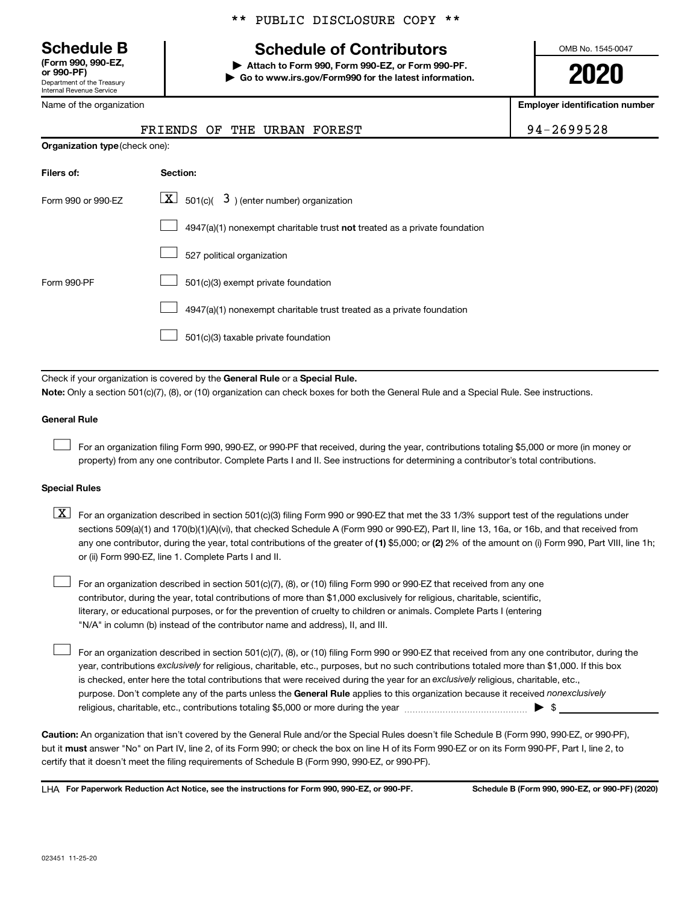Department of the Treasury Internal Revenue Service **(Form 990, 990-EZ,**

Name of the organization

## **Schedule B Schedule of Contributors**

**or 990-PF) | Attach to Form 990, Form 990-EZ, or Form 990-PF. | Go to www.irs.gov/Form990 for the latest information.** OMB No. 1545-0047

**2020**

**Employer identification number**

| -2699528 |  |
|----------|--|
|----------|--|

|                                       | FRIENDS OF THE URBAN FOREST                                               | 94-2699528 |
|---------------------------------------|---------------------------------------------------------------------------|------------|
| <b>Organization type (check one):</b> |                                                                           |            |
| Filers of:                            | Section:                                                                  |            |
| Form 990 or 990-EZ                    | $\boxed{\mathbf{X}}$ 501(c)( 3) (enter number) organization               |            |
|                                       | 4947(a)(1) nonexempt charitable trust not treated as a private foundation |            |
|                                       |                                                                           |            |

|  |  |  | 527 political organization |
|--|--|--|----------------------------|
|--|--|--|----------------------------|

|  | $\Box$ 501(c)(3) exempt private foundation |
|--|--------------------------------------------|
|--|--------------------------------------------|

4947(a)(1) nonexempt charitable trust treated as a private foundation  $\Box$ 

501(c)(3) taxable private foundation  $\Box$ 

Check if your organization is covered by the General Rule or a Special Rule.

**Note:**  Only a section 501(c)(7), (8), or (10) organization can check boxes for both the General Rule and a Special Rule. See instructions.

#### **General Rule**

 $\Box$ 

 $\Box$ 

Form 990-PF

For an organization filing Form 990, 990-EZ, or 990-PF that received, during the year, contributions totaling \$5,000 or more (in money or property) from any one contributor. Complete Parts I and II. See instructions for determining a contributor's total contributions.

#### **Special Rules**

any one contributor, during the year, total contributions of the greater of (1) \$5,000; or (2) 2% of the amount on (i) Form 990, Part VIII, line 1h;  $\boxed{\text{X}}$  For an organization described in section 501(c)(3) filing Form 990 or 990-EZ that met the 33 1/3% support test of the regulations under sections 509(a)(1) and 170(b)(1)(A)(vi), that checked Schedule A (Form 990 or 990-EZ), Part II, line 13, 16a, or 16b, and that received from or (ii) Form 990-EZ, line 1. Complete Parts I and II.

For an organization described in section 501(c)(7), (8), or (10) filing Form 990 or 990-EZ that received from any one contributor, during the year, total contributions of more than \$1,000 exclusively for religious, charitable, scientific, literary, or educational purposes, or for the prevention of cruelty to children or animals. Complete Parts I (entering "N/A" in column (b) instead of the contributor name and address), II, and III.  $\Box$ 

purpose. Don't complete any of the parts unless the General Rule applies to this organization because it received nonexclusively year, contributions exclusively for religious, charitable, etc., purposes, but no such contributions totaled more than \$1,000. If this box is checked, enter here the total contributions that were received during the year for an exclusively religious, charitable, etc., For an organization described in section 501(c)(7), (8), or (10) filing Form 990 or 990-EZ that received from any one contributor, during the religious, charitable, etc., contributions totaling \$5,000 or more during the year  $~\ldots\ldots\ldots\ldots\ldots\ldots\ldots\ldots\blacktriangleright~$ \$

**Caution:**  An organization that isn't covered by the General Rule and/or the Special Rules doesn't file Schedule B (Form 990, 990-EZ, or 990-PF),  **must** but it answer "No" on Part IV, line 2, of its Form 990; or check the box on line H of its Form 990-EZ or on its Form 990-PF, Part I, line 2, to certify that it doesn't meet the filing requirements of Schedule B (Form 990, 990-EZ, or 990-PF).

**For Paperwork Reduction Act Notice, see the instructions for Form 990, 990-EZ, or 990-PF. Schedule B (Form 990, 990-EZ, or 990-PF) (2020)** LHA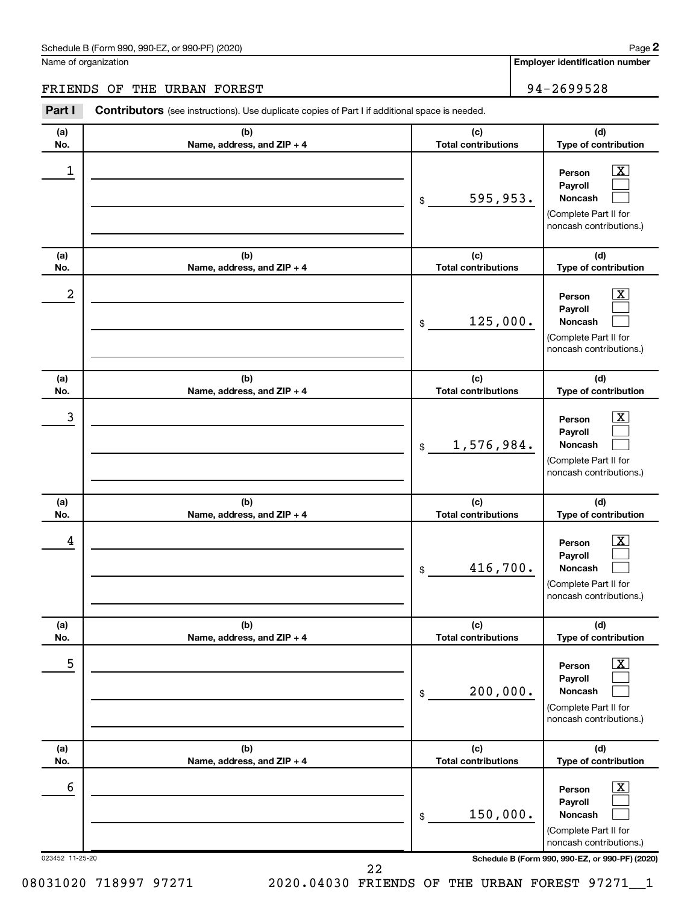#### Schedule B (Form 990, 990-EZ, or 990-PF) (2020)

Name of organization

**Employer identification number**

### FRIENDS OF THE URBAN FOREST 94-2699528

| Part I               | <b>Contributors</b> (see instructions). Use duplicate copies of Part I if additional space is needed. |                                   |                                                                                                                                                     |
|----------------------|-------------------------------------------------------------------------------------------------------|-----------------------------------|-----------------------------------------------------------------------------------------------------------------------------------------------------|
| (a)<br>No.           | (b)<br>Name, address, and ZIP + 4                                                                     | (c)<br><b>Total contributions</b> | (d)<br>Type of contribution                                                                                                                         |
| 1                    |                                                                                                       | 595,953.<br>\$                    | $\boxed{\textbf{X}}$<br>Person<br>Payroll<br>Noncash<br>(Complete Part II for<br>noncash contributions.)                                            |
| (a)<br>No.           | (b)<br>Name, address, and ZIP + 4                                                                     | (c)<br><b>Total contributions</b> | (d)<br>Type of contribution                                                                                                                         |
| 2                    |                                                                                                       | 125,000.<br>\$                    | $\mathbf{X}$<br>Person<br>Payroll<br>Noncash<br>(Complete Part II for<br>noncash contributions.)                                                    |
| (a)<br>No.           | (b)<br>Name, address, and ZIP + 4                                                                     | (c)<br><b>Total contributions</b> | (d)<br>Type of contribution                                                                                                                         |
| 3                    |                                                                                                       | 1,576,984.<br>\$                  | $\boxed{\mathbf{X}}$<br>Person<br>Payroll<br>Noncash<br>(Complete Part II for<br>noncash contributions.)                                            |
| (a)<br>No.           | (b)<br>Name, address, and ZIP + 4                                                                     | (c)<br><b>Total contributions</b> | (d)<br>Type of contribution                                                                                                                         |
| 4                    |                                                                                                       | 416,700.<br>\$                    | $\mathbf{X}$<br>Person<br>Payroll<br>Noncash<br>(Complete Part II for<br>noncash contributions.)                                                    |
| (a)<br>No.           | (b)<br>Name, address, and ZIP + 4                                                                     | (c)<br><b>Total contributions</b> | (d)<br>Type of contribution                                                                                                                         |
| 5                    |                                                                                                       | 200,000.<br>\$                    | $\boxed{\textbf{X}}$<br>Person<br>Payroll<br><b>Noncash</b><br>(Complete Part II for<br>noncash contributions.)                                     |
| (a)<br>No.           | (b)<br>Name, address, and ZIP + 4                                                                     | (c)<br><b>Total contributions</b> | (d)<br>Type of contribution                                                                                                                         |
| 6<br>023452 11-25-20 |                                                                                                       | 150,000.<br>\$                    | $\mathbf{X}$<br>Person<br>Payroll<br>Noncash<br>(Complete Part II for<br>noncash contributions.)<br>Schedule B (Form 990, 990-EZ, or 990-PF) (2020) |
|                      |                                                                                                       | 22                                |                                                                                                                                                     |

08031020 718997 97271 2020.04030 FRIENDS OF THE URBAN FOREST 97271\_1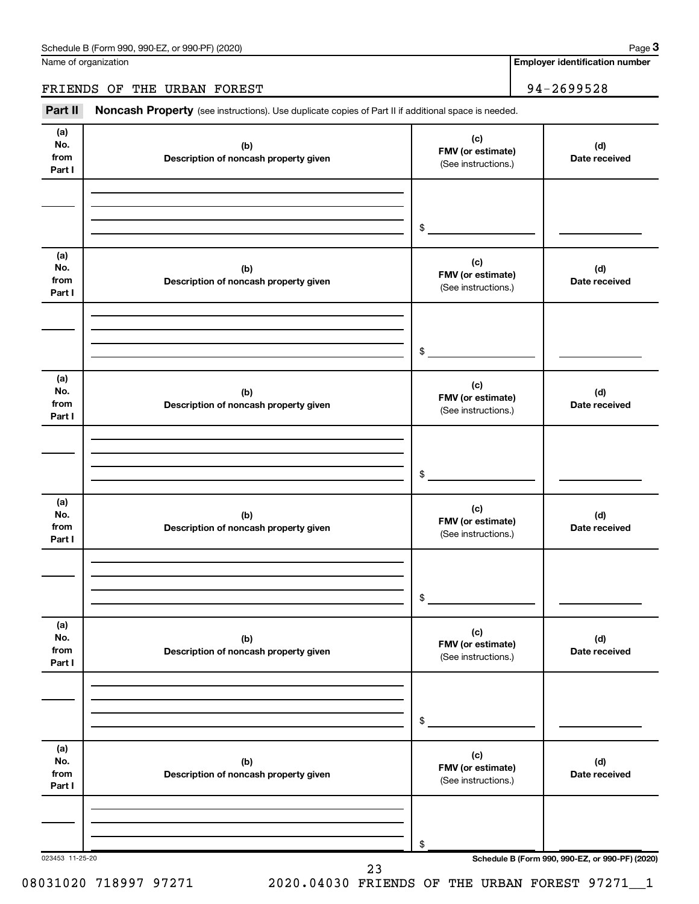Name of organization

**Employer identification number**

FRIENDS OF THE URBAN FOREST 94-2699528

Part II Noncash Property (see instructions). Use duplicate copies of Part II if additional space is needed.

| No.<br>from<br>Part I        | (b)<br>Description of noncash property given | (c)<br>FMV (or estimate)<br>(See instructions.) | (d)<br>Date received |
|------------------------------|----------------------------------------------|-------------------------------------------------|----------------------|
|                              |                                              | \$                                              |                      |
| (a)<br>No.<br>from<br>Part I | (b)<br>Description of noncash property given | (c)<br>FMV (or estimate)<br>(See instructions.) | (d)<br>Date received |
|                              |                                              | \$                                              |                      |
| (a)<br>No.<br>from<br>Part I | (b)<br>Description of noncash property given | (c)<br>FMV (or estimate)<br>(See instructions.) | (d)<br>Date received |
|                              |                                              | \$                                              |                      |
| (a)<br>No.<br>from<br>Part I | (b)<br>Description of noncash property given | (c)<br>FMV (or estimate)<br>(See instructions.) | (d)<br>Date received |
|                              |                                              | $\circ$                                         |                      |
| (a)<br>No.<br>from<br>Part I | (b)<br>Description of noncash property given | (c)<br>FMV (or estimate)<br>(See instructions.) | (d)<br>Date received |
|                              |                                              | \$                                              |                      |
| (a)<br>No.<br>from<br>Part I | (b)<br>Description of noncash property given | (c)<br>FMV (or estimate)<br>(See instructions.) | (d)<br>Date received |
|                              |                                              | \$                                              |                      |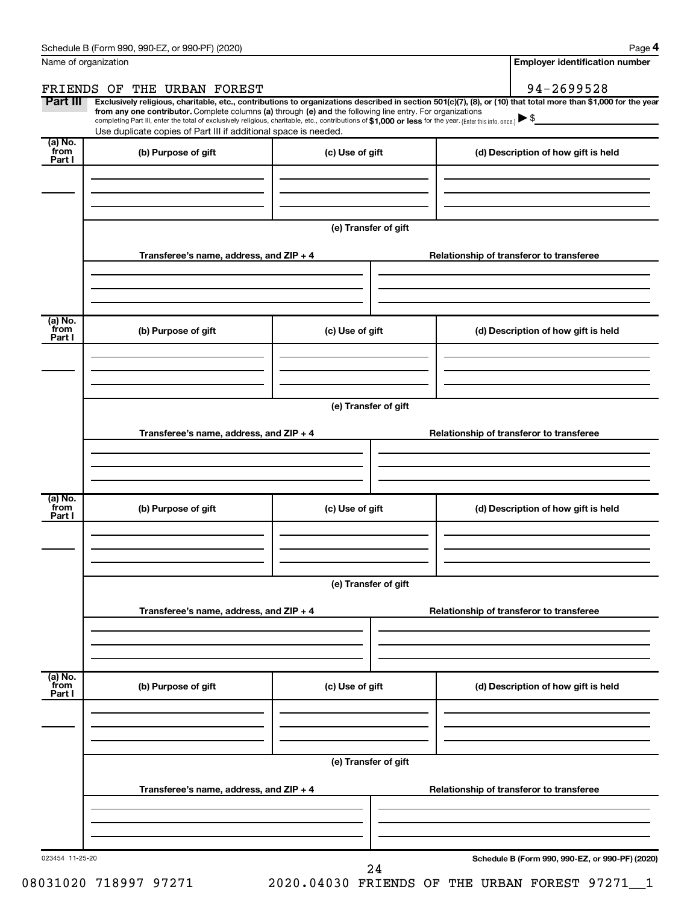**4**

| Name of organization      |                                                                                                                                                                               |                      | <b>Employer identification number</b>                                                                                                                                                                                                                                                                                        |
|---------------------------|-------------------------------------------------------------------------------------------------------------------------------------------------------------------------------|----------------------|------------------------------------------------------------------------------------------------------------------------------------------------------------------------------------------------------------------------------------------------------------------------------------------------------------------------------|
|                           | FRIENDS OF THE URBAN FOREST                                                                                                                                                   |                      | 94-2699528                                                                                                                                                                                                                                                                                                                   |
| Part III                  | from any one contributor. Complete columns (a) through (e) and the following line entry. For organizations<br>Use duplicate copies of Part III if additional space is needed. |                      | Exclusively religious, charitable, etc., contributions to organizations described in section 501(c)(7), (8), or (10) that total more than \$1,000 for the year<br>completing Part III, enter the total of exclusively religious, charitable, etc., contributions of \$1,000 or less for the year. (Enter this info. once.) S |
| (a) No.<br>from<br>Part I | (b) Purpose of gift                                                                                                                                                           | (c) Use of gift      | (d) Description of how gift is held                                                                                                                                                                                                                                                                                          |
|                           |                                                                                                                                                                               | (e) Transfer of gift |                                                                                                                                                                                                                                                                                                                              |
|                           | Transferee's name, address, and ZIP + 4                                                                                                                                       |                      | Relationship of transferor to transferee                                                                                                                                                                                                                                                                                     |
| (a) No.<br>from<br>Part I | (b) Purpose of gift                                                                                                                                                           | (c) Use of gift      | (d) Description of how gift is held                                                                                                                                                                                                                                                                                          |
|                           | Transferee's name, address, and ZIP + 4                                                                                                                                       | (e) Transfer of gift | Relationship of transferor to transferee                                                                                                                                                                                                                                                                                     |
| (a) No.<br>from<br>Part I | (b) Purpose of gift                                                                                                                                                           | (c) Use of gift      | (d) Description of how gift is held                                                                                                                                                                                                                                                                                          |
|                           | Transferee's name, address, and ZIP + 4                                                                                                                                       | (e) Transfer of gift | Relationship of transferor to transferee                                                                                                                                                                                                                                                                                     |
| (a) No.<br>from<br>Part I | (b) Purpose of gift                                                                                                                                                           | (c) Use of gift      | (d) Description of how gift is held                                                                                                                                                                                                                                                                                          |
|                           | Transferee's name, address, and ZIP + 4                                                                                                                                       | (e) Transfer of gift | Relationship of transferor to transferee                                                                                                                                                                                                                                                                                     |
| 023454 11-25-20           |                                                                                                                                                                               | 24                   | Schedule B (Form 990, 990-EZ, or 990-PF) (2020)                                                                                                                                                                                                                                                                              |

08031020 718997 97271 2020.04030 FRIENDS OF THE URBAN FOREST 97271 1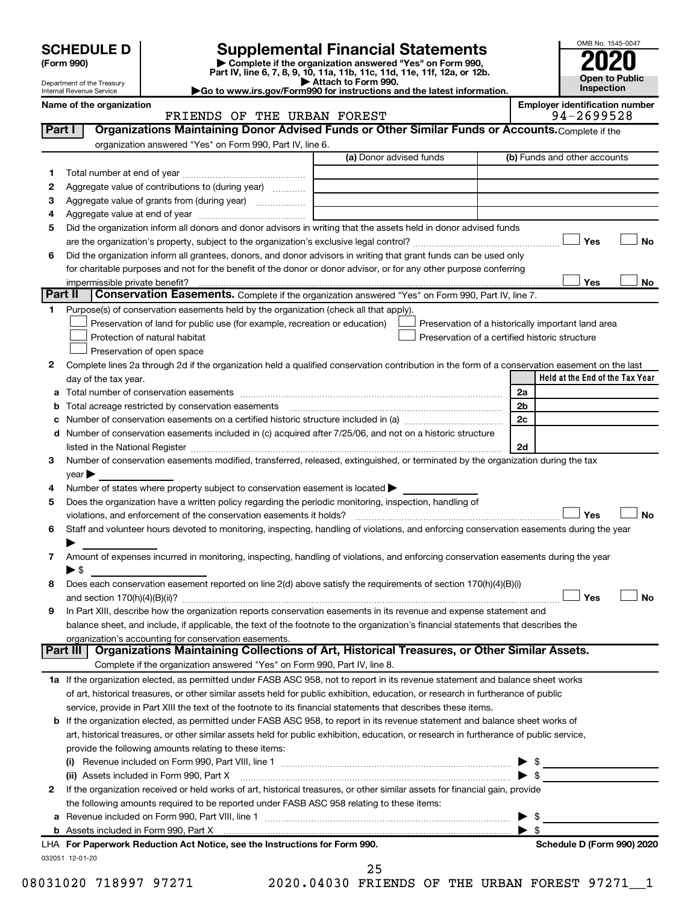| (Form 990) |  |
|------------|--|
|------------|--|

# **SCHEDULE D Supplemental Financial Statements**<br> **Form 990 2020**<br> **Part IV** line 6.7.8.9.10, 11a, 11b, 11d, 11d, 11d, 11d, 11d, 12a, 0r, 12b

**(Form 990) | Complete if the organization answered "Yes" on Form 990, Part IV, line 6, 7, 8, 9, 10, 11a, 11b, 11c, 11d, 11e, 11f, 12a, or 12b.**

**| Attach to Form 990. |Go to www.irs.gov/Form990 for instructions and the latest information.**



Department of the Treasury Internal Revenue Service

#### Name of the organization<br>**ERIENDS OF THE URBAN FOREST** FRIENDS OF THE URBAN FOREST FRIENDS OF THE URBAN FOREST

| 1      |                                                                                                                                                                                                                                                                                                                                                                   | (a) Donor advised funds | (b) Funds and other accounts                       |
|--------|-------------------------------------------------------------------------------------------------------------------------------------------------------------------------------------------------------------------------------------------------------------------------------------------------------------------------------------------------------------------|-------------------------|----------------------------------------------------|
|        |                                                                                                                                                                                                                                                                                                                                                                   |                         |                                                    |
| 2      | Aggregate value of contributions to (during year)                                                                                                                                                                                                                                                                                                                 |                         |                                                    |
| 3      | Aggregate value of grants from (during year)                                                                                                                                                                                                                                                                                                                      |                         |                                                    |
| 4      |                                                                                                                                                                                                                                                                                                                                                                   |                         |                                                    |
| 5      | Did the organization inform all donors and donor advisors in writing that the assets held in donor advised funds                                                                                                                                                                                                                                                  |                         |                                                    |
|        |                                                                                                                                                                                                                                                                                                                                                                   |                         | Yes                                                |
| 6      | Did the organization inform all grantees, donors, and donor advisors in writing that grant funds can be used only                                                                                                                                                                                                                                                 |                         |                                                    |
|        | for charitable purposes and not for the benefit of the donor or donor advisor, or for any other purpose conferring                                                                                                                                                                                                                                                |                         |                                                    |
|        |                                                                                                                                                                                                                                                                                                                                                                   |                         | Yes                                                |
|        | Part II<br>Conservation Easements. Complete if the organization answered "Yes" on Form 990, Part IV, line 7.                                                                                                                                                                                                                                                      |                         |                                                    |
| 1.     | Purpose(s) of conservation easements held by the organization (check all that apply).                                                                                                                                                                                                                                                                             |                         |                                                    |
|        | Preservation of land for public use (for example, recreation or education)                                                                                                                                                                                                                                                                                        |                         | Preservation of a historically important land area |
|        | Protection of natural habitat                                                                                                                                                                                                                                                                                                                                     |                         | Preservation of a certified historic structure     |
|        | Preservation of open space                                                                                                                                                                                                                                                                                                                                        |                         |                                                    |
| 2      | Complete lines 2a through 2d if the organization held a qualified conservation contribution in the form of a conservation easement on the last                                                                                                                                                                                                                    |                         |                                                    |
|        | day of the tax year.                                                                                                                                                                                                                                                                                                                                              |                         | Held at the End of the Tax Year                    |
| а      |                                                                                                                                                                                                                                                                                                                                                                   |                         | 2a                                                 |
|        |                                                                                                                                                                                                                                                                                                                                                                   |                         | 2 <sub>b</sub>                                     |
|        |                                                                                                                                                                                                                                                                                                                                                                   |                         | 2c                                                 |
| d      | Number of conservation easements included in (c) acquired after 7/25/06, and not on a historic structure                                                                                                                                                                                                                                                          |                         |                                                    |
|        |                                                                                                                                                                                                                                                                                                                                                                   |                         | 2d                                                 |
|        | listed in the National Register [111] Marshall Register [11] Marshall Register [11] Marshall Register [11] Marshall Register [11] Marshall Register [11] Marshall Register [11] Marshall Register [11] Marshall Register [11]<br>Number of conservation easements modified, transferred, released, extinguished, or terminated by the organization during the tax |                         |                                                    |
| 3      |                                                                                                                                                                                                                                                                                                                                                                   |                         |                                                    |
|        | $year \blacktriangleright$                                                                                                                                                                                                                                                                                                                                        |                         |                                                    |
| 4      | Number of states where property subject to conservation easement is located >                                                                                                                                                                                                                                                                                     |                         |                                                    |
| 5      | Does the organization have a written policy regarding the periodic monitoring, inspection, handling of                                                                                                                                                                                                                                                            |                         |                                                    |
|        |                                                                                                                                                                                                                                                                                                                                                                   |                         | Yes                                                |
| 6      | Staff and volunteer hours devoted to monitoring, inspecting, handling of violations, and enforcing conservation easements during the year                                                                                                                                                                                                                         |                         |                                                    |
|        |                                                                                                                                                                                                                                                                                                                                                                   |                         |                                                    |
|        |                                                                                                                                                                                                                                                                                                                                                                   |                         |                                                    |
|        | Amount of expenses incurred in monitoring, inspecting, handling of violations, and enforcing conservation easements during the year                                                                                                                                                                                                                               |                         |                                                    |
|        | $\blacktriangleright$ s                                                                                                                                                                                                                                                                                                                                           |                         |                                                    |
| 7<br>8 | Does each conservation easement reported on line 2(d) above satisfy the requirements of section 170(h)(4)(B)(i)                                                                                                                                                                                                                                                   |                         |                                                    |
|        |                                                                                                                                                                                                                                                                                                                                                                   |                         | Yes                                                |
|        | In Part XIII, describe how the organization reports conservation easements in its revenue and expense statement and                                                                                                                                                                                                                                               |                         |                                                    |
|        | balance sheet, and include, if applicable, the text of the footnote to the organization's financial statements that describes the                                                                                                                                                                                                                                 |                         |                                                    |
|        | organization's accounting for conservation easements.                                                                                                                                                                                                                                                                                                             |                         |                                                    |
| 9      | Organizations Maintaining Collections of Art, Historical Treasures, or Other Similar Assets.<br>Part III                                                                                                                                                                                                                                                          |                         |                                                    |
|        | Complete if the organization answered "Yes" on Form 990, Part IV, line 8.                                                                                                                                                                                                                                                                                         |                         |                                                    |
|        | 1a If the organization elected, as permitted under FASB ASC 958, not to report in its revenue statement and balance sheet works                                                                                                                                                                                                                                   |                         |                                                    |
|        | of art, historical treasures, or other similar assets held for public exhibition, education, or research in furtherance of public                                                                                                                                                                                                                                 |                         |                                                    |
|        | service, provide in Part XIII the text of the footnote to its financial statements that describes these items.                                                                                                                                                                                                                                                    |                         |                                                    |
|        | b If the organization elected, as permitted under FASB ASC 958, to report in its revenue statement and balance sheet works of                                                                                                                                                                                                                                     |                         |                                                    |
|        | art, historical treasures, or other similar assets held for public exhibition, education, or research in furtherance of public service,                                                                                                                                                                                                                           |                         |                                                    |
|        | provide the following amounts relating to these items:                                                                                                                                                                                                                                                                                                            |                         |                                                    |
|        |                                                                                                                                                                                                                                                                                                                                                                   |                         |                                                    |
|        | (ii) Assets included in Form 990, Part X                                                                                                                                                                                                                                                                                                                          |                         | $\mathbb{S}$                                       |
|        |                                                                                                                                                                                                                                                                                                                                                                   |                         |                                                    |
| 2      | If the organization received or held works of art, historical treasures, or other similar assets for financial gain, provide                                                                                                                                                                                                                                      |                         |                                                    |
|        | the following amounts required to be reported under FASB ASC 958 relating to these items:                                                                                                                                                                                                                                                                         |                         |                                                    |
| а      |                                                                                                                                                                                                                                                                                                                                                                   |                         | -\$                                                |
|        |                                                                                                                                                                                                                                                                                                                                                                   |                         | $\blacktriangleright$ s                            |
|        | LHA For Paperwork Reduction Act Notice, see the Instructions for Form 990.<br>032051 12-01-20                                                                                                                                                                                                                                                                     |                         | Schedule D (Form 990) 2020                         |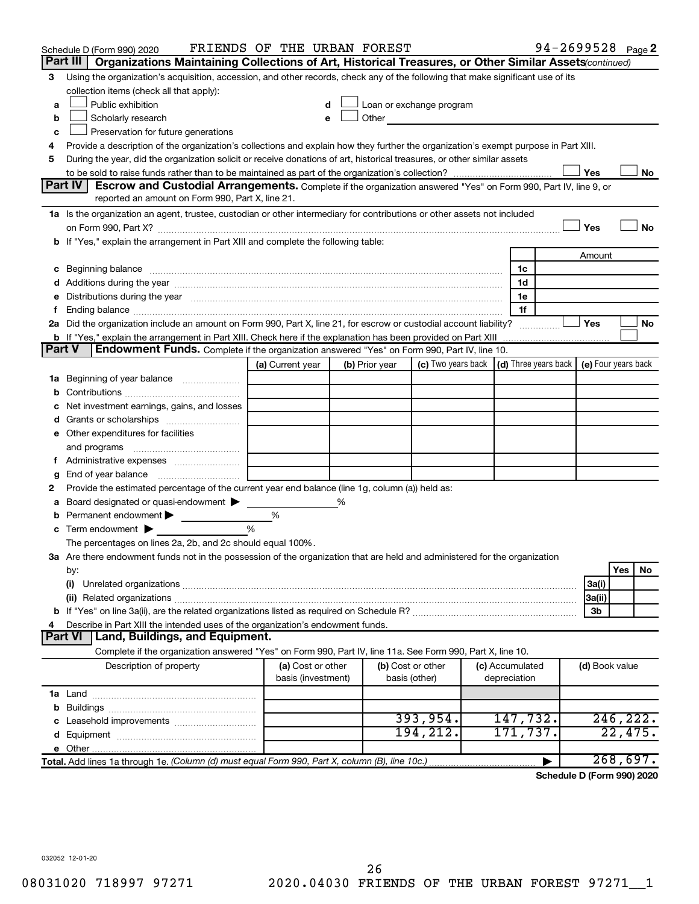|               | Schedule D (Form 990) 2020                                                                                                                                                                                                     | FRIENDS OF THE URBAN FOREST             |   |                |                                                                                                                                                                                                                                |  |                                 |  |                | 94-2699528 Page 2 |
|---------------|--------------------------------------------------------------------------------------------------------------------------------------------------------------------------------------------------------------------------------|-----------------------------------------|---|----------------|--------------------------------------------------------------------------------------------------------------------------------------------------------------------------------------------------------------------------------|--|---------------------------------|--|----------------|-------------------|
|               | Part III<br>Organizations Maintaining Collections of Art, Historical Treasures, or Other Similar Assets (continued)                                                                                                            |                                         |   |                |                                                                                                                                                                                                                                |  |                                 |  |                |                   |
| 3             | Using the organization's acquisition, accession, and other records, check any of the following that make significant use of its                                                                                                |                                         |   |                |                                                                                                                                                                                                                                |  |                                 |  |                |                   |
|               | collection items (check all that apply):                                                                                                                                                                                       |                                         |   |                |                                                                                                                                                                                                                                |  |                                 |  |                |                   |
| а             | Public exhibition                                                                                                                                                                                                              |                                         |   |                | Loan or exchange program                                                                                                                                                                                                       |  |                                 |  |                |                   |
| b             | Scholarly research                                                                                                                                                                                                             | e                                       |   |                | Other and the control of the control of the control of the control of the control of the control of the control of the control of the control of the control of the control of the control of the control of the control of th |  |                                 |  |                |                   |
| с             | Preservation for future generations                                                                                                                                                                                            |                                         |   |                |                                                                                                                                                                                                                                |  |                                 |  |                |                   |
|               | Provide a description of the organization's collections and explain how they further the organization's exempt purpose in Part XIII.<br>4                                                                                      |                                         |   |                |                                                                                                                                                                                                                                |  |                                 |  |                |                   |
|               | During the year, did the organization solicit or receive donations of art, historical treasures, or other similar assets<br>5                                                                                                  |                                         |   |                |                                                                                                                                                                                                                                |  |                                 |  |                |                   |
|               | Yes<br>No<br>Part IV<br><b>Escrow and Custodial Arrangements.</b> Complete if the organization answered "Yes" on Form 990, Part IV, line 9, or                                                                                 |                                         |   |                |                                                                                                                                                                                                                                |  |                                 |  |                |                   |
|               | reported an amount on Form 990, Part X, line 21.                                                                                                                                                                               |                                         |   |                |                                                                                                                                                                                                                                |  |                                 |  |                |                   |
|               | 1a Is the organization an agent, trustee, custodian or other intermediary for contributions or other assets not included                                                                                                       |                                         |   |                |                                                                                                                                                                                                                                |  |                                 |  |                |                   |
|               |                                                                                                                                                                                                                                |                                         |   |                |                                                                                                                                                                                                                                |  |                                 |  | Yes            | No                |
|               | b If "Yes," explain the arrangement in Part XIII and complete the following table:                                                                                                                                             |                                         |   |                |                                                                                                                                                                                                                                |  |                                 |  |                |                   |
|               |                                                                                                                                                                                                                                |                                         |   |                |                                                                                                                                                                                                                                |  |                                 |  | Amount         |                   |
|               |                                                                                                                                                                                                                                |                                         |   |                |                                                                                                                                                                                                                                |  | 1c                              |  |                |                   |
|               |                                                                                                                                                                                                                                |                                         |   |                |                                                                                                                                                                                                                                |  | 1d                              |  |                |                   |
| е             | Distributions during the year manufactured and an account of the year manufactured and the year manufactured and the year manufactured and the year manufactured and the year manufactured and the year manufactured and the y |                                         |   |                |                                                                                                                                                                                                                                |  | 1e                              |  |                |                   |
| f.            |                                                                                                                                                                                                                                |                                         |   |                |                                                                                                                                                                                                                                |  | 1f                              |  |                |                   |
|               | 2a Did the organization include an amount on Form 990, Part X, line 21, for escrow or custodial account liability?                                                                                                             |                                         |   |                |                                                                                                                                                                                                                                |  |                                 |  | Yes            | No                |
|               |                                                                                                                                                                                                                                |                                         |   |                |                                                                                                                                                                                                                                |  |                                 |  |                |                   |
| <b>Part V</b> | Endowment Funds. Complete if the organization answered "Yes" on Form 990, Part IV, line 10.                                                                                                                                    |                                         |   |                |                                                                                                                                                                                                                                |  |                                 |  |                |                   |
|               |                                                                                                                                                                                                                                | (a) Current year                        |   | (b) Prior year | (c) Two years back $\vert$ (d) Three years back $\vert$ (e) Four years back                                                                                                                                                    |  |                                 |  |                |                   |
| 1a            | Beginning of year balance                                                                                                                                                                                                      |                                         |   |                |                                                                                                                                                                                                                                |  |                                 |  |                |                   |
| b             |                                                                                                                                                                                                                                |                                         |   |                |                                                                                                                                                                                                                                |  |                                 |  |                |                   |
| с             | Net investment earnings, gains, and losses                                                                                                                                                                                     |                                         |   |                |                                                                                                                                                                                                                                |  |                                 |  |                |                   |
| d             |                                                                                                                                                                                                                                |                                         |   |                |                                                                                                                                                                                                                                |  |                                 |  |                |                   |
| е             | Other expenditures for facilities                                                                                                                                                                                              |                                         |   |                |                                                                                                                                                                                                                                |  |                                 |  |                |                   |
|               | and programs                                                                                                                                                                                                                   |                                         |   |                |                                                                                                                                                                                                                                |  |                                 |  |                |                   |
|               | f Administrative expenses <i></i>                                                                                                                                                                                              |                                         |   |                |                                                                                                                                                                                                                                |  |                                 |  |                |                   |
| g             |                                                                                                                                                                                                                                |                                         |   |                |                                                                                                                                                                                                                                |  |                                 |  |                |                   |
| 2             | Provide the estimated percentage of the current year end balance (line 1g, column (a)) held as:                                                                                                                                |                                         |   |                |                                                                                                                                                                                                                                |  |                                 |  |                |                   |
| а             | Board designated or quasi-endowment                                                                                                                                                                                            |                                         | % |                |                                                                                                                                                                                                                                |  |                                 |  |                |                   |
| b             | Permanent endowment                                                                                                                                                                                                            | %                                       |   |                |                                                                                                                                                                                                                                |  |                                 |  |                |                   |
| с             | Term endowment $\blacktriangleright$                                                                                                                                                                                           | %                                       |   |                |                                                                                                                                                                                                                                |  |                                 |  |                |                   |
|               | The percentages on lines 2a, 2b, and 2c should equal 100%.                                                                                                                                                                     |                                         |   |                |                                                                                                                                                                                                                                |  |                                 |  |                |                   |
|               | 3a Are there endowment funds not in the possession of the organization that are held and administered for the organization                                                                                                     |                                         |   |                |                                                                                                                                                                                                                                |  |                                 |  |                |                   |
|               | by:                                                                                                                                                                                                                            |                                         |   |                |                                                                                                                                                                                                                                |  |                                 |  |                | Yes<br>No         |
|               | (i)                                                                                                                                                                                                                            |                                         |   |                |                                                                                                                                                                                                                                |  |                                 |  | 3a(i)          |                   |
|               |                                                                                                                                                                                                                                |                                         |   |                |                                                                                                                                                                                                                                |  |                                 |  | 3a(ii)         |                   |
|               |                                                                                                                                                                                                                                |                                         |   |                |                                                                                                                                                                                                                                |  |                                 |  | 3b             |                   |
| 4             | Describe in Part XIII the intended uses of the organization's endowment funds.                                                                                                                                                 |                                         |   |                |                                                                                                                                                                                                                                |  |                                 |  |                |                   |
|               | <b>Land, Buildings, and Equipment.</b><br><b>Part VI</b>                                                                                                                                                                       |                                         |   |                |                                                                                                                                                                                                                                |  |                                 |  |                |                   |
|               | Complete if the organization answered "Yes" on Form 990, Part IV, line 11a. See Form 990, Part X, line 10.                                                                                                                     |                                         |   |                |                                                                                                                                                                                                                                |  |                                 |  |                |                   |
|               | Description of property                                                                                                                                                                                                        | (a) Cost or other<br>basis (investment) |   | basis (other)  | (b) Cost or other                                                                                                                                                                                                              |  | (c) Accumulated<br>depreciation |  | (d) Book value |                   |
|               |                                                                                                                                                                                                                                |                                         |   |                |                                                                                                                                                                                                                                |  |                                 |  |                |                   |
| b             |                                                                                                                                                                                                                                |                                         |   |                |                                                                                                                                                                                                                                |  |                                 |  |                |                   |
| c             | Leasehold improvements                                                                                                                                                                                                         |                                         |   |                | 393, 954.                                                                                                                                                                                                                      |  | 147,732.                        |  |                | 246,222.          |
| d             |                                                                                                                                                                                                                                |                                         |   |                | 194,212.                                                                                                                                                                                                                       |  | 171,737.                        |  |                | 22,475.           |
| е             |                                                                                                                                                                                                                                |                                         |   |                |                                                                                                                                                                                                                                |  |                                 |  |                |                   |
|               | Total. Add lines 1a through 1e. (Column (d) must equal Form 990, Part X, column (B), line 10c.)                                                                                                                                |                                         |   |                |                                                                                                                                                                                                                                |  |                                 |  |                | 268,697.          |
|               |                                                                                                                                                                                                                                |                                         |   |                |                                                                                                                                                                                                                                |  |                                 |  |                |                   |

**Schedule D (Form 990) 2020**

032052 12-01-20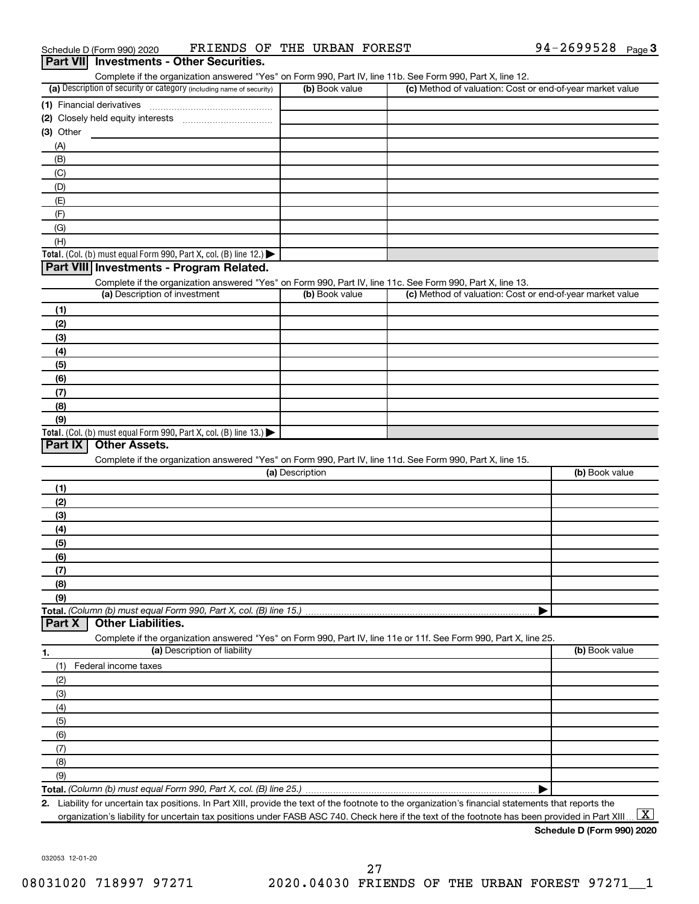| Schedule D (Form 990) 2020                      | FRIENDS OF THE URBAN FOREST |  | 94-2699528 $_{\text{Page}}$ 3 |  |
|-------------------------------------------------|-----------------------------|--|-------------------------------|--|
| <b>Part VII</b> Investments - Other Securities. |                             |  |                               |  |

| Complete if the organization answered "Yes" on Form 990, Part IV, line 11b. See Form 990, Part X, line 12.        |                 |                                                           |                |
|-------------------------------------------------------------------------------------------------------------------|-----------------|-----------------------------------------------------------|----------------|
| (a) Description of security or category (including name of security)                                              | (b) Book value  | (c) Method of valuation: Cost or end-of-year market value |                |
| (1) Financial derivatives                                                                                         |                 |                                                           |                |
| Closely held equity interests<br>(2)                                                                              |                 |                                                           |                |
| (3) Other                                                                                                         |                 |                                                           |                |
| (A)                                                                                                               |                 |                                                           |                |
|                                                                                                                   |                 |                                                           |                |
| (B)                                                                                                               |                 |                                                           |                |
| (C)                                                                                                               |                 |                                                           |                |
| (D)                                                                                                               |                 |                                                           |                |
| (E)                                                                                                               |                 |                                                           |                |
| (F)                                                                                                               |                 |                                                           |                |
| (G)                                                                                                               |                 |                                                           |                |
| (H)                                                                                                               |                 |                                                           |                |
| Total. (Col. (b) must equal Form 990, Part X, col. (B) line 12.) $\blacktriangleright$                            |                 |                                                           |                |
| Part VIII Investments - Program Related.                                                                          |                 |                                                           |                |
| Complete if the organization answered "Yes" on Form 990, Part IV, line 11c. See Form 990, Part X, line 13.        |                 |                                                           |                |
| (a) Description of investment                                                                                     | (b) Book value  | (c) Method of valuation: Cost or end-of-year market value |                |
|                                                                                                                   |                 |                                                           |                |
| (1)                                                                                                               |                 |                                                           |                |
| (2)                                                                                                               |                 |                                                           |                |
| (3)                                                                                                               |                 |                                                           |                |
| (4)                                                                                                               |                 |                                                           |                |
| (5)                                                                                                               |                 |                                                           |                |
| (6)                                                                                                               |                 |                                                           |                |
| (7)                                                                                                               |                 |                                                           |                |
| (8)                                                                                                               |                 |                                                           |                |
| (9)                                                                                                               |                 |                                                           |                |
|                                                                                                                   |                 |                                                           |                |
| Total. (Col. (b) must equal Form 990, Part X, col. (B) line 13.)                                                  |                 |                                                           |                |
| <b>Other Assets.</b><br>Part IX                                                                                   |                 |                                                           |                |
| Complete if the organization answered "Yes" on Form 990, Part IV, line 11d. See Form 990, Part X, line 15.        |                 |                                                           |                |
|                                                                                                                   | (a) Description |                                                           | (b) Book value |
| (1)                                                                                                               |                 |                                                           |                |
| (2)                                                                                                               |                 |                                                           |                |
| (3)                                                                                                               |                 |                                                           |                |
| (4)                                                                                                               |                 |                                                           |                |
| (5)                                                                                                               |                 |                                                           |                |
| (6)                                                                                                               |                 |                                                           |                |
|                                                                                                                   |                 |                                                           |                |
| (7)                                                                                                               |                 |                                                           |                |
| (8)                                                                                                               |                 |                                                           |                |
| (9)                                                                                                               |                 |                                                           |                |
| Total. (Column (b) must equal Form 990, Part X, col. (B) line 15.)                                                |                 |                                                           |                |
| <b>Other Liabilities.</b><br>Part X                                                                               |                 |                                                           |                |
| Complete if the organization answered "Yes" on Form 990, Part IV, line 11e or 11f. See Form 990, Part X, line 25. |                 |                                                           |                |
| (a) Description of liability<br>1.                                                                                |                 |                                                           | (b) Book value |
| (1)<br>Federal income taxes                                                                                       |                 |                                                           |                |
| (2)                                                                                                               |                 |                                                           |                |
|                                                                                                                   |                 |                                                           |                |
| (3)                                                                                                               |                 |                                                           |                |
| (4)                                                                                                               |                 |                                                           |                |
| (5)                                                                                                               |                 |                                                           |                |
| (6)                                                                                                               |                 |                                                           |                |
|                                                                                                                   |                 |                                                           |                |
| (7)                                                                                                               |                 |                                                           |                |
| (8)                                                                                                               |                 |                                                           |                |
|                                                                                                                   |                 |                                                           |                |
| (9)                                                                                                               |                 |                                                           |                |

**2.** Liability for uncertain tax positions. In Part XIII, provide the text of the footnote to the organization's financial statements that reports the organization's liability for uncertain tax positions under FASB ASC 740. Check here if the text of the footnote has been provided in Part XIII ...  $\fbox{\bf X}$ 

#### **Schedule D (Form 990) 2020**

032053 12-01-20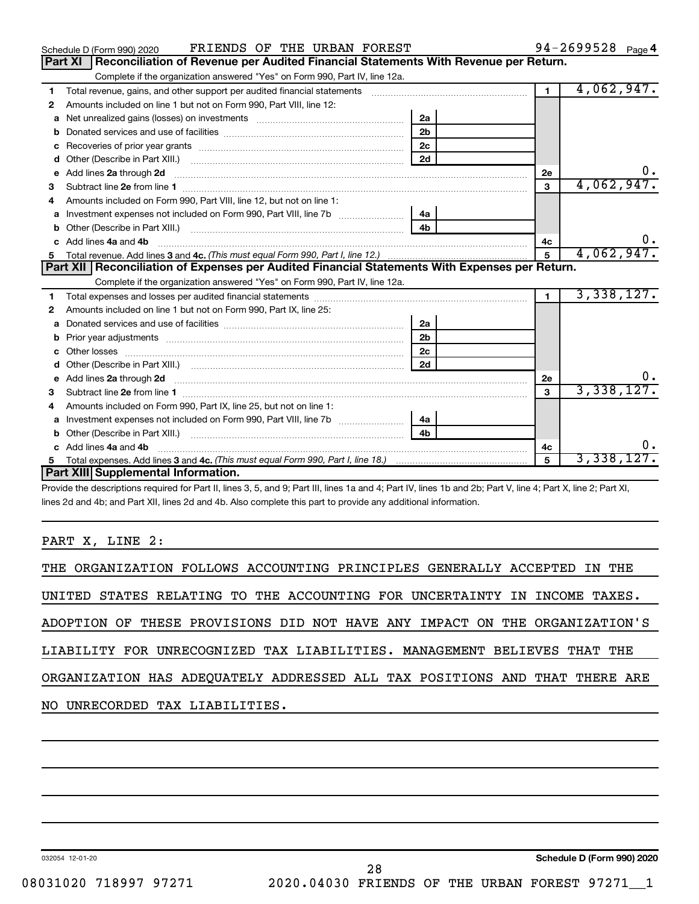| FRIENDS OF THE URBAN FOREST<br>Schedule D (Form 990) 2020                                                   | 94-2699528 Page 4                                                                                                                                                                                                                   |                              |
|-------------------------------------------------------------------------------------------------------------|-------------------------------------------------------------------------------------------------------------------------------------------------------------------------------------------------------------------------------------|------------------------------|
| <b>Part XI</b>                                                                                              | Reconciliation of Revenue per Audited Financial Statements With Revenue per Return.                                                                                                                                                 |                              |
| Complete if the organization answered "Yes" on Form 990, Part IV, line 12a.                                 |                                                                                                                                                                                                                                     |                              |
| 1                                                                                                           |                                                                                                                                                                                                                                     | 4,062,947.<br>$\blacksquare$ |
| Amounts included on line 1 but not on Form 990, Part VIII, line 12:<br>2                                    |                                                                                                                                                                                                                                     |                              |
|                                                                                                             | 2a                                                                                                                                                                                                                                  |                              |
| b                                                                                                           | 2 <sub>b</sub>                                                                                                                                                                                                                      |                              |
| c                                                                                                           | 2c                                                                                                                                                                                                                                  |                              |
| d                                                                                                           | 2d                                                                                                                                                                                                                                  |                              |
| е                                                                                                           | Add lines 2a through 2d <b>manufactures</b> in the contract of the state of the state of the state of the state of the state of the state of the state of the state of the state of the state of the state of the state of the stat | <b>2e</b>                    |
| 3                                                                                                           |                                                                                                                                                                                                                                     | 4,062,947.<br>3              |
| Amounts included on Form 990, Part VIII, line 12, but not on line 1:                                        |                                                                                                                                                                                                                                     |                              |
| Investment expenses not included on Form 990, Part VIII, line 7b<br>a                                       | 4a                                                                                                                                                                                                                                  |                              |
| b                                                                                                           | 4 <sub>h</sub>                                                                                                                                                                                                                      |                              |
| Add lines 4a and 4b<br>c.                                                                                   | υ.<br>4c                                                                                                                                                                                                                            |                              |
| 5                                                                                                           | 4,062,947.<br>$\overline{5}$                                                                                                                                                                                                        |                              |
| Part XII   Reconciliation of Expenses per Audited Financial Statements With Expenses per Return.            |                                                                                                                                                                                                                                     |                              |
| Complete if the organization answered "Yes" on Form 990, Part IV, line 12a.                                 |                                                                                                                                                                                                                                     |                              |
| 1                                                                                                           |                                                                                                                                                                                                                                     | 3,338,127.<br>$\mathbf{1}$   |
| Amounts included on line 1 but not on Form 990, Part IX, line 25:<br>2                                      |                                                                                                                                                                                                                                     |                              |
| a                                                                                                           | 2a                                                                                                                                                                                                                                  |                              |
| b                                                                                                           | 2 <sub>b</sub>                                                                                                                                                                                                                      |                              |
| c                                                                                                           | 2 <sub>c</sub>                                                                                                                                                                                                                      |                              |
| d                                                                                                           | 2d                                                                                                                                                                                                                                  |                              |
| Add lines 2a through 2d <b>[10]</b> [10] <b>Adding the Second Lines</b> 2a through 2d <b>[10] html</b><br>е | 2e                                                                                                                                                                                                                                  |                              |
| з                                                                                                           |                                                                                                                                                                                                                                     | 3,338,127.<br>3              |
| Amounts included on Form 990, Part IX, line 25, but not on line 1:<br>4                                     |                                                                                                                                                                                                                                     |                              |
| a                                                                                                           |                                                                                                                                                                                                                                     |                              |
| b                                                                                                           | 4 <sub>h</sub>                                                                                                                                                                                                                      |                              |
| Add lines 4a and 4b<br>c                                                                                    |                                                                                                                                                                                                                                     | 4c                           |
|                                                                                                             |                                                                                                                                                                                                                                     |                              |
| Part XIII Supplemental Information.                                                                         |                                                                                                                                                                                                                                     | 3,338,127.<br>5              |

Provide the descriptions required for Part II, lines 3, 5, and 9; Part III, lines 1a and 4; Part IV, lines 1b and 2b; Part V, line 4; Part X, line 2; Part XI, lines 2d and 4b; and Part XII, lines 2d and 4b. Also complete this part to provide any additional information.

#### PART X, LINE 2:

|  |  |                                |  |  | THE ORGANIZATION FOLLOWS ACCOUNTING PRINCIPLES GENERALLY ACCEPTED IN THE   |  |  |  |
|--|--|--------------------------------|--|--|----------------------------------------------------------------------------|--|--|--|
|  |  |                                |  |  | UNITED STATES RELATING TO THE ACCOUNTING FOR UNCERTAINTY IN INCOME TAXES.  |  |  |  |
|  |  |                                |  |  | ADOPTION OF THESE PROVISIONS DID NOT HAVE ANY IMPACT ON THE ORGANIZATION'S |  |  |  |
|  |  |                                |  |  | LIABILITY FOR UNRECOGNIZED TAX LIABILITIES. MANAGEMENT BELIEVES THAT THE   |  |  |  |
|  |  |                                |  |  | ORGANIZATION HAS ADEQUATELY ADDRESSED ALL TAX POSITIONS AND THAT THERE ARE |  |  |  |
|  |  | NO UNRECORDED TAX LIABILITIES. |  |  |                                                                            |  |  |  |

032054 12-01-20

**Schedule D (Form 990) 2020**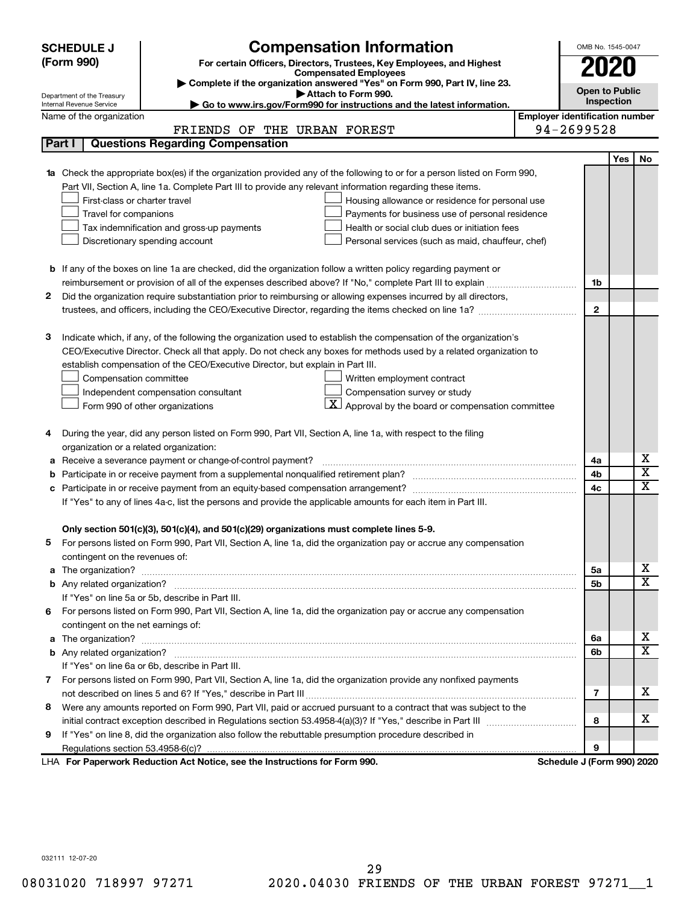| (Form 990)<br>For certain Officers, Directors, Trustees, Key Employees, and Highest<br>2020<br><b>Compensated Employees</b><br>Complete if the organization answered "Yes" on Form 990, Part IV, line 23.<br><b>Open to Public</b><br>Attach to Form 990.<br>Department of the Treasury<br>Inspection<br>Go to www.irs.gov/Form990 for instructions and the latest information.<br>Internal Revenue Service<br><b>Employer identification number</b><br>Name of the organization<br>94-2699528<br>FRIENDS OF THE URBAN FOREST<br><b>Questions Regarding Compensation</b><br>Part I<br>Yes<br><b>No</b><br>Check the appropriate box(es) if the organization provided any of the following to or for a person listed on Form 990,<br>Part VII, Section A, line 1a. Complete Part III to provide any relevant information regarding these items.<br>First-class or charter travel<br>Housing allowance or residence for personal use<br>Travel for companions<br>Payments for business use of personal residence<br>Health or social club dues or initiation fees<br>Tax indemnification and gross-up payments<br>Discretionary spending account<br>Personal services (such as maid, chauffeur, chef)<br><b>b</b> If any of the boxes on line 1a are checked, did the organization follow a written policy regarding payment or<br>1b<br>Did the organization require substantiation prior to reimbursing or allowing expenses incurred by all directors,<br>2<br>$\mathbf{2}$<br>З<br>Indicate which, if any, of the following the organization used to establish the compensation of the organization's<br>CEO/Executive Director. Check all that apply. Do not check any boxes for methods used by a related organization to<br>establish compensation of the CEO/Executive Director, but explain in Part III.<br>Compensation committee<br>Written employment contract<br>Compensation survey or study<br>Independent compensation consultant<br>$\underline{\mathbf{X}}$ Approval by the board or compensation committee<br>Form 990 of other organizations<br>During the year, did any person listed on Form 990, Part VII, Section A, line 1a, with respect to the filing<br>4<br>organization or a related organization:<br>х<br>Receive a severance payment or change-of-control payment?<br>4a<br>а<br>$\overline{\mathbf{X}}$<br>4b<br>b<br>X<br>4c<br>If "Yes" to any of lines 4a-c, list the persons and provide the applicable amounts for each item in Part III.<br>Only section 501(c)(3), 501(c)(4), and 501(c)(29) organizations must complete lines 5-9.<br>For persons listed on Form 990, Part VII, Section A, line 1a, did the organization pay or accrue any compensation<br>contingent on the revenues of:<br>x<br>5а<br>a<br>$\overline{\texttt{x}}$<br>5b<br>If "Yes" on line 5a or 5b, describe in Part III.<br>6 For persons listed on Form 990, Part VII, Section A, line 1a, did the organization pay or accrue any compensation<br>contingent on the net earnings of:<br>x<br>6a<br>a<br>$\overline{\texttt{x}}$<br>6b<br>If "Yes" on line 6a or 6b, describe in Part III.<br>7 For persons listed on Form 990, Part VII, Section A, line 1a, did the organization provide any nonfixed payments<br>x<br>7<br>Were any amounts reported on Form 990, Part VII, paid or accrued pursuant to a contract that was subject to the<br>8<br>x<br>8<br>If "Yes" on line 8, did the organization also follow the rebuttable presumption procedure described in<br>9<br>9<br>LHA For Paperwork Reduction Act Notice, see the Instructions for Form 990.<br>Schedule J (Form 990) 2020 | <b>SCHEDULE J</b> | <b>Compensation Information</b> |  | OMB No. 1545-0047 |  |  |  |  |
|-----------------------------------------------------------------------------------------------------------------------------------------------------------------------------------------------------------------------------------------------------------------------------------------------------------------------------------------------------------------------------------------------------------------------------------------------------------------------------------------------------------------------------------------------------------------------------------------------------------------------------------------------------------------------------------------------------------------------------------------------------------------------------------------------------------------------------------------------------------------------------------------------------------------------------------------------------------------------------------------------------------------------------------------------------------------------------------------------------------------------------------------------------------------------------------------------------------------------------------------------------------------------------------------------------------------------------------------------------------------------------------------------------------------------------------------------------------------------------------------------------------------------------------------------------------------------------------------------------------------------------------------------------------------------------------------------------------------------------------------------------------------------------------------------------------------------------------------------------------------------------------------------------------------------------------------------------------------------------------------------------------------------------------------------------------------------------------------------------------------------------------------------------------------------------------------------------------------------------------------------------------------------------------------------------------------------------------------------------------------------------------------------------------------------------------------------------------------------------------------------------------------------------------------------------------------------------------------------------------------------------------------------------------------------------------------------------------------------------------------------------------------------------------------------------------------------------------------------------------------------------------------------------------------------------------------------------------------------------------------------------------------------------------------------------------------------------------------------------------------------------------------------------------------------------------------------------------------------------------------------------------------------------------------------------------------------------------------------------------------------------------------------------------------------------------------------------------------------------------------------------------------------------------------------------------------------------------------------------------|-------------------|---------------------------------|--|-------------------|--|--|--|--|
|                                                                                                                                                                                                                                                                                                                                                                                                                                                                                                                                                                                                                                                                                                                                                                                                                                                                                                                                                                                                                                                                                                                                                                                                                                                                                                                                                                                                                                                                                                                                                                                                                                                                                                                                                                                                                                                                                                                                                                                                                                                                                                                                                                                                                                                                                                                                                                                                                                                                                                                                                                                                                                                                                                                                                                                                                                                                                                                                                                                                                                                                                                                                                                                                                                                                                                                                                                                                                                                                                                                                                                                                           |                   |                                 |  |                   |  |  |  |  |
|                                                                                                                                                                                                                                                                                                                                                                                                                                                                                                                                                                                                                                                                                                                                                                                                                                                                                                                                                                                                                                                                                                                                                                                                                                                                                                                                                                                                                                                                                                                                                                                                                                                                                                                                                                                                                                                                                                                                                                                                                                                                                                                                                                                                                                                                                                                                                                                                                                                                                                                                                                                                                                                                                                                                                                                                                                                                                                                                                                                                                                                                                                                                                                                                                                                                                                                                                                                                                                                                                                                                                                                                           |                   |                                 |  |                   |  |  |  |  |
|                                                                                                                                                                                                                                                                                                                                                                                                                                                                                                                                                                                                                                                                                                                                                                                                                                                                                                                                                                                                                                                                                                                                                                                                                                                                                                                                                                                                                                                                                                                                                                                                                                                                                                                                                                                                                                                                                                                                                                                                                                                                                                                                                                                                                                                                                                                                                                                                                                                                                                                                                                                                                                                                                                                                                                                                                                                                                                                                                                                                                                                                                                                                                                                                                                                                                                                                                                                                                                                                                                                                                                                                           |                   |                                 |  |                   |  |  |  |  |
|                                                                                                                                                                                                                                                                                                                                                                                                                                                                                                                                                                                                                                                                                                                                                                                                                                                                                                                                                                                                                                                                                                                                                                                                                                                                                                                                                                                                                                                                                                                                                                                                                                                                                                                                                                                                                                                                                                                                                                                                                                                                                                                                                                                                                                                                                                                                                                                                                                                                                                                                                                                                                                                                                                                                                                                                                                                                                                                                                                                                                                                                                                                                                                                                                                                                                                                                                                                                                                                                                                                                                                                                           |                   |                                 |  |                   |  |  |  |  |
|                                                                                                                                                                                                                                                                                                                                                                                                                                                                                                                                                                                                                                                                                                                                                                                                                                                                                                                                                                                                                                                                                                                                                                                                                                                                                                                                                                                                                                                                                                                                                                                                                                                                                                                                                                                                                                                                                                                                                                                                                                                                                                                                                                                                                                                                                                                                                                                                                                                                                                                                                                                                                                                                                                                                                                                                                                                                                                                                                                                                                                                                                                                                                                                                                                                                                                                                                                                                                                                                                                                                                                                                           |                   |                                 |  |                   |  |  |  |  |
|                                                                                                                                                                                                                                                                                                                                                                                                                                                                                                                                                                                                                                                                                                                                                                                                                                                                                                                                                                                                                                                                                                                                                                                                                                                                                                                                                                                                                                                                                                                                                                                                                                                                                                                                                                                                                                                                                                                                                                                                                                                                                                                                                                                                                                                                                                                                                                                                                                                                                                                                                                                                                                                                                                                                                                                                                                                                                                                                                                                                                                                                                                                                                                                                                                                                                                                                                                                                                                                                                                                                                                                                           |                   |                                 |  |                   |  |  |  |  |
|                                                                                                                                                                                                                                                                                                                                                                                                                                                                                                                                                                                                                                                                                                                                                                                                                                                                                                                                                                                                                                                                                                                                                                                                                                                                                                                                                                                                                                                                                                                                                                                                                                                                                                                                                                                                                                                                                                                                                                                                                                                                                                                                                                                                                                                                                                                                                                                                                                                                                                                                                                                                                                                                                                                                                                                                                                                                                                                                                                                                                                                                                                                                                                                                                                                                                                                                                                                                                                                                                                                                                                                                           |                   |                                 |  |                   |  |  |  |  |
|                                                                                                                                                                                                                                                                                                                                                                                                                                                                                                                                                                                                                                                                                                                                                                                                                                                                                                                                                                                                                                                                                                                                                                                                                                                                                                                                                                                                                                                                                                                                                                                                                                                                                                                                                                                                                                                                                                                                                                                                                                                                                                                                                                                                                                                                                                                                                                                                                                                                                                                                                                                                                                                                                                                                                                                                                                                                                                                                                                                                                                                                                                                                                                                                                                                                                                                                                                                                                                                                                                                                                                                                           |                   |                                 |  |                   |  |  |  |  |
|                                                                                                                                                                                                                                                                                                                                                                                                                                                                                                                                                                                                                                                                                                                                                                                                                                                                                                                                                                                                                                                                                                                                                                                                                                                                                                                                                                                                                                                                                                                                                                                                                                                                                                                                                                                                                                                                                                                                                                                                                                                                                                                                                                                                                                                                                                                                                                                                                                                                                                                                                                                                                                                                                                                                                                                                                                                                                                                                                                                                                                                                                                                                                                                                                                                                                                                                                                                                                                                                                                                                                                                                           |                   |                                 |  |                   |  |  |  |  |
|                                                                                                                                                                                                                                                                                                                                                                                                                                                                                                                                                                                                                                                                                                                                                                                                                                                                                                                                                                                                                                                                                                                                                                                                                                                                                                                                                                                                                                                                                                                                                                                                                                                                                                                                                                                                                                                                                                                                                                                                                                                                                                                                                                                                                                                                                                                                                                                                                                                                                                                                                                                                                                                                                                                                                                                                                                                                                                                                                                                                                                                                                                                                                                                                                                                                                                                                                                                                                                                                                                                                                                                                           |                   |                                 |  |                   |  |  |  |  |
|                                                                                                                                                                                                                                                                                                                                                                                                                                                                                                                                                                                                                                                                                                                                                                                                                                                                                                                                                                                                                                                                                                                                                                                                                                                                                                                                                                                                                                                                                                                                                                                                                                                                                                                                                                                                                                                                                                                                                                                                                                                                                                                                                                                                                                                                                                                                                                                                                                                                                                                                                                                                                                                                                                                                                                                                                                                                                                                                                                                                                                                                                                                                                                                                                                                                                                                                                                                                                                                                                                                                                                                                           |                   |                                 |  |                   |  |  |  |  |
|                                                                                                                                                                                                                                                                                                                                                                                                                                                                                                                                                                                                                                                                                                                                                                                                                                                                                                                                                                                                                                                                                                                                                                                                                                                                                                                                                                                                                                                                                                                                                                                                                                                                                                                                                                                                                                                                                                                                                                                                                                                                                                                                                                                                                                                                                                                                                                                                                                                                                                                                                                                                                                                                                                                                                                                                                                                                                                                                                                                                                                                                                                                                                                                                                                                                                                                                                                                                                                                                                                                                                                                                           |                   |                                 |  |                   |  |  |  |  |
|                                                                                                                                                                                                                                                                                                                                                                                                                                                                                                                                                                                                                                                                                                                                                                                                                                                                                                                                                                                                                                                                                                                                                                                                                                                                                                                                                                                                                                                                                                                                                                                                                                                                                                                                                                                                                                                                                                                                                                                                                                                                                                                                                                                                                                                                                                                                                                                                                                                                                                                                                                                                                                                                                                                                                                                                                                                                                                                                                                                                                                                                                                                                                                                                                                                                                                                                                                                                                                                                                                                                                                                                           |                   |                                 |  |                   |  |  |  |  |
|                                                                                                                                                                                                                                                                                                                                                                                                                                                                                                                                                                                                                                                                                                                                                                                                                                                                                                                                                                                                                                                                                                                                                                                                                                                                                                                                                                                                                                                                                                                                                                                                                                                                                                                                                                                                                                                                                                                                                                                                                                                                                                                                                                                                                                                                                                                                                                                                                                                                                                                                                                                                                                                                                                                                                                                                                                                                                                                                                                                                                                                                                                                                                                                                                                                                                                                                                                                                                                                                                                                                                                                                           |                   |                                 |  |                   |  |  |  |  |
|                                                                                                                                                                                                                                                                                                                                                                                                                                                                                                                                                                                                                                                                                                                                                                                                                                                                                                                                                                                                                                                                                                                                                                                                                                                                                                                                                                                                                                                                                                                                                                                                                                                                                                                                                                                                                                                                                                                                                                                                                                                                                                                                                                                                                                                                                                                                                                                                                                                                                                                                                                                                                                                                                                                                                                                                                                                                                                                                                                                                                                                                                                                                                                                                                                                                                                                                                                                                                                                                                                                                                                                                           |                   |                                 |  |                   |  |  |  |  |
|                                                                                                                                                                                                                                                                                                                                                                                                                                                                                                                                                                                                                                                                                                                                                                                                                                                                                                                                                                                                                                                                                                                                                                                                                                                                                                                                                                                                                                                                                                                                                                                                                                                                                                                                                                                                                                                                                                                                                                                                                                                                                                                                                                                                                                                                                                                                                                                                                                                                                                                                                                                                                                                                                                                                                                                                                                                                                                                                                                                                                                                                                                                                                                                                                                                                                                                                                                                                                                                                                                                                                                                                           |                   |                                 |  |                   |  |  |  |  |
|                                                                                                                                                                                                                                                                                                                                                                                                                                                                                                                                                                                                                                                                                                                                                                                                                                                                                                                                                                                                                                                                                                                                                                                                                                                                                                                                                                                                                                                                                                                                                                                                                                                                                                                                                                                                                                                                                                                                                                                                                                                                                                                                                                                                                                                                                                                                                                                                                                                                                                                                                                                                                                                                                                                                                                                                                                                                                                                                                                                                                                                                                                                                                                                                                                                                                                                                                                                                                                                                                                                                                                                                           |                   |                                 |  |                   |  |  |  |  |
|                                                                                                                                                                                                                                                                                                                                                                                                                                                                                                                                                                                                                                                                                                                                                                                                                                                                                                                                                                                                                                                                                                                                                                                                                                                                                                                                                                                                                                                                                                                                                                                                                                                                                                                                                                                                                                                                                                                                                                                                                                                                                                                                                                                                                                                                                                                                                                                                                                                                                                                                                                                                                                                                                                                                                                                                                                                                                                                                                                                                                                                                                                                                                                                                                                                                                                                                                                                                                                                                                                                                                                                                           |                   |                                 |  |                   |  |  |  |  |
|                                                                                                                                                                                                                                                                                                                                                                                                                                                                                                                                                                                                                                                                                                                                                                                                                                                                                                                                                                                                                                                                                                                                                                                                                                                                                                                                                                                                                                                                                                                                                                                                                                                                                                                                                                                                                                                                                                                                                                                                                                                                                                                                                                                                                                                                                                                                                                                                                                                                                                                                                                                                                                                                                                                                                                                                                                                                                                                                                                                                                                                                                                                                                                                                                                                                                                                                                                                                                                                                                                                                                                                                           |                   |                                 |  |                   |  |  |  |  |
|                                                                                                                                                                                                                                                                                                                                                                                                                                                                                                                                                                                                                                                                                                                                                                                                                                                                                                                                                                                                                                                                                                                                                                                                                                                                                                                                                                                                                                                                                                                                                                                                                                                                                                                                                                                                                                                                                                                                                                                                                                                                                                                                                                                                                                                                                                                                                                                                                                                                                                                                                                                                                                                                                                                                                                                                                                                                                                                                                                                                                                                                                                                                                                                                                                                                                                                                                                                                                                                                                                                                                                                                           |                   |                                 |  |                   |  |  |  |  |
|                                                                                                                                                                                                                                                                                                                                                                                                                                                                                                                                                                                                                                                                                                                                                                                                                                                                                                                                                                                                                                                                                                                                                                                                                                                                                                                                                                                                                                                                                                                                                                                                                                                                                                                                                                                                                                                                                                                                                                                                                                                                                                                                                                                                                                                                                                                                                                                                                                                                                                                                                                                                                                                                                                                                                                                                                                                                                                                                                                                                                                                                                                                                                                                                                                                                                                                                                                                                                                                                                                                                                                                                           |                   |                                 |  |                   |  |  |  |  |
|                                                                                                                                                                                                                                                                                                                                                                                                                                                                                                                                                                                                                                                                                                                                                                                                                                                                                                                                                                                                                                                                                                                                                                                                                                                                                                                                                                                                                                                                                                                                                                                                                                                                                                                                                                                                                                                                                                                                                                                                                                                                                                                                                                                                                                                                                                                                                                                                                                                                                                                                                                                                                                                                                                                                                                                                                                                                                                                                                                                                                                                                                                                                                                                                                                                                                                                                                                                                                                                                                                                                                                                                           |                   |                                 |  |                   |  |  |  |  |
|                                                                                                                                                                                                                                                                                                                                                                                                                                                                                                                                                                                                                                                                                                                                                                                                                                                                                                                                                                                                                                                                                                                                                                                                                                                                                                                                                                                                                                                                                                                                                                                                                                                                                                                                                                                                                                                                                                                                                                                                                                                                                                                                                                                                                                                                                                                                                                                                                                                                                                                                                                                                                                                                                                                                                                                                                                                                                                                                                                                                                                                                                                                                                                                                                                                                                                                                                                                                                                                                                                                                                                                                           |                   |                                 |  |                   |  |  |  |  |
|                                                                                                                                                                                                                                                                                                                                                                                                                                                                                                                                                                                                                                                                                                                                                                                                                                                                                                                                                                                                                                                                                                                                                                                                                                                                                                                                                                                                                                                                                                                                                                                                                                                                                                                                                                                                                                                                                                                                                                                                                                                                                                                                                                                                                                                                                                                                                                                                                                                                                                                                                                                                                                                                                                                                                                                                                                                                                                                                                                                                                                                                                                                                                                                                                                                                                                                                                                                                                                                                                                                                                                                                           |                   |                                 |  |                   |  |  |  |  |
|                                                                                                                                                                                                                                                                                                                                                                                                                                                                                                                                                                                                                                                                                                                                                                                                                                                                                                                                                                                                                                                                                                                                                                                                                                                                                                                                                                                                                                                                                                                                                                                                                                                                                                                                                                                                                                                                                                                                                                                                                                                                                                                                                                                                                                                                                                                                                                                                                                                                                                                                                                                                                                                                                                                                                                                                                                                                                                                                                                                                                                                                                                                                                                                                                                                                                                                                                                                                                                                                                                                                                                                                           |                   |                                 |  |                   |  |  |  |  |
|                                                                                                                                                                                                                                                                                                                                                                                                                                                                                                                                                                                                                                                                                                                                                                                                                                                                                                                                                                                                                                                                                                                                                                                                                                                                                                                                                                                                                                                                                                                                                                                                                                                                                                                                                                                                                                                                                                                                                                                                                                                                                                                                                                                                                                                                                                                                                                                                                                                                                                                                                                                                                                                                                                                                                                                                                                                                                                                                                                                                                                                                                                                                                                                                                                                                                                                                                                                                                                                                                                                                                                                                           |                   |                                 |  |                   |  |  |  |  |
|                                                                                                                                                                                                                                                                                                                                                                                                                                                                                                                                                                                                                                                                                                                                                                                                                                                                                                                                                                                                                                                                                                                                                                                                                                                                                                                                                                                                                                                                                                                                                                                                                                                                                                                                                                                                                                                                                                                                                                                                                                                                                                                                                                                                                                                                                                                                                                                                                                                                                                                                                                                                                                                                                                                                                                                                                                                                                                                                                                                                                                                                                                                                                                                                                                                                                                                                                                                                                                                                                                                                                                                                           |                   |                                 |  |                   |  |  |  |  |
|                                                                                                                                                                                                                                                                                                                                                                                                                                                                                                                                                                                                                                                                                                                                                                                                                                                                                                                                                                                                                                                                                                                                                                                                                                                                                                                                                                                                                                                                                                                                                                                                                                                                                                                                                                                                                                                                                                                                                                                                                                                                                                                                                                                                                                                                                                                                                                                                                                                                                                                                                                                                                                                                                                                                                                                                                                                                                                                                                                                                                                                                                                                                                                                                                                                                                                                                                                                                                                                                                                                                                                                                           |                   |                                 |  |                   |  |  |  |  |
|                                                                                                                                                                                                                                                                                                                                                                                                                                                                                                                                                                                                                                                                                                                                                                                                                                                                                                                                                                                                                                                                                                                                                                                                                                                                                                                                                                                                                                                                                                                                                                                                                                                                                                                                                                                                                                                                                                                                                                                                                                                                                                                                                                                                                                                                                                                                                                                                                                                                                                                                                                                                                                                                                                                                                                                                                                                                                                                                                                                                                                                                                                                                                                                                                                                                                                                                                                                                                                                                                                                                                                                                           |                   |                                 |  |                   |  |  |  |  |
|                                                                                                                                                                                                                                                                                                                                                                                                                                                                                                                                                                                                                                                                                                                                                                                                                                                                                                                                                                                                                                                                                                                                                                                                                                                                                                                                                                                                                                                                                                                                                                                                                                                                                                                                                                                                                                                                                                                                                                                                                                                                                                                                                                                                                                                                                                                                                                                                                                                                                                                                                                                                                                                                                                                                                                                                                                                                                                                                                                                                                                                                                                                                                                                                                                                                                                                                                                                                                                                                                                                                                                                                           |                   |                                 |  |                   |  |  |  |  |
|                                                                                                                                                                                                                                                                                                                                                                                                                                                                                                                                                                                                                                                                                                                                                                                                                                                                                                                                                                                                                                                                                                                                                                                                                                                                                                                                                                                                                                                                                                                                                                                                                                                                                                                                                                                                                                                                                                                                                                                                                                                                                                                                                                                                                                                                                                                                                                                                                                                                                                                                                                                                                                                                                                                                                                                                                                                                                                                                                                                                                                                                                                                                                                                                                                                                                                                                                                                                                                                                                                                                                                                                           |                   |                                 |  |                   |  |  |  |  |
|                                                                                                                                                                                                                                                                                                                                                                                                                                                                                                                                                                                                                                                                                                                                                                                                                                                                                                                                                                                                                                                                                                                                                                                                                                                                                                                                                                                                                                                                                                                                                                                                                                                                                                                                                                                                                                                                                                                                                                                                                                                                                                                                                                                                                                                                                                                                                                                                                                                                                                                                                                                                                                                                                                                                                                                                                                                                                                                                                                                                                                                                                                                                                                                                                                                                                                                                                                                                                                                                                                                                                                                                           |                   |                                 |  |                   |  |  |  |  |
|                                                                                                                                                                                                                                                                                                                                                                                                                                                                                                                                                                                                                                                                                                                                                                                                                                                                                                                                                                                                                                                                                                                                                                                                                                                                                                                                                                                                                                                                                                                                                                                                                                                                                                                                                                                                                                                                                                                                                                                                                                                                                                                                                                                                                                                                                                                                                                                                                                                                                                                                                                                                                                                                                                                                                                                                                                                                                                                                                                                                                                                                                                                                                                                                                                                                                                                                                                                                                                                                                                                                                                                                           |                   |                                 |  |                   |  |  |  |  |
|                                                                                                                                                                                                                                                                                                                                                                                                                                                                                                                                                                                                                                                                                                                                                                                                                                                                                                                                                                                                                                                                                                                                                                                                                                                                                                                                                                                                                                                                                                                                                                                                                                                                                                                                                                                                                                                                                                                                                                                                                                                                                                                                                                                                                                                                                                                                                                                                                                                                                                                                                                                                                                                                                                                                                                                                                                                                                                                                                                                                                                                                                                                                                                                                                                                                                                                                                                                                                                                                                                                                                                                                           |                   |                                 |  |                   |  |  |  |  |
|                                                                                                                                                                                                                                                                                                                                                                                                                                                                                                                                                                                                                                                                                                                                                                                                                                                                                                                                                                                                                                                                                                                                                                                                                                                                                                                                                                                                                                                                                                                                                                                                                                                                                                                                                                                                                                                                                                                                                                                                                                                                                                                                                                                                                                                                                                                                                                                                                                                                                                                                                                                                                                                                                                                                                                                                                                                                                                                                                                                                                                                                                                                                                                                                                                                                                                                                                                                                                                                                                                                                                                                                           |                   |                                 |  |                   |  |  |  |  |
|                                                                                                                                                                                                                                                                                                                                                                                                                                                                                                                                                                                                                                                                                                                                                                                                                                                                                                                                                                                                                                                                                                                                                                                                                                                                                                                                                                                                                                                                                                                                                                                                                                                                                                                                                                                                                                                                                                                                                                                                                                                                                                                                                                                                                                                                                                                                                                                                                                                                                                                                                                                                                                                                                                                                                                                                                                                                                                                                                                                                                                                                                                                                                                                                                                                                                                                                                                                                                                                                                                                                                                                                           |                   |                                 |  |                   |  |  |  |  |
|                                                                                                                                                                                                                                                                                                                                                                                                                                                                                                                                                                                                                                                                                                                                                                                                                                                                                                                                                                                                                                                                                                                                                                                                                                                                                                                                                                                                                                                                                                                                                                                                                                                                                                                                                                                                                                                                                                                                                                                                                                                                                                                                                                                                                                                                                                                                                                                                                                                                                                                                                                                                                                                                                                                                                                                                                                                                                                                                                                                                                                                                                                                                                                                                                                                                                                                                                                                                                                                                                                                                                                                                           |                   |                                 |  |                   |  |  |  |  |
|                                                                                                                                                                                                                                                                                                                                                                                                                                                                                                                                                                                                                                                                                                                                                                                                                                                                                                                                                                                                                                                                                                                                                                                                                                                                                                                                                                                                                                                                                                                                                                                                                                                                                                                                                                                                                                                                                                                                                                                                                                                                                                                                                                                                                                                                                                                                                                                                                                                                                                                                                                                                                                                                                                                                                                                                                                                                                                                                                                                                                                                                                                                                                                                                                                                                                                                                                                                                                                                                                                                                                                                                           |                   |                                 |  |                   |  |  |  |  |
|                                                                                                                                                                                                                                                                                                                                                                                                                                                                                                                                                                                                                                                                                                                                                                                                                                                                                                                                                                                                                                                                                                                                                                                                                                                                                                                                                                                                                                                                                                                                                                                                                                                                                                                                                                                                                                                                                                                                                                                                                                                                                                                                                                                                                                                                                                                                                                                                                                                                                                                                                                                                                                                                                                                                                                                                                                                                                                                                                                                                                                                                                                                                                                                                                                                                                                                                                                                                                                                                                                                                                                                                           |                   |                                 |  |                   |  |  |  |  |
|                                                                                                                                                                                                                                                                                                                                                                                                                                                                                                                                                                                                                                                                                                                                                                                                                                                                                                                                                                                                                                                                                                                                                                                                                                                                                                                                                                                                                                                                                                                                                                                                                                                                                                                                                                                                                                                                                                                                                                                                                                                                                                                                                                                                                                                                                                                                                                                                                                                                                                                                                                                                                                                                                                                                                                                                                                                                                                                                                                                                                                                                                                                                                                                                                                                                                                                                                                                                                                                                                                                                                                                                           |                   |                                 |  |                   |  |  |  |  |
|                                                                                                                                                                                                                                                                                                                                                                                                                                                                                                                                                                                                                                                                                                                                                                                                                                                                                                                                                                                                                                                                                                                                                                                                                                                                                                                                                                                                                                                                                                                                                                                                                                                                                                                                                                                                                                                                                                                                                                                                                                                                                                                                                                                                                                                                                                                                                                                                                                                                                                                                                                                                                                                                                                                                                                                                                                                                                                                                                                                                                                                                                                                                                                                                                                                                                                                                                                                                                                                                                                                                                                                                           |                   |                                 |  |                   |  |  |  |  |
|                                                                                                                                                                                                                                                                                                                                                                                                                                                                                                                                                                                                                                                                                                                                                                                                                                                                                                                                                                                                                                                                                                                                                                                                                                                                                                                                                                                                                                                                                                                                                                                                                                                                                                                                                                                                                                                                                                                                                                                                                                                                                                                                                                                                                                                                                                                                                                                                                                                                                                                                                                                                                                                                                                                                                                                                                                                                                                                                                                                                                                                                                                                                                                                                                                                                                                                                                                                                                                                                                                                                                                                                           |                   |                                 |  |                   |  |  |  |  |
|                                                                                                                                                                                                                                                                                                                                                                                                                                                                                                                                                                                                                                                                                                                                                                                                                                                                                                                                                                                                                                                                                                                                                                                                                                                                                                                                                                                                                                                                                                                                                                                                                                                                                                                                                                                                                                                                                                                                                                                                                                                                                                                                                                                                                                                                                                                                                                                                                                                                                                                                                                                                                                                                                                                                                                                                                                                                                                                                                                                                                                                                                                                                                                                                                                                                                                                                                                                                                                                                                                                                                                                                           |                   |                                 |  |                   |  |  |  |  |
|                                                                                                                                                                                                                                                                                                                                                                                                                                                                                                                                                                                                                                                                                                                                                                                                                                                                                                                                                                                                                                                                                                                                                                                                                                                                                                                                                                                                                                                                                                                                                                                                                                                                                                                                                                                                                                                                                                                                                                                                                                                                                                                                                                                                                                                                                                                                                                                                                                                                                                                                                                                                                                                                                                                                                                                                                                                                                                                                                                                                                                                                                                                                                                                                                                                                                                                                                                                                                                                                                                                                                                                                           |                   |                                 |  |                   |  |  |  |  |
|                                                                                                                                                                                                                                                                                                                                                                                                                                                                                                                                                                                                                                                                                                                                                                                                                                                                                                                                                                                                                                                                                                                                                                                                                                                                                                                                                                                                                                                                                                                                                                                                                                                                                                                                                                                                                                                                                                                                                                                                                                                                                                                                                                                                                                                                                                                                                                                                                                                                                                                                                                                                                                                                                                                                                                                                                                                                                                                                                                                                                                                                                                                                                                                                                                                                                                                                                                                                                                                                                                                                                                                                           |                   |                                 |  |                   |  |  |  |  |
|                                                                                                                                                                                                                                                                                                                                                                                                                                                                                                                                                                                                                                                                                                                                                                                                                                                                                                                                                                                                                                                                                                                                                                                                                                                                                                                                                                                                                                                                                                                                                                                                                                                                                                                                                                                                                                                                                                                                                                                                                                                                                                                                                                                                                                                                                                                                                                                                                                                                                                                                                                                                                                                                                                                                                                                                                                                                                                                                                                                                                                                                                                                                                                                                                                                                                                                                                                                                                                                                                                                                                                                                           |                   |                                 |  |                   |  |  |  |  |
|                                                                                                                                                                                                                                                                                                                                                                                                                                                                                                                                                                                                                                                                                                                                                                                                                                                                                                                                                                                                                                                                                                                                                                                                                                                                                                                                                                                                                                                                                                                                                                                                                                                                                                                                                                                                                                                                                                                                                                                                                                                                                                                                                                                                                                                                                                                                                                                                                                                                                                                                                                                                                                                                                                                                                                                                                                                                                                                                                                                                                                                                                                                                                                                                                                                                                                                                                                                                                                                                                                                                                                                                           |                   |                                 |  |                   |  |  |  |  |
|                                                                                                                                                                                                                                                                                                                                                                                                                                                                                                                                                                                                                                                                                                                                                                                                                                                                                                                                                                                                                                                                                                                                                                                                                                                                                                                                                                                                                                                                                                                                                                                                                                                                                                                                                                                                                                                                                                                                                                                                                                                                                                                                                                                                                                                                                                                                                                                                                                                                                                                                                                                                                                                                                                                                                                                                                                                                                                                                                                                                                                                                                                                                                                                                                                                                                                                                                                                                                                                                                                                                                                                                           |                   |                                 |  |                   |  |  |  |  |
|                                                                                                                                                                                                                                                                                                                                                                                                                                                                                                                                                                                                                                                                                                                                                                                                                                                                                                                                                                                                                                                                                                                                                                                                                                                                                                                                                                                                                                                                                                                                                                                                                                                                                                                                                                                                                                                                                                                                                                                                                                                                                                                                                                                                                                                                                                                                                                                                                                                                                                                                                                                                                                                                                                                                                                                                                                                                                                                                                                                                                                                                                                                                                                                                                                                                                                                                                                                                                                                                                                                                                                                                           |                   |                                 |  |                   |  |  |  |  |
|                                                                                                                                                                                                                                                                                                                                                                                                                                                                                                                                                                                                                                                                                                                                                                                                                                                                                                                                                                                                                                                                                                                                                                                                                                                                                                                                                                                                                                                                                                                                                                                                                                                                                                                                                                                                                                                                                                                                                                                                                                                                                                                                                                                                                                                                                                                                                                                                                                                                                                                                                                                                                                                                                                                                                                                                                                                                                                                                                                                                                                                                                                                                                                                                                                                                                                                                                                                                                                                                                                                                                                                                           |                   |                                 |  |                   |  |  |  |  |
|                                                                                                                                                                                                                                                                                                                                                                                                                                                                                                                                                                                                                                                                                                                                                                                                                                                                                                                                                                                                                                                                                                                                                                                                                                                                                                                                                                                                                                                                                                                                                                                                                                                                                                                                                                                                                                                                                                                                                                                                                                                                                                                                                                                                                                                                                                                                                                                                                                                                                                                                                                                                                                                                                                                                                                                                                                                                                                                                                                                                                                                                                                                                                                                                                                                                                                                                                                                                                                                                                                                                                                                                           |                   |                                 |  |                   |  |  |  |  |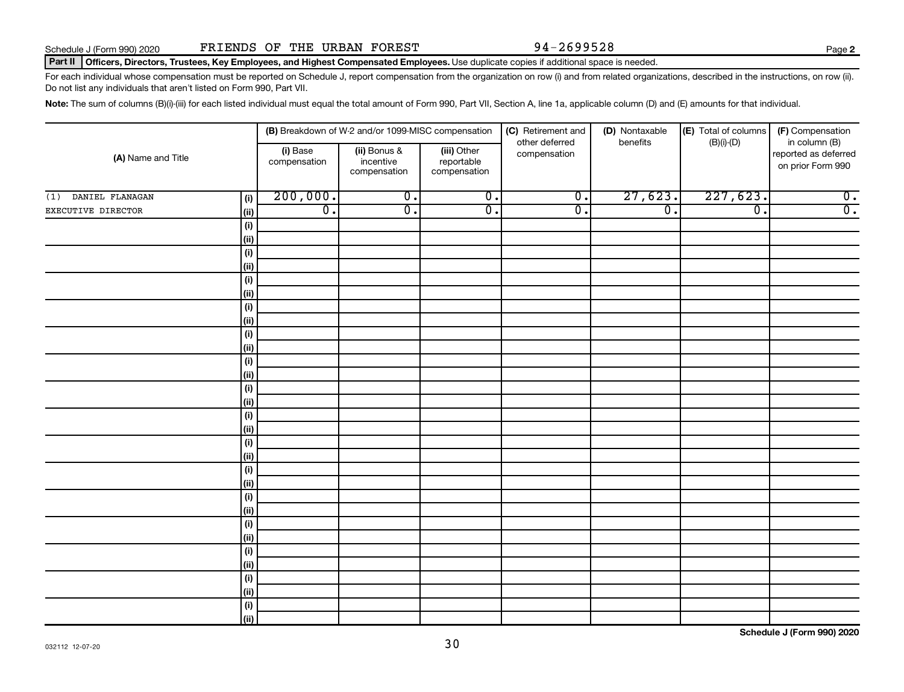**2**

#### Part II | Officers, Directors, Trustees, Key Employees, and Highest Compensated Employees. Use duplicate copies if additional space is needed.

For each individual whose compensation must be reported on Schedule J, report compensation from the organization on row (i) and from related organizations, described in the instructions, on row (ii). Do not list any individuals that aren't listed on Form 990, Part VII.

Note: The sum of columns (B)(i)-(iii) for each listed individual must equal the total amount of Form 990, Part VII, Section A, line 1a, applicable column (D) and (E) amounts for that individual.

| (A) Name and Title     |             |                          | (B) Breakdown of W-2 and/or 1099-MISC compensation                                     |                  | (C) Retirement and             | (D) Nontaxable   | (E) Total of columns        | (F) Compensation                                           |  |
|------------------------|-------------|--------------------------|----------------------------------------------------------------------------------------|------------------|--------------------------------|------------------|-----------------------------|------------------------------------------------------------|--|
|                        |             | (i) Base<br>compensation | (iii) Other<br>(ii) Bonus &<br>incentive<br>reportable<br>compensation<br>compensation |                  | other deferred<br>compensation | benefits         | $(B)(i)$ - $(D)$            | in column (B)<br>reported as deferred<br>on prior Form 990 |  |
| DANIEL FLANAGAN<br>(1) | (i)         | 200,000.                 | $\overline{0}$ .                                                                       | $\overline{0}$ . | $\overline{0}$ .               | 27,623.          | 227,623.                    | $\overline{0}$ .                                           |  |
| EXECUTIVE DIRECTOR     | (ii)        | $\overline{0}$ .         | $\overline{0}$ .                                                                       | $\overline{0}$ . | $\overline{0}$ .               | $\overline{0}$ . | $\overline{\mathfrak{o}}$ . | $\overline{0}$ .                                           |  |
|                        | (i)         |                          |                                                                                        |                  |                                |                  |                             |                                                            |  |
|                        | (ii)        |                          |                                                                                        |                  |                                |                  |                             |                                                            |  |
|                        | $(\sf{i})$  |                          |                                                                                        |                  |                                |                  |                             |                                                            |  |
|                        | (ii)        |                          |                                                                                        |                  |                                |                  |                             |                                                            |  |
|                        | $(\sf{i})$  |                          |                                                                                        |                  |                                |                  |                             |                                                            |  |
|                        | (ii)        |                          |                                                                                        |                  |                                |                  |                             |                                                            |  |
|                        | $(\sf{i})$  |                          |                                                                                        |                  |                                |                  |                             |                                                            |  |
|                        | (ii)        |                          |                                                                                        |                  |                                |                  |                             |                                                            |  |
|                        | $(\sf{i})$  |                          |                                                                                        |                  |                                |                  |                             |                                                            |  |
|                        | (ii)        |                          |                                                                                        |                  |                                |                  |                             |                                                            |  |
|                        | $(\sf{i})$  |                          |                                                                                        |                  |                                |                  |                             |                                                            |  |
|                        | (ii)        |                          |                                                                                        |                  |                                |                  |                             |                                                            |  |
|                        | (i)         |                          |                                                                                        |                  |                                |                  |                             |                                                            |  |
|                        | (ii)        |                          |                                                                                        |                  |                                |                  |                             |                                                            |  |
|                        | (i)<br>(ii) |                          |                                                                                        |                  |                                |                  |                             |                                                            |  |
|                        | (i)         |                          |                                                                                        |                  |                                |                  |                             |                                                            |  |
|                        | (i)         |                          |                                                                                        |                  |                                |                  |                             |                                                            |  |
|                        | (i)         |                          |                                                                                        |                  |                                |                  |                             |                                                            |  |
|                        | (ii)        |                          |                                                                                        |                  |                                |                  |                             |                                                            |  |
|                        | (i)         |                          |                                                                                        |                  |                                |                  |                             |                                                            |  |
|                        | (ii)        |                          |                                                                                        |                  |                                |                  |                             |                                                            |  |
|                        | $(\sf{i})$  |                          |                                                                                        |                  |                                |                  |                             |                                                            |  |
|                        | (i)         |                          |                                                                                        |                  |                                |                  |                             |                                                            |  |
|                        | (i)         |                          |                                                                                        |                  |                                |                  |                             |                                                            |  |
|                        | (i)         |                          |                                                                                        |                  |                                |                  |                             |                                                            |  |
|                        | $(\sf{i})$  |                          |                                                                                        |                  |                                |                  |                             |                                                            |  |
|                        | (ii)        |                          |                                                                                        |                  |                                |                  |                             |                                                            |  |
|                        | $(\sf{i})$  |                          |                                                                                        |                  |                                |                  |                             |                                                            |  |
|                        | (ii)        |                          |                                                                                        |                  |                                |                  |                             |                                                            |  |

**Schedule J (Form 990) 2020**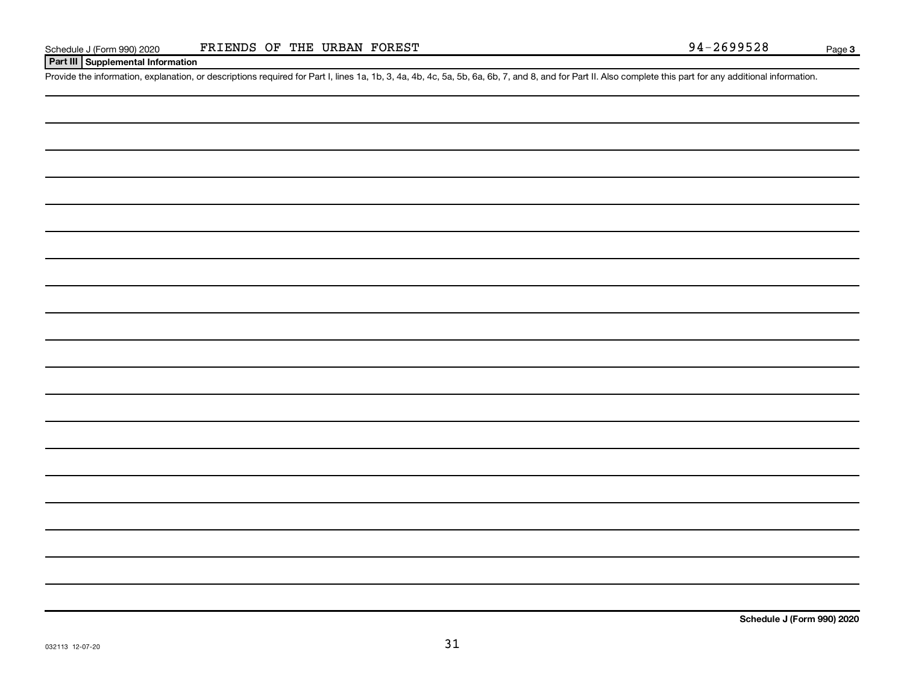#### **Part III Supplemental Information**

Provide the information, explanation, or descriptions required for Part I, lines 1a, 1b, 3, 4a, 4b, 4c, 5a, 5b, 6a, 6b, 7, and 8, and for Part II. Also complete this part for any additional information.

**Schedule J (Form 990) 2020**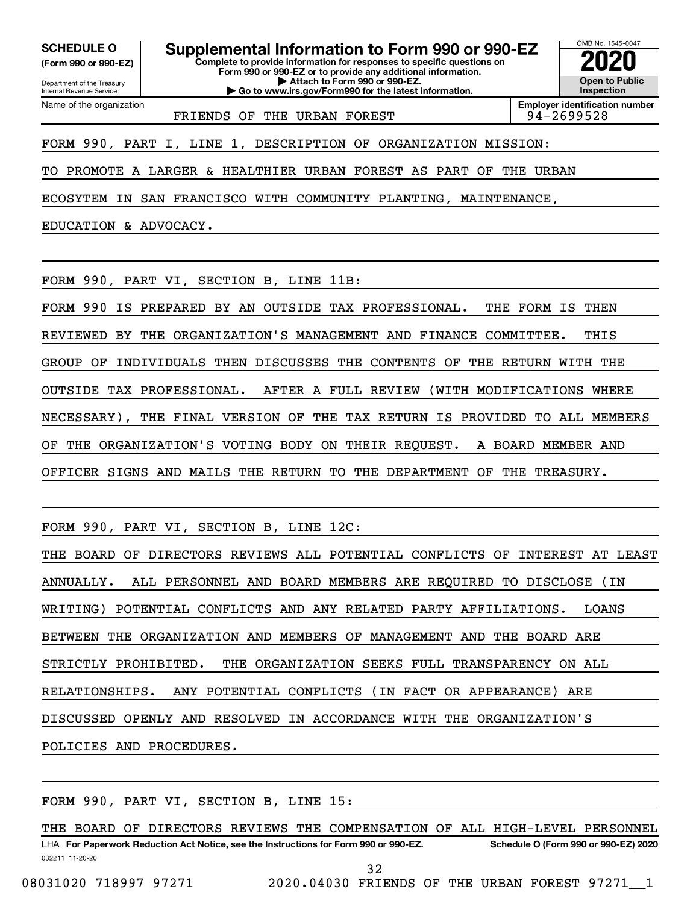**(Form 990 or 990-EZ)**

Department of the Treasury Internal Revenue Service Name of the organization

**SCHEDULE O Supplemental Information to Form 990 or 990-EZ 2020**<br>(Form 990 or 990-EZ) Complete to provide information for responses to specific questions on

**Complete to provide information for responses to specific questions on Form 990 or 990-EZ or to provide any additional information. | Attach to Form 990 or 990-EZ.**

**| Go to www.irs.gov/Form990 for the latest information.**

OMB No. 1545-0047 **Open to Public Inspection**

FRIENDS OF THE URBAN FOREST FOREST FRIENDS OF THE URBAN FOREST

**Employer identification number**

FORM 990, PART I, LINE 1, DESCRIPTION OF ORGANIZATION MISSION:

TO PROMOTE A LARGER & HEALTHIER URBAN FOREST AS PART OF THE URBAN

ECOSYTEM IN SAN FRANCISCO WITH COMMUNITY PLANTING, MAINTENANCE,

EDUCATION & ADVOCACY.

FORM 990, PART VI, SECTION B, LINE 11B:

FORM 990 IS PREPARED BY AN OUTSIDE TAX PROFESSIONAL. THE FORM IS THEN

REVIEWED BY THE ORGANIZATION'S MANAGEMENT AND FINANCE COMMITTEE. THIS

GROUP OF INDIVIDUALS THEN DISCUSSES THE CONTENTS OF THE RETURN WITH THE

OUTSIDE TAX PROFESSIONAL. AFTER A FULL REVIEW (WITH MODIFICATIONS WHERE

NECESSARY), THE FINAL VERSION OF THE TAX RETURN IS PROVIDED TO ALL MEMBERS

OF THE ORGANIZATION'S VOTING BODY ON THEIR REQUEST. A BOARD MEMBER AND

OFFICER SIGNS AND MAILS THE RETURN TO THE DEPARTMENT OF THE TREASURY.

FORM 990, PART VI, SECTION B, LINE 12C:

THE BOARD OF DIRECTORS REVIEWS ALL POTENTIAL CONFLICTS OF INTEREST AT LEAST ANNUALLY. ALL PERSONNEL AND BOARD MEMBERS ARE REQUIRED TO DISCLOSE (IN WRITING) POTENTIAL CONFLICTS AND ANY RELATED PARTY AFFILIATIONS. LOANS BETWEEN THE ORGANIZATION AND MEMBERS OF MANAGEMENT AND THE BOARD ARE STRICTLY PROHIBITED. THE ORGANIZATION SEEKS FULL TRANSPARENCY ON ALL RELATIONSHIPS. ANY POTENTIAL CONFLICTS (IN FACT OR APPEARANCE) ARE DISCUSSED OPENLY AND RESOLVED IN ACCORDANCE WITH THE ORGANIZATION'S POLICIES AND PROCEDURES.

FORM 990, PART VI, SECTION B, LINE 15:

032211 11-20-20 **For Paperwork Reduction Act Notice, see the Instructions for Form 990 or 990-EZ. Schedule O (Form 990 or 990-EZ) 2020** LHA THE BOARD OF DIRECTORS REVIEWS THE COMPENSATION OF ALL HIGH-LEVEL PERSONNEL